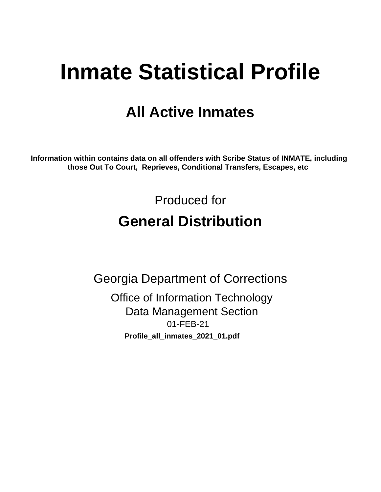# **Inmate Statistical Profile**

## **All Active Inmates**

Information within contains data on all offenders with Scribe Status of INMATE, including those Out To Court, Reprieves, Conditional Transfers, Escapes, etc

> Produced for **General Distribution**

**Georgia Department of Corrections Office of Information Technology Data Management Section** 01-FEB-21 Profile\_all\_inmates\_2021\_01.pdf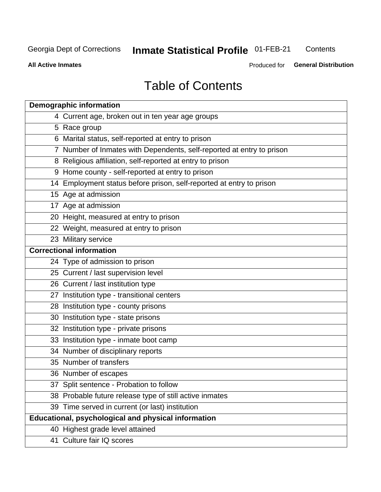## **Inmate Statistical Profile 01-FEB-21**

Contents

**All Active Inmates** 

Produced for General Distribution

## **Table of Contents**

| <b>Demographic information</b>                                        |
|-----------------------------------------------------------------------|
| 4 Current age, broken out in ten year age groups                      |
| 5 Race group                                                          |
| 6 Marital status, self-reported at entry to prison                    |
| 7 Number of Inmates with Dependents, self-reported at entry to prison |
| 8 Religious affiliation, self-reported at entry to prison             |
| 9 Home county - self-reported at entry to prison                      |
| 14 Employment status before prison, self-reported at entry to prison  |
| 15 Age at admission                                                   |
| 17 Age at admission                                                   |
| 20 Height, measured at entry to prison                                |
| 22 Weight, measured at entry to prison                                |
| 23 Military service                                                   |
| <b>Correctional information</b>                                       |
| 24 Type of admission to prison                                        |
| 25 Current / last supervision level                                   |
| 26 Current / last institution type                                    |
| 27 Institution type - transitional centers                            |
| 28 Institution type - county prisons                                  |
| 30 Institution type - state prisons                                   |
| 32 Institution type - private prisons                                 |
| 33 Institution type - inmate boot camp                                |
| 34 Number of disciplinary reports                                     |
| 35 Number of transfers                                                |
| 36 Number of escapes                                                  |
| 37 Split sentence - Probation to follow                               |
| 38 Probable future release type of still active inmates               |
| 39 Time served in current (or last) institution                       |
| Educational, psychological and physical information                   |
| 40 Highest grade level attained                                       |
| 41 Culture fair IQ scores                                             |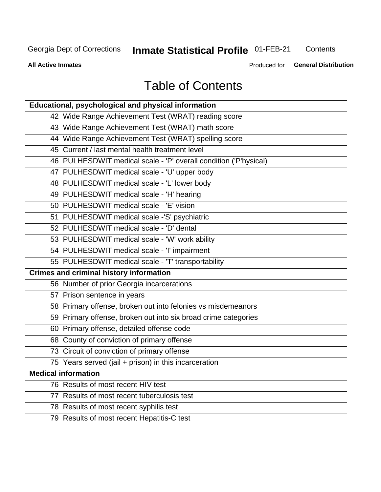## **Inmate Statistical Profile 01-FEB-21**

Contents

**All Active Inmates** 

Produced for **General Distribution** 

## **Table of Contents**

| Educational, psychological and physical information              |
|------------------------------------------------------------------|
| 42 Wide Range Achievement Test (WRAT) reading score              |
| 43 Wide Range Achievement Test (WRAT) math score                 |
| 44 Wide Range Achievement Test (WRAT) spelling score             |
| 45 Current / last mental health treatment level                  |
| 46 PULHESDWIT medical scale - 'P' overall condition ('P'hysical) |
| 47 PULHESDWIT medical scale - 'U' upper body                     |
| 48 PULHESDWIT medical scale - 'L' lower body                     |
| 49 PULHESDWIT medical scale - 'H' hearing                        |
| 50 PULHESDWIT medical scale - 'E' vision                         |
| 51 PULHESDWIT medical scale -'S' psychiatric                     |
| 52 PULHESDWIT medical scale - 'D' dental                         |
| 53 PULHESDWIT medical scale - 'W' work ability                   |
| 54 PULHESDWIT medical scale - 'I' impairment                     |
| 55 PULHESDWIT medical scale - 'T' transportability               |
| <b>Crimes and criminal history information</b>                   |
| 56 Number of prior Georgia incarcerations                        |
| 57 Prison sentence in years                                      |
| 58 Primary offense, broken out into felonies vs misdemeanors     |
| 59 Primary offense, broken out into six broad crime categories   |
| 60 Primary offense, detailed offense code                        |
| 68 County of conviction of primary offense                       |
| 73 Circuit of conviction of primary offense                      |
| 75 Years served (jail + prison) in this incarceration            |
| <b>Medical information</b>                                       |
| 76 Results of most recent HIV test                               |
| 77 Results of most recent tuberculosis test                      |
| 78 Results of most recent syphilis test                          |
| 79 Results of most recent Hepatitis-C test                       |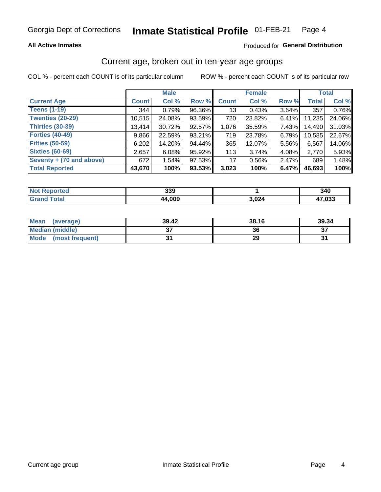### **All Active Inmates**

### Produced for General Distribution

## Current age, broken out in ten-year age groups

COL % - percent each COUNT is of its particular column

|                          |              | <b>Male</b> |        |              | <b>Female</b> |          |              | <b>Total</b> |  |
|--------------------------|--------------|-------------|--------|--------------|---------------|----------|--------------|--------------|--|
| <b>Current Age</b>       | <b>Count</b> | Col %       | Row %  | <b>Count</b> | Col %         | Row %    | <b>Total</b> | Col %        |  |
| <b>Teens (1-19)</b>      | 344          | 0.79%       | 96.36% | 13           | 0.43%         | 3.64%    | 357          | 0.76%        |  |
| <b>Twenties (20-29)</b>  | 10,515       | 24.08%      | 93.59% | 720          | 23.82%        | $6.41\%$ | 11,235       | 24.06%       |  |
| Thirties (30-39)         | 13,414       | 30.72%      | 92.57% | 1,076        | 35.59%        | $7.43\%$ | 14,490       | 31.03%       |  |
| <b>Forties (40-49)</b>   | 9,866        | 22.59%      | 93.21% | 719          | 23.78%        | 6.79%    | 10,585       | 22.67%       |  |
| <b>Fifties (50-59)</b>   | 6,202        | 14.20%      | 94.44% | 365          | 12.07%        | 5.56%    | 6,567        | 14.06%       |  |
| <b>Sixties (60-69)</b>   | 2,657        | 6.08%       | 95.92% | 113          | 3.74%         | 4.08%    | 2,770        | 5.93%        |  |
| Seventy + (70 and above) | 672          | 1.54%       | 97.53% | 17           | 0.56%         | $2.47\%$ | 689          | 1.48%        |  |
| <b>Total Reported</b>    | 43,670       | 100%        | 93.53% | 3,023        | 100%          | 6.47%    | 46,693       | 100%         |  |

| <b>Not Reported</b>  | 339   |       | 340   |
|----------------------|-------|-------|-------|
| <b>Total</b><br>Grar | 4,009 | 3,024 | 7,033 |

| <b>Mean</b><br>(average) | 39.42         | 38.16 | 39.34 |
|--------------------------|---------------|-------|-------|
| Median (middle)          | $\sim$<br>ا پ | 36    | ^¬    |
| Mode<br>(most frequent)  |               | 29    |       |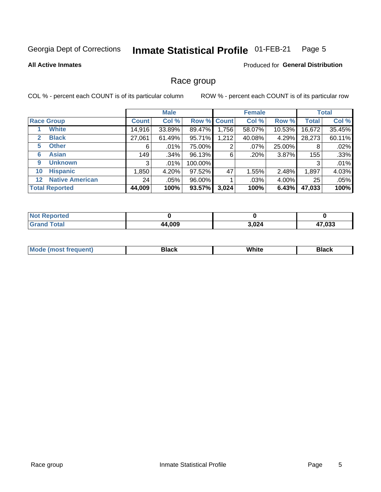#### Inmate Statistical Profile 01-FEB-21 Page 5

#### **All Active Inmates**

### **Produced for General Distribution**

### Race group

COL % - percent each COUNT is of its particular column

|                                   |              | <b>Male</b> |         |             | <b>Female</b> |        |              | <b>Total</b> |  |
|-----------------------------------|--------------|-------------|---------|-------------|---------------|--------|--------------|--------------|--|
| <b>Race Group</b>                 | <b>Count</b> | Col %       |         | Row % Count | Col %         | Row %  | <b>Total</b> | Col %        |  |
| <b>White</b>                      | 14,916       | 33.89%      | 89.47%  | ∣ 756.      | 58.07%        | 10.53% | 16,672       | 35.45%       |  |
| <b>Black</b><br>2                 | 27,061       | 61.49%      | 95.71%  | 1,212       | 40.08%        | 4.29%  | 28,273       | 60.11%       |  |
| <b>Other</b><br>5.                | 6            | $.01\%$     | 75.00%  | 2           | $.07\%$       | 25.00% | 8            | .02%         |  |
| <b>Asian</b><br>6                 | 149          | .34%        | 96.13%  | 6           | .20%          | 3.87%  | 155          | .33%         |  |
| <b>Unknown</b><br>9               | 3            | $.01\%$     | 100.00% |             |               |        | 3            | .01%         |  |
| <b>Hispanic</b><br>10             | 0.850        | 4.20%       | 97.52%  | 47          | 1.55%         | 2.48%  | 1,897        | 4.03%        |  |
| <b>Native American</b><br>$12 \,$ | 24           | .05%        | 96.00%  |             | .03%          | 4.00%  | 25           | .05%         |  |
| <b>Total Reported</b>             | 44,009       | 100%        | 93.57%  | 3,024       | 100%          | 6.43%  | 47,033       | 100%         |  |

| <b>ported</b><br>NO. |        |       |        |
|----------------------|--------|-------|--------|
| `otal<br>'Grand      | 44,009 | 3,024 | 17,033 |

| m | <br>w |  |
|---|-------|--|
|   |       |  |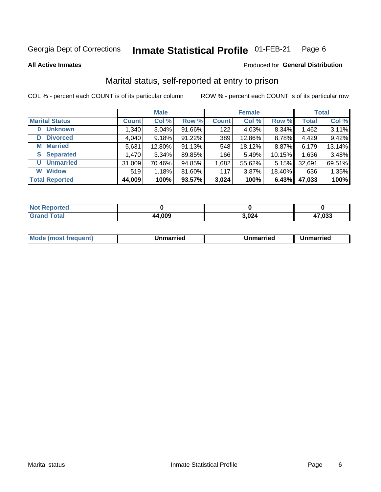#### Inmate Statistical Profile 01-FEB-21 Page 6

**All Active Inmates** 

#### Produced for General Distribution

## Marital status, self-reported at entry to prison

COL % - percent each COUNT is of its particular column

|                            | <b>Male</b>  |          |        | <b>Female</b> |        |           | <b>Total</b> |        |
|----------------------------|--------------|----------|--------|---------------|--------|-----------|--------------|--------|
| <b>Marital Status</b>      | <b>Count</b> | Col %    | Row %  | <b>Count</b>  | Col %  | Row %     | <b>Total</b> | Col %  |
| <b>Unknown</b><br>$\bf{0}$ | 1,340        | $3.04\%$ | 91.66% | 122           | 4.03%  | 8.34%     | 1,462        | 3.11%  |
| <b>Divorced</b><br>D       | 4,040        | 9.18%    | 91.22% | 389           | 12.86% | 8.78%     | 4,429        | 9.42%  |
| <b>Married</b><br>М        | 5,631        | 12.80%   | 91.13% | 548           | 18.12% | 8.87%     | 6,179        | 13.14% |
| <b>Separated</b><br>S      | 1,470        | 3.34%    | 89.85% | 166           | 5.49%  | $10.15\%$ | 1,636        | 3.48%  |
| <b>Unmarried</b><br>U      | 31,009       | 70.46%   | 94.85% | 1,682         | 55.62% | 5.15%     | 32,691       | 69.51% |
| <b>Widow</b><br>W          | 519          | 1.18%    | 81.60% | 117           | 3.87%  | 18.40%    | 636          | 1.35%  |
| <b>Total Reported</b>      | 44,009       | 100%     | 93.57% | 3,024         | 100%   | 6.43%     | 47,033       | 100%   |

| <b>Not Reported</b> |       |       |        |
|---------------------|-------|-------|--------|
| Total               | 4,009 | 3,024 | 17.033 |

|--|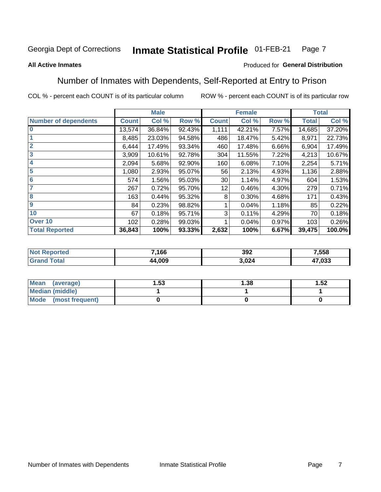#### Inmate Statistical Profile 01-FEB-21 Page 7

#### **All Active Inmates**

### Produced for General Distribution

## Number of Inmates with Dependents, Self-Reported at Entry to Prison

COL % - percent each COUNT is of its particular column

|                             |              | <b>Male</b> |        |                 | <b>Female</b> |       | <b>Total</b> |        |
|-----------------------------|--------------|-------------|--------|-----------------|---------------|-------|--------------|--------|
| <b>Number of dependents</b> | <b>Count</b> | Col %       | Row %  | <b>Count</b>    | Col %         | Row % | <b>Total</b> | Col %  |
| l 0                         | 13,574       | 36.84%      | 92.43% | 1,111           | 42.21%        | 7.57% | 14,685       | 37.20% |
|                             | 8,485        | 23.03%      | 94.58% | 486             | 18.47%        | 5.42% | 8,971        | 22.73% |
| $\overline{2}$              | 6,444        | 17.49%      | 93.34% | 460             | 17.48%        | 6.66% | 6,904        | 17.49% |
| $\overline{\mathbf{3}}$     | 3,909        | 10.61%      | 92.78% | 304             | 11.55%        | 7.22% | 4,213        | 10.67% |
| 4                           | 2,094        | 5.68%       | 92.90% | 160             | 6.08%         | 7.10% | 2,254        | 5.71%  |
| 5                           | 1,080        | 2.93%       | 95.07% | 56              | 2.13%         | 4.93% | 1,136        | 2.88%  |
| 6                           | 574          | 1.56%       | 95.03% | 30              | 1.14%         | 4.97% | 604          | 1.53%  |
| 7                           | 267          | 0.72%       | 95.70% | 12 <sub>1</sub> | 0.46%         | 4.30% | 279          | 0.71%  |
| 8                           | 163          | 0.44%       | 95.32% | 8               | 0.30%         | 4.68% | 171          | 0.43%  |
| 9                           | 84           | 0.23%       | 98.82% |                 | 0.04%         | 1.18% | 85           | 0.22%  |
| 10                          | 67           | 0.18%       | 95.71% | 3               | 0.11%         | 4.29% | 70           | 0.18%  |
| Over 10                     | 102          | 0.28%       | 99.03% |                 | 0.04%         | 0.97% | 103          | 0.26%  |
| <b>Total Reported</b>       | 36,843       | 100%        | 93.33% | 2,632           | 100%          | 6.67% | 39,475       | 100.0% |

| 7,166 | 392  | 7,558  |
|-------|------|--------|
| .009  | ,024 | 17,033 |

| Mean (average)          | . 53 | 1.38 | 1.52 |
|-------------------------|------|------|------|
| <b>Median (middle)</b>  |      |      |      |
| Mode<br>(most frequent) |      |      |      |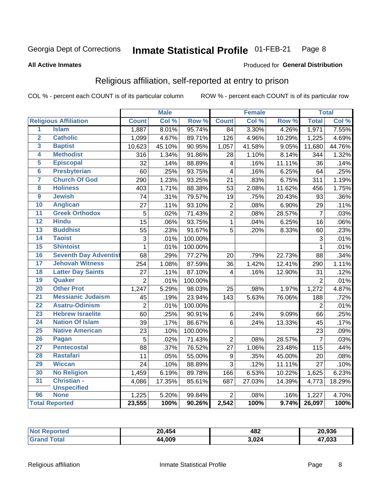#### **Inmate Statistical Profile 01-FEB-21** Page 8

#### **All Active Inmates**

#### Produced for General Distribution

## Religious affiliation, self-reported at entry to prison

COL % - percent each COUNT is of its particular column

|                         |                              |                 | <b>Male</b> |         |                         | <b>Female</b> |                  |                | <b>Total</b> |
|-------------------------|------------------------------|-----------------|-------------|---------|-------------------------|---------------|------------------|----------------|--------------|
|                         | <b>Religious Affiliation</b> | <b>Count</b>    | Col %       | Row %   | <b>Count</b>            | Col %         | Row <sup>%</sup> | <b>Total</b>   | Col %        |
| $\overline{\mathbf{1}}$ | <b>Islam</b>                 | 1,887           | 8.01%       | 95.74%  | 84                      | 3.30%         | 4.26%            | 1,971          | 7.55%        |
| $\overline{2}$          | <b>Catholic</b>              | 1,099           | 4.67%       | 89.71%  | $\overline{1}26$        | 4.96%         | 10.29%           | 1,225          | 4.69%        |
| 3                       | <b>Baptist</b>               | 10,623          | 45.10%      | 90.95%  | 1,057                   | 41.58%        | 9.05%            | 11,680         | 44.76%       |
| 4                       | <b>Methodist</b>             | 316             | 1.34%       | 91.86%  | 28                      | 1.10%         | 8.14%            | 344            | 1.32%        |
| 5                       | <b>Episcopal</b>             | 32              | .14%        | 88.89%  | $\overline{\mathbf{4}}$ | .16%          | 11.11%           | 36             | .14%         |
| $\overline{6}$          | <b>Presbyterian</b>          | 60              | .25%        | 93.75%  | $\overline{4}$          | .16%          | 6.25%            | 64             | .25%         |
| 7                       | <b>Church Of God</b>         | 290             | 1.23%       | 93.25%  | 21                      | .83%          | 6.75%            | 311            | 1.19%        |
| 8                       | <b>Holiness</b>              | 403             | 1.71%       | 88.38%  | 53                      | 2.08%         | 11.62%           | 456            | 1.75%        |
| $\overline{9}$          | <b>Jewish</b>                | $\overline{74}$ | .31%        | 79.57%  | 19                      | .75%          | 20.43%           | 93             | .36%         |
| 10                      | <b>Anglican</b>              | 27              | .11%        | 93.10%  | $\sqrt{2}$              | .08%          | 6.90%            | 29             | .11%         |
| 11                      | <b>Greek Orthodox</b>        | $\overline{5}$  | .02%        | 71.43%  | $\overline{2}$          | .08%          | 28.57%           | $\overline{7}$ | .03%         |
| 12                      | <b>Hindu</b>                 | $\overline{15}$ | .06%        | 93.75%  | $\mathbf{1}$            | .04%          | 6.25%            | 16             | .06%         |
| 13                      | <b>Buddhist</b>              | 55              | .23%        | 91.67%  | 5                       | .20%          | 8.33%            | 60             | .23%         |
| 14                      | <b>Taoist</b>                | 3               | .01%        | 100.00% |                         |               |                  | 3              | .01%         |
| 15                      | <b>Shintoist</b>             | $\mathbf{1}$    | .01%        | 100.00% |                         |               |                  | 1              | .01%         |
| 16                      | <b>Seventh Day Adventist</b> | 68              | .29%        | 77.27%  | 20                      | .79%          | 22.73%           | 88             | .34%         |
| 17                      | <b>Jehovah Witness</b>       | 254             | 1.08%       | 87.59%  | 36                      | 1.42%         | 12.41%           | 290            | 1.11%        |
| 18                      | <b>Latter Day Saints</b>     | 27              | .11%        | 87.10%  | 4                       | .16%          | 12.90%           | 31             | .12%         |
| 19                      | Quaker                       | $\overline{2}$  | .01%        | 100.00% |                         |               |                  | $\overline{2}$ | .01%         |
| 20                      | <b>Other Prot</b>            | 1,247           | 5.29%       | 98.03%  | 25                      | .98%          | 1.97%            | 1,272          | 4.87%        |
| $\overline{21}$         | <b>Messianic Judaism</b>     | 45              | .19%        | 23.94%  | 143                     | 5.63%         | 76.06%           | 188            | .72%         |
| 22                      | <b>Asatru-Odinism</b>        | $\overline{2}$  | .01%        | 100.00% |                         |               |                  | $\overline{2}$ | .01%         |
| 23                      | <b>Hebrew Israelite</b>      | 60              | .25%        | 90.91%  | $\,6$                   | .24%          | 9.09%            | 66             | .25%         |
| 24                      | <b>Nation Of Islam</b>       | 39              | .17%        | 86.67%  | 6                       | .24%          | 13.33%           | 45             | .17%         |
| 25                      | <b>Native American</b>       | 23              | .10%        | 100.00% |                         |               |                  | 23             | .09%         |
| 26                      | Pagan                        | 5               | .02%        | 71.43%  | $\overline{2}$          | .08%          | 28.57%           | $\overline{7}$ | .03%         |
| $\overline{27}$         | <b>Pentecostal</b>           | 88              | .37%        | 76.52%  | 27                      | 1.06%         | 23.48%           | 115            | .44%         |
| 28                      | <b>Rastafari</b>             | 11              | .05%        | 55.00%  | $\boldsymbol{9}$        | .35%          | 45.00%           | 20             | .08%         |
| 29                      | <b>Wiccan</b>                | 24              | .10%        | 88.89%  | $\overline{3}$          | .12%          | 11.11%           | 27             | .10%         |
| 30                      | <b>No Religion</b>           | 1,459           | 6.19%       | 89.78%  | 166                     | 6.53%         | 10.22%           | 1,625          | 6.23%        |
| 31                      | Christian -                  | 4,086           | 17.35%      | 85.61%  | 687                     | 27.03%        | 14.39%           | 4,773          | 18.29%       |
|                         | <b>Unspecified</b>           |                 |             |         |                         |               |                  |                |              |
| 96                      | <b>None</b>                  | 1,225           | 5.20%       | 99.84%  | $\overline{2}$          | .08%          | .16%             | 1,227          | 4.70%        |
|                         | <b>Total Reported</b>        | 23,555          | 100%        | 90.26%  | 2,542                   | 100%          | 9.74%            | 26,097         | 100%         |

| Ter. | 454<br>20    | 482<br>__ | 20,936       |
|------|--------------|-----------|--------------|
|      | 14.009<br>ΔΔ | 3,024     | 17,033<br>4. |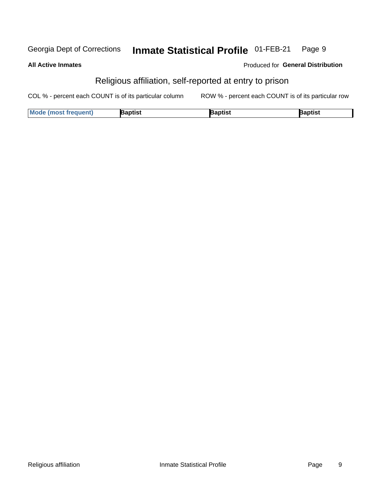#### **Inmate Statistical Profile 01-FEB-21** Georgia Dept of Corrections Page 9

#### **All Active Inmates**

### Produced for General Distribution

## Religious affiliation, self-reported at entry to prison

COL % - percent each COUNT is of its particular column ROW % - percent each COUNT is of its particular row

| <b>Mode (most frequent)</b><br>Baptist<br>3aptist<br>Baptist |  |
|--------------------------------------------------------------|--|
|--------------------------------------------------------------|--|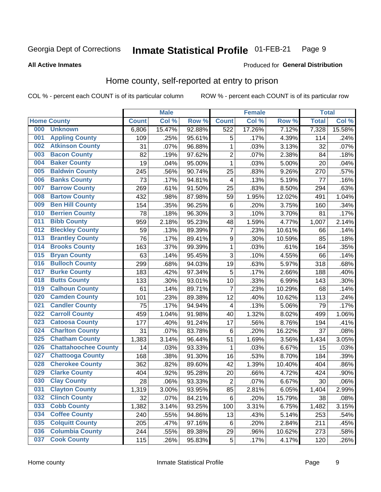#### Inmate Statistical Profile 01-FEB-21 Page 9

#### **All Active Inmates**

### Produced for General Distribution

## Home county, self-reported at entry to prison

COL % - percent each COUNT is of its particular column

|     |                             |              | <b>Male</b> |        |                  | <b>Female</b> |        | <b>Total</b> |        |
|-----|-----------------------------|--------------|-------------|--------|------------------|---------------|--------|--------------|--------|
|     | <b>Home County</b>          | <b>Count</b> | Col %       | Row %  | <b>Count</b>     | Col %         | Row %  | <b>Total</b> | Col %  |
| 000 | <b>Unknown</b>              | 6,806        | 15.47%      | 92.88% | 522              | 17.26%        | 7.12%  | 7,328        | 15.58% |
| 001 | <b>Appling County</b>       | 109          | .25%        | 95.61% | 5                | .17%          | 4.39%  | 114          | .24%   |
| 002 | <b>Atkinson County</b>      | 31           | .07%        | 96.88% | 1                | .03%          | 3.13%  | 32           | .07%   |
| 003 | <b>Bacon County</b>         | 82           | .19%        | 97.62% | $\overline{2}$   | .07%          | 2.38%  | 84           | .18%   |
| 004 | <b>Baker County</b>         | 19           | .04%        | 95.00% | $\mathbf 1$      | .03%          | 5.00%  | 20           | .04%   |
| 005 | <b>Baldwin County</b>       | 245          | .56%        | 90.74% | 25               | .83%          | 9.26%  | 270          | .57%   |
| 006 | <b>Banks County</b>         | 73           | .17%        | 94.81% | 4                | .13%          | 5.19%  | 77           | .16%   |
| 007 | <b>Barrow County</b>        | 269          | .61%        | 91.50% | 25               | .83%          | 8.50%  | 294          | .63%   |
| 008 | <b>Bartow County</b>        | 432          | .98%        | 87.98% | 59               | 1.95%         | 12.02% | 491          | 1.04%  |
| 009 | <b>Ben Hill County</b>      | 154          | .35%        | 96.25% | $\,6$            | .20%          | 3.75%  | 160          | .34%   |
| 010 | <b>Berrien County</b>       | 78           | .18%        | 96.30% | 3                | .10%          | 3.70%  | 81           | .17%   |
| 011 | <b>Bibb County</b>          | 959          | 2.18%       | 95.23% | 48               | 1.59%         | 4.77%  | 1,007        | 2.14%  |
| 012 | <b>Bleckley County</b>      | 59           | .13%        | 89.39% | $\overline{7}$   | .23%          | 10.61% | 66           | .14%   |
| 013 | <b>Brantley County</b>      | 76           | .17%        | 89.41% | $\boldsymbol{9}$ | .30%          | 10.59% | 85           | .18%   |
| 014 | <b>Brooks County</b>        | 163          | .37%        | 99.39% | $\mathbf{1}$     | .03%          | .61%   | 164          | .35%   |
| 015 | <b>Bryan County</b>         | 63           | .14%        | 95.45% | 3                | .10%          | 4.55%  | 66           | .14%   |
| 016 | <b>Bulloch County</b>       | 299          | .68%        | 94.03% | 19               | .63%          | 5.97%  | 318          | .68%   |
| 017 | <b>Burke County</b>         | 183          | .42%        | 97.34% | 5                | .17%          | 2.66%  | 188          | .40%   |
| 018 | <b>Butts County</b>         | 133          | .30%        | 93.01% | 10               | .33%          | 6.99%  | 143          | .30%   |
| 019 | <b>Calhoun County</b>       | 61           | .14%        | 89.71% | $\overline{7}$   | .23%          | 10.29% | 68           | .14%   |
| 020 | <b>Camden County</b>        | 101          | .23%        | 89.38% | 12               | .40%          | 10.62% | 113          | .24%   |
| 021 | <b>Candler County</b>       | 75           | .17%        | 94.94% | 4                | .13%          | 5.06%  | 79           | .17%   |
| 022 | <b>Carroll County</b>       | 459          | 1.04%       | 91.98% | 40               | 1.32%         | 8.02%  | 499          | 1.06%  |
| 023 | <b>Catoosa County</b>       | 177          | .40%        | 91.24% | 17               | .56%          | 8.76%  | 194          | .41%   |
| 024 | <b>Charlton County</b>      | 31           | .07%        | 83.78% | 6                | .20%          | 16.22% | 37           | .08%   |
| 025 | <b>Chatham County</b>       | 1,383        | 3.14%       | 96.44% | 51               | 1.69%         | 3.56%  | 1,434        | 3.05%  |
| 026 | <b>Chattahoochee County</b> | 14           | .03%        | 93.33% | 1                | .03%          | 6.67%  | 15           | .03%   |
| 027 | <b>Chattooga County</b>     | 168          | .38%        | 91.30% | 16               | .53%          | 8.70%  | 184          | .39%   |
| 028 | <b>Cherokee County</b>      | 362          | .82%        | 89.60% | 42               | 1.39%         | 10.40% | 404          | .86%   |
| 029 | <b>Clarke County</b>        | 404          | .92%        | 95.28% | 20               | .66%          | 4.72%  | 424          | .90%   |
| 030 | <b>Clay County</b>          | 28           | .06%        | 93.33% | $\overline{2}$   | .07%          | 6.67%  | 30           | .06%   |
| 031 | <b>Clayton County</b>       | 1,319        | 3.00%       | 93.95% | 85               | 2.81%         | 6.05%  | 1,404        | 2.99%  |
| 032 | <b>Clinch County</b>        | 32           | .07%        | 84.21% | 6                | .20%          | 15.79% | 38           | .08%   |
| 033 | <b>Cobb County</b>          | 1,382        | 3.14%       | 93.25% | 100              | 3.31%         | 6.75%  | 1,482        | 3.15%  |
| 034 | <b>Coffee County</b>        | 240          | .55%        | 94.86% | 13               | .43%          | 5.14%  | 253          | .54%   |
| 035 | <b>Colquitt County</b>      | 205          | .47%        | 97.16% | $\,6$            | .20%          | 2.84%  | 211          | .45%   |
| 036 | <b>Columbia County</b>      | 244          | .55%        | 89.38% | 29               | .96%          | 10.62% | 273          | .58%   |
| 037 | <b>Cook County</b>          | 115          | .26%        | 95.83% | $\overline{5}$   | .17%          | 4.17%  | 120          | .26%   |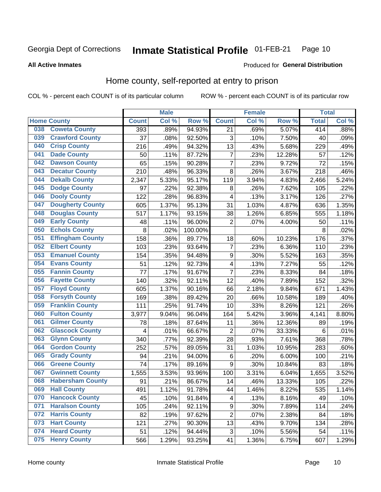#### Inmate Statistical Profile 01-FEB-21 Page 10

**All Active Inmates** 

#### Produced for General Distribution

### Home county, self-reported at entry to prison

COL % - percent each COUNT is of its particular column

|     |                         |              | <b>Male</b> |                  |                           | <b>Female</b> |        | <b>Total</b> |       |
|-----|-------------------------|--------------|-------------|------------------|---------------------------|---------------|--------|--------------|-------|
|     | <b>Home County</b>      | <b>Count</b> | Col %       | Row <sup>%</sup> | <b>Count</b>              | Col %         | Row %  | <b>Total</b> | Col % |
| 038 | <b>Coweta County</b>    | 393          | .89%        | 94.93%           | 21                        | .69%          | 5.07%  | 414          | .88%  |
| 039 | <b>Crawford County</b>  | 37           | .08%        | 92.50%           | $\ensuremath{\mathsf{3}}$ | .10%          | 7.50%  | 40           | .09%  |
| 040 | <b>Crisp County</b>     | 216          | .49%        | 94.32%           | 13                        | .43%          | 5.68%  | 229          | .49%  |
| 041 | <b>Dade County</b>      | 50           | .11%        | 87.72%           | $\overline{7}$            | .23%          | 12.28% | 57           | .12%  |
| 042 | <b>Dawson County</b>    | 65           | .15%        | 90.28%           | $\overline{7}$            | .23%          | 9.72%  | 72           | .15%  |
| 043 | <b>Decatur County</b>   | 210          | .48%        | 96.33%           | 8                         | .26%          | 3.67%  | 218          | .46%  |
| 044 | <b>Dekalb County</b>    | 2,347        | 5.33%       | 95.17%           | 119                       | 3.94%         | 4.83%  | 2,466        | 5.24% |
| 045 | <b>Dodge County</b>     | 97           | .22%        | 92.38%           | 8                         | .26%          | 7.62%  | 105          | .22%  |
| 046 | <b>Dooly County</b>     | 122          | .28%        | 96.83%           | 4                         | .13%          | 3.17%  | 126          | .27%  |
| 047 | <b>Dougherty County</b> | 605          | 1.37%       | 95.13%           | 31                        | 1.03%         | 4.87%  | 636          | 1.35% |
| 048 | <b>Douglas County</b>   | 517          | 1.17%       | 93.15%           | 38                        | 1.26%         | 6.85%  | 555          | 1.18% |
| 049 | <b>Early County</b>     | 48           | .11%        | 96.00%           | $\overline{2}$            | .07%          | 4.00%  | 50           | .11%  |
| 050 | <b>Echols County</b>    | 8            | .02%        | 100.00%          |                           |               |        | 8            | .02%  |
| 051 | <b>Effingham County</b> | 158          | .36%        | 89.77%           | 18                        | .60%          | 10.23% | 176          | .37%  |
| 052 | <b>Elbert County</b>    | 103          | .23%        | 93.64%           | 7                         | .23%          | 6.36%  | 110          | .23%  |
| 053 | <b>Emanuel County</b>   | 154          | .35%        | 94.48%           | $\boldsymbol{9}$          | .30%          | 5.52%  | 163          | .35%  |
| 054 | <b>Evans County</b>     | 51           | .12%        | 92.73%           | $\overline{\mathbf{4}}$   | .13%          | 7.27%  | 55           | .12%  |
| 055 | <b>Fannin County</b>    | 77           | .17%        | 91.67%           | $\overline{7}$            | .23%          | 8.33%  | 84           | .18%  |
| 056 | <b>Fayette County</b>   | 140          | .32%        | 92.11%           | 12                        | .40%          | 7.89%  | 152          | .32%  |
| 057 | <b>Floyd County</b>     | 605          | 1.37%       | 90.16%           | 66                        | 2.18%         | 9.84%  | 671          | 1.43% |
| 058 | <b>Forsyth County</b>   | 169          | .38%        | 89.42%           | 20                        | .66%          | 10.58% | 189          | .40%  |
| 059 | <b>Franklin County</b>  | 111          | .25%        | 91.74%           | 10                        | .33%          | 8.26%  | 121          | .26%  |
| 060 | <b>Fulton County</b>    | 3,977        | 9.04%       | 96.04%           | 164                       | 5.42%         | 3.96%  | 4,141        | 8.80% |
| 061 | <b>Gilmer County</b>    | 78           | .18%        | 87.64%           | 11                        | .36%          | 12.36% | 89           | .19%  |
| 062 | <b>Glascock County</b>  | 4            | .01%        | 66.67%           | $\overline{2}$            | .07%          | 33.33% | 6            | .01%  |
| 063 | <b>Glynn County</b>     | 340          | .77%        | 92.39%           | 28                        | .93%          | 7.61%  | 368          | .78%  |
| 064 | <b>Gordon County</b>    | 252          | .57%        | 89.05%           | 31                        | 1.03%         | 10.95% | 283          | .60%  |
| 065 | <b>Grady County</b>     | 94           | .21%        | 94.00%           | 6                         | .20%          | 6.00%  | 100          | .21%  |
| 066 | <b>Greene County</b>    | 74           | .17%        | 89.16%           | $\boldsymbol{9}$          | .30%          | 10.84% | 83           | .18%  |
| 067 | <b>Gwinnett County</b>  | 1,555        | 3.53%       | 93.96%           | 100                       | 3.31%         | 6.04%  | 1,655        | 3.52% |
| 068 | <b>Habersham County</b> | 91           | .21%        | 86.67%           | 14                        | .46%          | 13.33% | 105          | .22%  |
| 069 | <b>Hall County</b>      | 491          | 1.12%       | 91.78%           | 44                        | 1.46%         | 8.22%  | 535          | 1.14% |
| 070 | <b>Hancock County</b>   | 45           | .10%        | 91.84%           | 4                         | .13%          | 8.16%  | 49           | .10%  |
| 071 | <b>Haralson County</b>  | 105          | .24%        | 92.11%           | $\boldsymbol{9}$          | .30%          | 7.89%  | 114          | .24%  |
| 072 | <b>Harris County</b>    | 82           | .19%        | 97.62%           | $\overline{2}$            | .07%          | 2.38%  | 84           | .18%  |
| 073 | <b>Hart County</b>      | 121          | .27%        | 90.30%           | 13                        | .43%          | 9.70%  | 134          | .28%  |
| 074 | <b>Heard County</b>     | 51           | .12%        | 94.44%           | 3                         | .10%          | 5.56%  | 54           | .11%  |
| 075 | <b>Henry County</b>     | 566          | 1.29%       | 93.25%           | 41                        | 1.36%         | 6.75%  | 607          | 1.29% |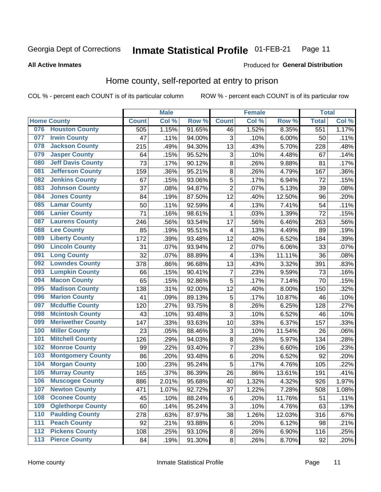#### **Inmate Statistical Profile 01-FEB-21** Page 11

#### **All Active Inmates**

### Produced for General Distribution

## Home county, self-reported at entry to prison

COL % - percent each COUNT is of its particular column

|                  |                          |              | <b>Male</b> |        |                | <b>Female</b> |                  | <b>Total</b> |       |
|------------------|--------------------------|--------------|-------------|--------|----------------|---------------|------------------|--------------|-------|
|                  | <b>Home County</b>       | <b>Count</b> | Col %       | Row %  | <b>Count</b>   | Col %         | Row <sup>%</sup> | <b>Total</b> | Col % |
| 076              | <b>Houston County</b>    | 505          | 1.15%       | 91.65% | 46             | 1.52%         | 8.35%            | 551          | 1.17% |
| 077              | <b>Irwin County</b>      | 47           | .11%        | 94.00% | 3              | .10%          | 6.00%            | 50           | .11%  |
| 078              | <b>Jackson County</b>    | 215          | .49%        | 94.30% | 13             | .43%          | 5.70%            | 228          | .48%  |
| 079              | <b>Jasper County</b>     | 64           | .15%        | 95.52% | 3              | .10%          | 4.48%            | 67           | .14%  |
| 080              | <b>Jeff Davis County</b> | 73           | .17%        | 90.12% | 8              | .26%          | 9.88%            | 81           | .17%  |
| 081              | <b>Jefferson County</b>  | 159          | .36%        | 95.21% | $\overline{8}$ | .26%          | 4.79%            | 167          | .36%  |
| 082              | <b>Jenkins County</b>    | 67           | .15%        | 93.06% | $\overline{5}$ | .17%          | 6.94%            | 72           | .15%  |
| 083              | <b>Johnson County</b>    | 37           | .08%        | 94.87% | $\overline{2}$ | .07%          | 5.13%            | 39           | .08%  |
| 084              | <b>Jones County</b>      | 84           | .19%        | 87.50% | 12             | .40%          | 12.50%           | 96           | .20%  |
| 085              | <b>Lamar County</b>      | 50           | .11%        | 92.59% | 4              | .13%          | 7.41%            | 54           | .11%  |
| 086              | <b>Lanier County</b>     | 71           | .16%        | 98.61% | $\mathbf 1$    | .03%          | 1.39%            | 72           | .15%  |
| 087              | <b>Laurens County</b>    | 246          | .56%        | 93.54% | 17             | .56%          | 6.46%            | 263          | .56%  |
| 088              | <b>Lee County</b>        | 85           | .19%        | 95.51% | 4              | .13%          | 4.49%            | 89           | .19%  |
| 089              | <b>Liberty County</b>    | 172          | .39%        | 93.48% | 12             | .40%          | 6.52%            | 184          | .39%  |
| 090              | <b>Lincoln County</b>    | 31           | .07%        | 93.94% | $\overline{2}$ | .07%          | 6.06%            | 33           | .07%  |
| 091              | <b>Long County</b>       | 32           | .07%        | 88.89% | 4              | .13%          | 11.11%           | 36           | .08%  |
| 092              | <b>Lowndes County</b>    | 378          | .86%        | 96.68% | 13             | .43%          | 3.32%            | 391          | .83%  |
| 093              | <b>Lumpkin County</b>    | 66           | .15%        | 90.41% | $\overline{7}$ | .23%          | 9.59%            | 73           | .16%  |
| 094              | <b>Macon County</b>      | 65           | .15%        | 92.86% | $\overline{5}$ | .17%          | 7.14%            | 70           | .15%  |
| 095              | <b>Madison County</b>    | 138          | .31%        | 92.00% | 12             | .40%          | 8.00%            | 150          | .32%  |
| 096              | <b>Marion County</b>     | 41           | .09%        | 89.13% | 5              | .17%          | 10.87%           | 46           | .10%  |
| 097              | <b>Mcduffie County</b>   | 120          | .27%        | 93.75% | $\overline{8}$ | .26%          | 6.25%            | 128          | .27%  |
| 098              | <b>Mcintosh County</b>   | 43           | .10%        | 93.48% | $\overline{3}$ | .10%          | 6.52%            | 46           | .10%  |
| 099              | <b>Meriwether County</b> | 147          | .33%        | 93.63% | 10             | .33%          | 6.37%            | 157          | .33%  |
| 100              | <b>Miller County</b>     | 23           | .05%        | 88.46% | 3              | .10%          | 11.54%           | 26           | .06%  |
| 101              | <b>Mitchell County</b>   | 126          | .29%        | 94.03% | 8              | .26%          | 5.97%            | 134          | .28%  |
| 102              | <b>Monroe County</b>     | 99           | .22%        | 93.40% | $\overline{7}$ | .23%          | 6.60%            | 106          | .23%  |
| 103              | <b>Montgomery County</b> | 86           | .20%        | 93.48% | 6              | .20%          | 6.52%            | 92           | .20%  |
| 104              | <b>Morgan County</b>     | 100          | .23%        | 95.24% | 5              | .17%          | 4.76%            | 105          | .22%  |
| 105              | <b>Murray County</b>     | 165          | .37%        | 86.39% | 26             | .86%          | 13.61%           | 191          | .41%  |
| 106              | <b>Muscogee County</b>   | 886          | 2.01%       | 95.68% | 40             | 1.32%         | 4.32%            | 926          | 1.97% |
| 107              | <b>Newton County</b>     | 471          | 1.07%       | 92.72% | 37             | 1.22%         | 7.28%            | 508          | 1.08% |
| 108              | <b>Oconee County</b>     | 45           | .10%        | 88.24% | $\,6$          | .20%          | 11.76%           | 51           | .11%  |
| 109              | <b>Oglethorpe County</b> | 60           | .14%        | 95.24% | 3              | .10%          | 4.76%            | 63           | .13%  |
| 110              | <b>Paulding County</b>   | 278          | .63%        | 87.97% | 38             | 1.26%         | 12.03%           | 316          | .67%  |
| 111              | <b>Peach County</b>      | 92           | .21%        | 93.88% | 6              | .20%          | 6.12%            | 98           | .21%  |
| $\overline{112}$ | <b>Pickens County</b>    | 108          | .25%        | 93.10% | $\bf8$         | .26%          | 6.90%            | 116          | .25%  |
| 113              | <b>Pierce County</b>     | 84           | .19%        | 91.30% | $\bf 8$        | .26%          | 8.70%            | 92           | .20%  |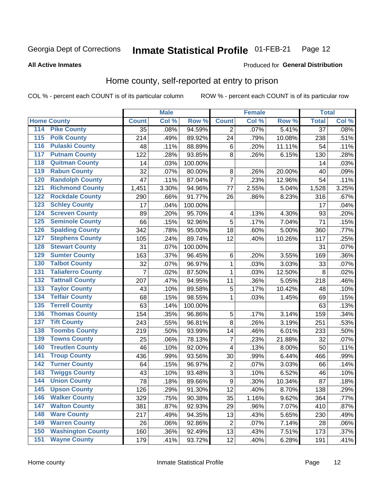#### Inmate Statistical Profile 01-FEB-21 Page 12

**All Active Inmates** 

#### Produced for General Distribution

### Home county, self-reported at entry to prison

COL % - percent each COUNT is of its particular column

|                  |                          |                 | <b>Male</b> |         |                         | <b>Female</b> |        | <b>Total</b>    |       |
|------------------|--------------------------|-----------------|-------------|---------|-------------------------|---------------|--------|-----------------|-------|
|                  | <b>Home County</b>       | <b>Count</b>    | Col %       | Row %   | <b>Count</b>            | Col %         | Row %  | <b>Total</b>    | Col % |
| 114              | <b>Pike County</b>       | $\overline{35}$ | .08%        | 94.59%  | 2                       | .07%          | 5.41%  | $\overline{37}$ | .08%  |
| 115              | <b>Polk County</b>       | 214             | .49%        | 89.92%  | 24                      | .79%          | 10.08% | 238             | .51%  |
| 116              | <b>Pulaski County</b>    | 48              | .11%        | 88.89%  | $\,6$                   | .20%          | 11.11% | 54              | .11%  |
| 117              | <b>Putnam County</b>     | 122             | .28%        | 93.85%  | 8                       | .26%          | 6.15%  | 130             | .28%  |
| 118              | <b>Quitman County</b>    | 14              | .03%        | 100.00% |                         |               |        | 14              | .03%  |
| 119              | <b>Rabun County</b>      | 32              | .07%        | 80.00%  | 8                       | .26%          | 20.00% | 40              | .09%  |
| 120              | <b>Randolph County</b>   | 47              | .11%        | 87.04%  | $\overline{7}$          | .23%          | 12.96% | 54              | .11%  |
| 121              | <b>Richmond County</b>   | 1,451           | 3.30%       | 94.96%  | 77                      | 2.55%         | 5.04%  | 1,528           | 3.25% |
| 122              | <b>Rockdale County</b>   | 290             | .66%        | 91.77%  | 26                      | .86%          | 8.23%  | 316             | .67%  |
| 123              | <b>Schley County</b>     | 17              | .04%        | 100.00% |                         |               |        | 17              | .04%  |
| 124              | <b>Screven County</b>    | 89              | .20%        | 95.70%  | $\overline{\mathbf{4}}$ | .13%          | 4.30%  | 93              | .20%  |
| 125              | <b>Seminole County</b>   | 66              | .15%        | 92.96%  | 5                       | .17%          | 7.04%  | 71              | .15%  |
| 126              | <b>Spalding County</b>   | 342             | .78%        | 95.00%  | 18                      | .60%          | 5.00%  | 360             | .77%  |
| 127              | <b>Stephens County</b>   | 105             | .24%        | 89.74%  | 12                      | .40%          | 10.26% | 117             | .25%  |
| 128              | <b>Stewart County</b>    | 31              | .07%        | 100.00% |                         |               |        | 31              | .07%  |
| 129              | <b>Sumter County</b>     | 163             | .37%        | 96.45%  | $\,6$                   | .20%          | 3.55%  | 169             | .36%  |
| 130              | <b>Talbot County</b>     | 32              | .07%        | 96.97%  | 1                       | .03%          | 3.03%  | 33              | .07%  |
| 131              | <b>Taliaferro County</b> | $\overline{7}$  | .02%        | 87.50%  | 1                       | .03%          | 12.50% | 8               | .02%  |
| 132              | <b>Tattnall County</b>   | 207             | .47%        | 94.95%  | 11                      | .36%          | 5.05%  | 218             | .46%  |
| 133              | <b>Taylor County</b>     | 43              | .10%        | 89.58%  | 5                       | .17%          | 10.42% | 48              | .10%  |
| 134              | <b>Telfair County</b>    | 68              | .15%        | 98.55%  | 1                       | .03%          | 1.45%  | 69              | .15%  |
| 135              | <b>Terrell County</b>    | 63              | .14%        | 100.00% |                         |               |        | 63              | .13%  |
| 136              | <b>Thomas County</b>     | 154             | .35%        | 96.86%  | 5                       | .17%          | 3.14%  | 159             | .34%  |
| 137              | <b>Tift County</b>       | 243             | .55%        | 96.81%  | 8                       | .26%          | 3.19%  | 251             | .53%  |
| 138              | <b>Toombs County</b>     | 219             | .50%        | 93.99%  | 14                      | .46%          | 6.01%  | 233             | .50%  |
| 139              | <b>Towns County</b>      | 25              | .06%        | 78.13%  | 7                       | .23%          | 21.88% | 32              | .07%  |
| 140              | <b>Treutlen County</b>   | 46              | .10%        | 92.00%  | $\overline{\mathbf{4}}$ | .13%          | 8.00%  | 50              | .11%  |
| 141              | <b>Troup County</b>      | 436             | .99%        | 93.56%  | 30                      | .99%          | 6.44%  | 466             | .99%  |
| $\overline{142}$ | <b>Turner County</b>     | 64              | .15%        | 96.97%  | $\overline{c}$          | .07%          | 3.03%  | 66              | .14%  |
| 143              | <b>Twiggs County</b>     | 43              | .10%        | 93.48%  | $\overline{3}$          | .10%          | 6.52%  | 46              | .10%  |
| 144              | <b>Union County</b>      | 78              | .18%        | 89.66%  | $\overline{9}$          | .30%          | 10.34% | 87              | .18%  |
| 145              | <b>Upson County</b>      | 126             | .29%        | 91.30%  | 12                      | .40%          | 8.70%  | 138             | .29%  |
| 146              | <b>Walker County</b>     | 329             | .75%        | 90.38%  | 35                      | 1.16%         | 9.62%  | 364             | .77%  |
| 147              | <b>Walton County</b>     | 381             | .87%        | 92.93%  | 29                      | .96%          | 7.07%  | 410             | .87%  |
| 148              | <b>Ware County</b>       | 217             | .49%        | 94.35%  | 13                      | .43%          | 5.65%  | 230             | .49%  |
| 149              | <b>Warren County</b>     | 26              | .06%        | 92.86%  | $\overline{2}$          | .07%          | 7.14%  | 28              | .06%  |
| 150              | <b>Washington County</b> | 160             | .36%        | 92.49%  | 13                      | .43%          | 7.51%  | 173             | .37%  |
| 151              | <b>Wayne County</b>      | 179             | .41%        | 93.72%  | 12                      | .40%          | 6.28%  | 191             | .41%  |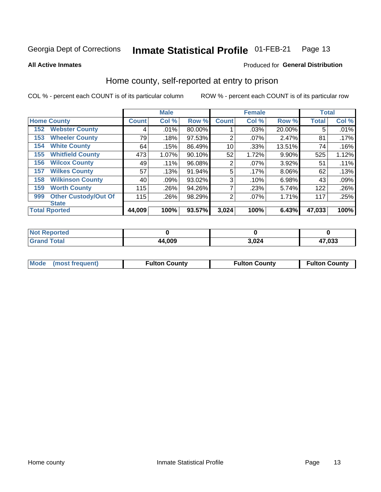#### Inmate Statistical Profile 01-FEB-21 Page 13

#### **All Active Inmates**

### Produced for General Distribution

### Home county, self-reported at entry to prison

COL % - percent each COUNT is of its particular column

|     |                             |              | <b>Male</b> |        |                | <b>Female</b> |          | <b>Total</b> |       |
|-----|-----------------------------|--------------|-------------|--------|----------------|---------------|----------|--------------|-------|
|     | <b>Home County</b>          | <b>Count</b> | Col %       | Row %  | <b>Count</b>   | Col %         | Row %    | <b>Total</b> | Col % |
| 152 | <b>Webster County</b>       | 4            | .01%        | 80.00% |                | .03%          | 20.00%   | 5            | .01%  |
| 153 | <b>Wheeler County</b>       | 79           | .18%        | 97.53% | 2              | .07%          | 2.47%    | 81           | .17%  |
| 154 | <b>White County</b>         | 64           | .15%        | 86.49% | 10             | .33%          | 13.51%   | 74           | .16%  |
| 155 | <b>Whitfield County</b>     | 473          | 1.07%       | 90.10% | 52             | 1.72%         | 9.90%    | 525          | 1.12% |
| 156 | <b>Wilcox County</b>        | 49           | .11%        | 96.08% | $\overline{2}$ | .07%          | 3.92%    | 51           | .11%  |
| 157 | <b>Wilkes County</b>        | 57           | .13%        | 91.94% | 5              | .17%          | $8.06\%$ | 62           | .13%  |
| 158 | <b>Wilkinson County</b>     | 40           | .09%        | 93.02% | 3              | .10%          | 6.98%    | 43           | .09%  |
| 159 | <b>Worth County</b>         | 115          | .26%        | 94.26% | 7              | .23%          | 5.74%    | 122          | .26%  |
| 999 | <b>Other Custody/Out Of</b> | 115          | .26%        | 98.29% | $\overline{2}$ | .07%          | 1.71%    | 117          | .25%  |
|     | <b>State</b>                |              |             |        |                |               |          |              |       |
|     | <b>Total Rported</b>        | 44,009       | 100%        | 93.57% | 3,024          | 100%          | 6.43%    | 47,033       | 100%  |

| <b>Not</b><br>Reported |        |       |        |
|------------------------|--------|-------|--------|
| <b>Total</b>           | 44,009 | 3,024 | 47,033 |

| Mode (most frequent)<br><b>Fulton County</b><br><b>Fulton County</b><br><b>Fulton County</b> |
|----------------------------------------------------------------------------------------------|
|----------------------------------------------------------------------------------------------|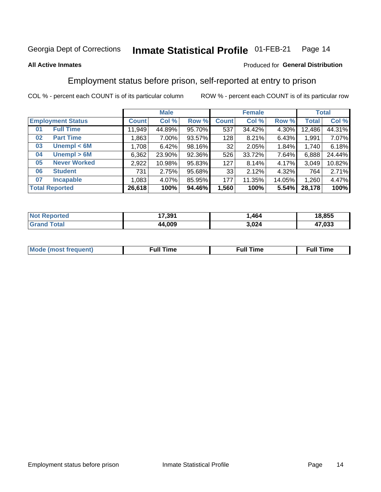#### Inmate Statistical Profile 01-FEB-21 Page 14

### **All Active Inmates**

### Produced for General Distribution

## Employment status before prison, self-reported at entry to prison

COL % - percent each COUNT is of its particular column

|                           |         | <b>Male</b> |        |              | <b>Female</b> |        |              | <b>Total</b> |
|---------------------------|---------|-------------|--------|--------------|---------------|--------|--------------|--------------|
| <b>Employment Status</b>  | Count l | Col %       | Row %  | <b>Count</b> | Col %         | Row %  | <b>Total</b> | Col %        |
| <b>Full Time</b><br>01    | 11,949  | 44.89%      | 95.70% | 537          | 34.42%        | 4.30%  | 12,486       | 44.31%       |
| <b>Part Time</b><br>02    | 1,863   | $7.00\%$    | 93.57% | 128          | 8.21%         | 6.43%  | 1,991        | 7.07%        |
| Unempl $<$ 6M<br>03       | 1,708   | 6.42%       | 98.16% | 32           | 2.05%         | 1.84%  | 1,740        | 6.18%        |
| Unempl > 6M<br>04         | 6,362   | 23.90%      | 92.36% | 526          | 33.72%        | 7.64%  | 6,888        | 24.44%       |
| <b>Never Worked</b><br>05 | 2,922   | 10.98%      | 95.83% | 127          | 8.14%         | 4.17%  | 3,049        | 10.82%       |
| <b>Student</b><br>06      | 731     | 2.75%       | 95.68% | 33           | 2.12%         | 4.32%  | 764          | 2.71%        |
| <b>Incapable</b><br>07    | 1,083   | 4.07%       | 85.95% | 177          | 11.35%        | 14.05% | 1,260        | 4.47%        |
| <b>Total Reported</b>     | 26,618  | 100%        | 94.46% | 1,560        | 100%          | 5.54%  | 28,178       | 100%         |

| prteo<br><b>NOT</b> | 17,391 | .464  | 18,855 |
|---------------------|--------|-------|--------|
| $T$ afal $T$        | 44.009 | 3,024 | 47,033 |

| Mc | ----<br>me<br>ш | nc<br>. |
|----|-----------------|---------|
|    |                 |         |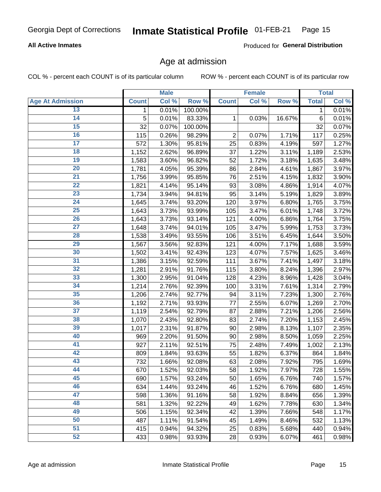### **All Active Inmates**

Produced for General Distribution

## Age at admission

COL % - percent each COUNT is of its particular column

|                         |              | <b>Male</b> |         |                | <b>Female</b> |          |              | <b>Total</b> |
|-------------------------|--------------|-------------|---------|----------------|---------------|----------|--------------|--------------|
| <b>Age At Admission</b> | <b>Count</b> | Col %       | Row %   | <b>Count</b>   | Col %         | Row %    | <b>Total</b> | Col %        |
| 13                      | 1            | 0.01%       | 100.00% |                |               |          | 1            | 0.01%        |
| $\overline{14}$         | 5            | 0.01%       | 83.33%  | 1              | 0.03%         | 16.67%   | 6            | 0.01%        |
| 15                      | 32           | 0.07%       | 100.00% |                |               |          | 32           | 0.07%        |
| 16                      | 115          | 0.26%       | 98.29%  | $\overline{2}$ | 0.07%         | 1.71%    | 117          | 0.25%        |
| $\overline{17}$         | 572          | 1.30%       | 95.81%  | 25             | 0.83%         | 4.19%    | 597          | 1.27%        |
| 18                      | 1,152        | 2.62%       | 96.89%  | 37             | 1.22%         | 3.11%    | 1,189        | 2.53%        |
| 19                      | 1,583        | 3.60%       | 96.82%  | 52             | 1.72%         | 3.18%    | 1,635        | 3.48%        |
| 20                      | 1,781        | 4.05%       | 95.39%  | 86             | 2.84%         | 4.61%    | 1,867        | 3.97%        |
| $\overline{21}$         | 1,756        | 3.99%       | 95.85%  | 76             | 2.51%         | 4.15%    | 1,832        | 3.90%        |
| $\overline{22}$         | 1,821        | 4.14%       | 95.14%  | 93             | 3.08%         | 4.86%    | 1,914        | 4.07%        |
| 23                      | 1,734        | 3.94%       | 94.81%  | 95             | 3.14%         | 5.19%    | 1,829        | 3.89%        |
| 24                      | 1,645        | 3.74%       | 93.20%  | 120            | 3.97%         | 6.80%    | 1,765        | 3.75%        |
| $\overline{25}$         | 1,643        | 3.73%       | 93.99%  | 105            | 3.47%         | 6.01%    | 1,748        | 3.72%        |
| 26                      | 1,643        | 3.73%       | 93.14%  | 121            | 4.00%         | $6.86\%$ | 1,764        | 3.75%        |
| $\overline{27}$         | 1,648        | 3.74%       | 94.01%  | 105            | 3.47%         | 5.99%    | 1,753        | 3.73%        |
| 28                      | 1,538        | 3.49%       | 93.55%  | 106            | 3.51%         | 6.45%    | 1,644        | 3.50%        |
| 29                      | 1,567        | 3.56%       | 92.83%  | 121            | 4.00%         | 7.17%    | 1,688        | 3.59%        |
| 30                      | 1,502        | 3.41%       | 92.43%  | 123            | 4.07%         | 7.57%    | 1,625        | 3.46%        |
| 31                      | 1,386        | 3.15%       | 92.59%  | 111            | 3.67%         | 7.41%    | 1,497        | 3.18%        |
| 32                      | 1,281        | 2.91%       | 91.76%  | 115            | 3.80%         | 8.24%    | 1,396        | 2.97%        |
| 33                      | 1,300        | 2.95%       | 91.04%  | 128            | 4.23%         | 8.96%    | 1,428        | 3.04%        |
| 34                      | 1,214        | 2.76%       | 92.39%  | 100            | 3.31%         | 7.61%    | 1,314        | 2.79%        |
| 35                      | 1,206        | 2.74%       | 92.77%  | 94             | 3.11%         | 7.23%    | 1,300        | 2.76%        |
| 36                      | 1,192        | 2.71%       | 93.93%  | 77             | 2.55%         | 6.07%    | 1,269        | 2.70%        |
| $\overline{37}$         | 1,119        | 2.54%       | 92.79%  | 87             | 2.88%         | 7.21%    | 1,206        | 2.56%        |
| 38                      | 1,070        | 2.43%       | 92.80%  | 83             | 2.74%         | 7.20%    | 1,153        | 2.45%        |
| 39                      | 1,017        | 2.31%       | 91.87%  | 90             | 2.98%         | 8.13%    | 1,107        | 2.35%        |
| 40                      | 969          | 2.20%       | 91.50%  | 90             | 2.98%         | 8.50%    | 1,059        | 2.25%        |
| 41                      | 927          | 2.11%       | 92.51%  | 75             | 2.48%         | 7.49%    | 1,002        | 2.13%        |
| 42                      | 809          | 1.84%       | 93.63%  | 55             | 1.82%         | 6.37%    | 864          | 1.84%        |
| 43                      | 732          | 1.66%       | 92.08%  | 63             | 2.08%         | 7.92%    | 795          | 1.69%        |
| 44                      | 670          | 1.52%       | 92.03%  | 58             | 1.92%         | 7.97%    | 728          | 1.55%        |
| 45                      | 690          | 1.57%       | 93.24%  | 50             | 1.65%         | 6.76%    | 740          | 1.57%        |
| 46                      | 634          | 1.44%       | 93.24%  | 46             | 1.52%         | 6.76%    | 680          | 1.45%        |
| 47                      | 598          | 1.36%       | 91.16%  | 58             | 1.92%         | 8.84%    | 656          | 1.39%        |
| 48                      | 581          | 1.32%       | 92.22%  | 49             | 1.62%         | 7.78%    | 630          | 1.34%        |
| 49                      | 506          | 1.15%       | 92.34%  | 42             | 1.39%         | 7.66%    | 548          | 1.17%        |
| 50                      | 487          | 1.11%       | 91.54%  | 45             | 1.49%         | 8.46%    | 532          | 1.13%        |
| 51                      | 415          | 0.94%       | 94.32%  | 25             | 0.83%         | 5.68%    | 440          | 0.94%        |
| 52                      | 433          | 0.98%       | 93.93%  | 28             | 0.93%         | 6.07%    | 461          | 0.98%        |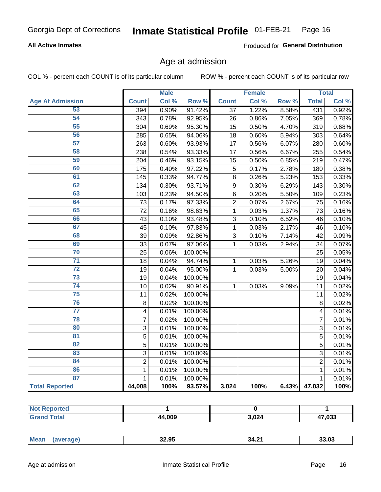### **All Active Inmates**

Produced for General Distribution

### Age at admission

COL % - percent each COUNT is of its particular column

|                         |                         | <b>Male</b> |         |                  | <b>Female</b> |       |                | <b>Total</b> |
|-------------------------|-------------------------|-------------|---------|------------------|---------------|-------|----------------|--------------|
| <b>Age At Admission</b> | <b>Count</b>            | Col %       | Row %   | <b>Count</b>     | Col %         | Row % | <b>Total</b>   | Col %        |
| 53                      | 394                     | 0.90%       | 91.42%  | 37               | 1.22%         | 8.58% | 431            | 0.92%        |
| 54                      | 343                     | 0.78%       | 92.95%  | 26               | 0.86%         | 7.05% | 369            | 0.78%        |
| 55                      | 304                     | 0.69%       | 95.30%  | 15               | 0.50%         | 4.70% | 319            | 0.68%        |
| 56                      | 285                     | 0.65%       | 94.06%  | 18               | 0.60%         | 5.94% | 303            | 0.64%        |
| $\overline{57}$         | 263                     | 0.60%       | 93.93%  | 17               | 0.56%         | 6.07% | 280            | 0.60%        |
| 58                      | 238                     | 0.54%       | 93.33%  | 17               | 0.56%         | 6.67% | 255            | 0.54%        |
| 59                      | 204                     | 0.46%       | 93.15%  | 15               | 0.50%         | 6.85% | 219            | 0.47%        |
| 60                      | 175                     | 0.40%       | 97.22%  | 5                | 0.17%         | 2.78% | 180            | 0.38%        |
| 61                      | 145                     | 0.33%       | 94.77%  | 8                | 0.26%         | 5.23% | 153            | 0.33%        |
| 62                      | 134                     | 0.30%       | 93.71%  | $\boldsymbol{9}$ | 0.30%         | 6.29% | 143            | 0.30%        |
| 63                      | 103                     | 0.23%       | 94.50%  | $\overline{6}$   | 0.20%         | 5.50% | 109            | 0.23%        |
| 64                      | 73                      | 0.17%       | 97.33%  | $\overline{2}$   | 0.07%         | 2.67% | 75             | 0.16%        |
| 65                      | 72                      | 0.16%       | 98.63%  | $\mathbf{1}$     | 0.03%         | 1.37% | 73             | 0.16%        |
| 66                      | 43                      | 0.10%       | 93.48%  | $\overline{3}$   | 0.10%         | 6.52% | 46             | 0.10%        |
| 67                      | 45                      | 0.10%       | 97.83%  | 1                | 0.03%         | 2.17% | 46             | 0.10%        |
| 68                      | 39                      | 0.09%       | 92.86%  | 3                | 0.10%         | 7.14% | 42             | 0.09%        |
| 69                      | 33                      | 0.07%       | 97.06%  | 1                | 0.03%         | 2.94% | 34             | 0.07%        |
| 70                      | 25                      | 0.06%       | 100.00% |                  |               |       | 25             | 0.05%        |
| $\overline{71}$         | 18                      | 0.04%       | 94.74%  | 1                | 0.03%         | 5.26% | 19             | 0.04%        |
| $\overline{72}$         | 19                      | 0.04%       | 95.00%  | $\mathbf 1$      | 0.03%         | 5.00% | 20             | 0.04%        |
| $\overline{73}$         | 19                      | 0.04%       | 100.00% |                  |               |       | 19             | 0.04%        |
| $\overline{74}$         | 10                      | 0.02%       | 90.91%  | $\mathbf{1}$     | 0.03%         | 9.09% | 11             | 0.02%        |
| 75                      | 11                      | 0.02%       | 100.00% |                  |               |       | 11             | 0.02%        |
| 76                      | 8                       | 0.02%       | 100.00% |                  |               |       | 8              | 0.02%        |
| $\overline{77}$         | $\overline{\mathbf{4}}$ | 0.01%       | 100.00% |                  |               |       | 4              | 0.01%        |
| 78                      | $\overline{7}$          | 0.02%       | 100.00% |                  |               |       | $\overline{7}$ | 0.01%        |
| 80                      | 3                       | 0.01%       | 100.00% |                  |               |       | $\overline{3}$ | 0.01%        |
| $\overline{81}$         | $\overline{5}$          | 0.01%       | 100.00% |                  |               |       | $\overline{5}$ | 0.01%        |
| 82                      | 5                       | 0.01%       | 100.00% |                  |               |       | 5              | 0.01%        |
| 83                      | 3                       | 0.01%       | 100.00% |                  |               |       | 3              | 0.01%        |
| 84                      | $\overline{2}$          | 0.01%       | 100.00% |                  |               |       | $\overline{2}$ | 0.01%        |
| 86                      | $\mathbf 1$             | 0.01%       | 100.00% |                  |               |       | 1              | 0.01%        |
| 87                      | $\mathbf{1}$            | 0.01%       | 100.00% |                  |               |       | $\mathbf{1}$   | 0.01%        |
| <b>Total Reported</b>   | 44,008                  | 100%        | 93.57%  | 3,024            | 100%          | 6.43% | 47,032         | 100%         |

| тес |             |       |                |
|-----|-------------|-------|----------------|
|     | 4,009<br>дд | 3,024 | 17.000<br>.v.s |

|  | Mea. | 32.95 | л.<br>34.4. | 3 U. |
|--|------|-------|-------------|------|
|--|------|-------|-------------|------|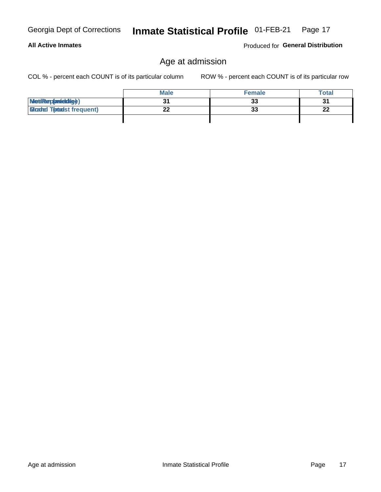**All Active Inmates** 

## Age at admission

COL % - percent each COUNT is of its particular column

ROW % - percent each COUNT is of its particular row

|                                   | <b>Male</b> | <b>Female</b> | <b>Total</b> |
|-----------------------------------|-------------|---------------|--------------|
| MetiRep(anicidig)                 |             | 33            |              |
| <b>Glizated Totadst frequent)</b> |             | 33            | n.<br>▴▴     |
|                                   |             |               |              |

Produced for General Distribution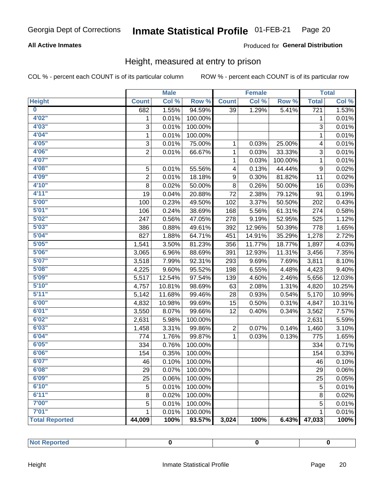### **All Active Inmates**

### Produced for General Distribution

### Height, measured at entry to prison

COL % - percent each COUNT is of its particular column

|                       |                | <b>Male</b> |         |                  | <b>Female</b>              |         |                  | <b>Total</b> |
|-----------------------|----------------|-------------|---------|------------------|----------------------------|---------|------------------|--------------|
| <b>Height</b>         | <b>Count</b>   | Col %       | Row %   | <b>Count</b>     | $\overline{\text{Col }^9}$ | Row %   | <b>Total</b>     | Col %        |
| $\bf{0}$              | 682            | 1.55%       | 94.59%  | 39               | 1.29%                      | 5.41%   | $\overline{721}$ | 1.53%        |
| 4'02''                | 1              | 0.01%       | 100.00% |                  |                            |         | 1                | 0.01%        |
| 4'03''                | 3              | 0.01%       | 100.00% |                  |                            |         | 3                | 0.01%        |
| 4'04"                 | 1              | 0.01%       | 100.00% |                  |                            |         | 1                | 0.01%        |
| 4'05"                 | 3              | 0.01%       | 75.00%  | $\mathbf{1}$     | 0.03%                      | 25.00%  | 4                | 0.01%        |
| 4'06"                 | $\overline{2}$ | 0.01%       | 66.67%  | 1                | 0.03%                      | 33.33%  | 3                | 0.01%        |
| 4'07"                 |                |             |         | $\mathbf{1}$     | 0.03%                      | 100.00% | $\mathbf{1}$     | 0.01%        |
| 4'08"                 | 5              | 0.01%       | 55.56%  | 4                | 0.13%                      | 44.44%  | 9                | 0.02%        |
| 4'09"                 | $\overline{2}$ | 0.01%       | 18.18%  | $\boldsymbol{9}$ | 0.30%                      | 81.82%  | 11               | 0.02%        |
| 4'10"                 | 8              | 0.02%       | 50.00%  | 8                | 0.26%                      | 50.00%  | 16               | 0.03%        |
| 4'11''                | 19             | 0.04%       | 20.88%  | 72               | 2.38%                      | 79.12%  | 91               | 0.19%        |
| 5'00''                | 100            | 0.23%       | 49.50%  | 102              | 3.37%                      | 50.50%  | 202              | 0.43%        |
| 5'01"                 | 106            | 0.24%       | 38.69%  | 168              | 5.56%                      | 61.31%  | 274              | 0.58%        |
| 5'02"                 | 247            | 0.56%       | 47.05%  | 278              | 9.19%                      | 52.95%  | 525              | 1.12%        |
| 5'03''                | 386            | 0.88%       | 49.61%  | 392              | 12.96%                     | 50.39%  | 778              | 1.65%        |
| 5'04"                 | 827            | 1.88%       | 64.71%  | 451              | 14.91%                     | 35.29%  | 1,278            | 2.72%        |
| 5'05"                 | 1,541          | 3.50%       | 81.23%  | 356              | 11.77%                     | 18.77%  | 1,897            | 4.03%        |
| 5'06''                | 3,065          | 6.96%       | 88.69%  | 391              | 12.93%                     | 11.31%  | 3,456            | 7.35%        |
| 5'07"                 | 3,518          | 7.99%       | 92.31%  | 293              | 9.69%                      | 7.69%   | 3,811            | 8.10%        |
| 5'08''                | 4,225          | 9.60%       | 95.52%  | 198              | 6.55%                      | 4.48%   | 4,423            | 9.40%        |
| 5'09''                | 5,517          | 12.54%      | 97.54%  | 139              | 4.60%                      | 2.46%   | 5,656            | 12.03%       |
| 5'10''                | 4,757          | 10.81%      | 98.69%  | 63               | 2.08%                      | 1.31%   | 4,820            | 10.25%       |
| 5'11''                | 5,142          | 11.68%      | 99.46%  | 28               | 0.93%                      | 0.54%   | 5,170            | 10.99%       |
| 6'00''                | 4,832          | 10.98%      | 99.69%  | 15               | 0.50%                      | 0.31%   | 4,847            | 10.31%       |
| 6'01''                | 3,550          | 8.07%       | 99.66%  | 12               | 0.40%                      | 0.34%   | 3,562            | 7.57%        |
| 6'02"                 | 2,631          | 5.98%       | 100.00% |                  |                            |         | 2,631            | 5.59%        |
| 6'03''                | 1,458          | 3.31%       | 99.86%  | $\overline{2}$   | 0.07%                      | 0.14%   | 1,460            | 3.10%        |
| 6'04"                 | 774            | 1.76%       | 99.87%  | $\mathbf{1}$     | 0.03%                      | 0.13%   | 775              | 1.65%        |
| 6'05"                 | 334            | 0.76%       | 100.00% |                  |                            |         | 334              | 0.71%        |
| 6'06''                | 154            | 0.35%       | 100.00% |                  |                            |         | 154              | 0.33%        |
| 6'07''                | 46             | 0.10%       | 100.00% |                  |                            |         | 46               | 0.10%        |
| 6'08''                | 29             | 0.07%       | 100.00% |                  |                            |         | 29               | 0.06%        |
| 6'09''                | 25             | 0.06%       | 100.00% |                  |                            |         | 25               | 0.05%        |
| 6'10''                | 5              | 0.01%       | 100.00% |                  |                            |         | 5                | 0.01%        |
| 6'11''                | 8              | 0.02%       | 100.00% |                  |                            |         | 8                | 0.02%        |
| 7'00"                 | 5              | 0.01%       | 100.00% |                  |                            |         | 5                | 0.01%        |
| 7'01''                | 1              | 0.01%       | 100.00% |                  |                            |         | 1                | 0.01%        |
| <b>Total Reported</b> | 44,009         | 100%        | 93.57%  | 3,024            | 100%                       | 6.43%   | 47,033           | 100%         |

| and a series<br>ported<br><br>-- |  |  |
|----------------------------------|--|--|
|                                  |  |  |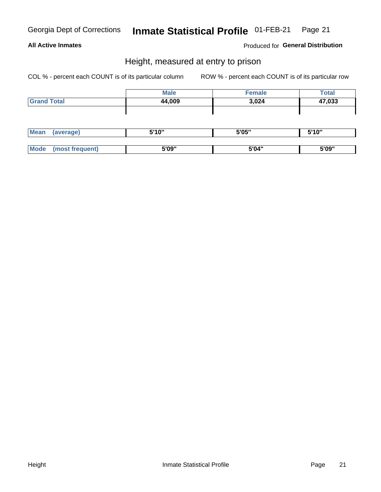### **All Active Inmates**

### Produced for General Distribution

### Height, measured at entry to prison

COL % - percent each COUNT is of its particular column

|                    | <b>Male</b> | <b>Female</b> | Total  |
|--------------------|-------------|---------------|--------|
| <b>Grand Total</b> | 44,009      | 3,024         | 47,033 |
|                    |             |               |        |
|                    |             |               |        |

| <b>Mean</b> | rerage) | <b>E'10"</b><br>- I V<br> | 5'05" | 5'10" |
|-------------|---------|---------------------------|-------|-------|
|             |         |                           |       |       |
| <b>Mode</b> |         | 5'09"                     | 5'04" | 5'09" |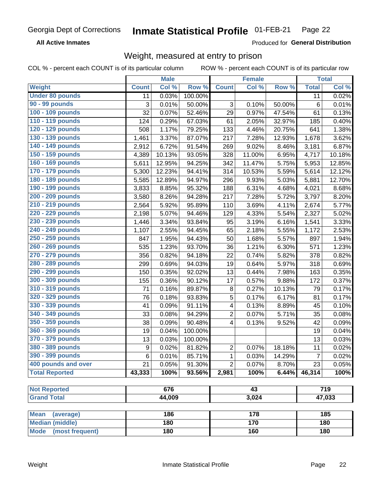**All Active Inmates** 

Produced for General Distribution

## Weight, measured at entry to prison

COL % - percent each COUNT is of its particular column

|                                |              | <b>Male</b> |         |                | <b>Female</b>   |        |                | <b>Total</b> |
|--------------------------------|--------------|-------------|---------|----------------|-----------------|--------|----------------|--------------|
| Weight                         | <b>Count</b> | Col %       | Row %   | <b>Count</b>   | Col %           | Row %  | <b>Total</b>   | Col %        |
| <b>Under 80 pounds</b>         | 11           | 0.03%       | 100.00% |                |                 |        | 11             | 0.02%        |
| 90 - 99 pounds                 | 3            | 0.01%       | 50.00%  | 3              | 0.10%           | 50.00% | 6              | 0.01%        |
| 100 - 109 pounds               | 32           | 0.07%       | 52.46%  | 29             | 0.97%           | 47.54% | 61             | 0.13%        |
| 110 - 119 pounds               | 124          | 0.29%       | 67.03%  | 61             | 2.05%           | 32.97% | 185            | 0.40%        |
| 120 - 129 pounds               | 508          | 1.17%       | 79.25%  | 133            | 4.46%           | 20.75% | 641            | 1.38%        |
| 130 - 139 pounds               | 1,461        | 3.37%       | 87.07%  | 217            | 7.28%           | 12.93% | 1,678          | 3.62%        |
| 140 - 149 pounds               | 2,912        | 6.72%       | 91.54%  | 269            | 9.02%           | 8.46%  | 3,181          | 6.87%        |
| 150 - 159 pounds               | 4,389        | 10.13%      | 93.05%  | 328            | 11.00%          | 6.95%  | 4,717          | 10.18%       |
| 160 - 169 pounds               | 5,611        | 12.95%      | 94.25%  | 342            | 11.47%          | 5.75%  | 5,953          | 12.85%       |
| 170 - 179 pounds               | 5,300        | 12.23%      | 94.41%  | 314            | 10.53%          | 5.59%  | 5,614          | 12.12%       |
| 180 - 189 pounds               | 5,585        | 12.89%      | 94.97%  | 296            | 9.93%           | 5.03%  | 5,881          | 12.70%       |
| 190 - 199 pounds               | 3,833        | 8.85%       | 95.32%  | 188            | 6.31%           | 4.68%  | 4,021          | 8.68%        |
| 200 - 209 pounds               | 3,580        | 8.26%       | 94.28%  | 217            | 7.28%           | 5.72%  | 3,797          | 8.20%        |
| 210 - 219 pounds               | 2,564        | 5.92%       | 95.89%  | 110            | 3.69%           | 4.11%  | 2,674          | 5.77%        |
| 220 - 229 pounds               | 2,198        | 5.07%       | 94.46%  | 129            | 4.33%           | 5.54%  | 2,327          | 5.02%        |
| 230 - 239 pounds               | 1,446        | 3.34%       | 93.84%  | 95             | 3.19%           | 6.16%  | 1,541          | 3.33%        |
| 240 - 249 pounds               | 1,107        | 2.55%       | 94.45%  | 65             | 2.18%           | 5.55%  | 1,172          | 2.53%        |
| 250 - 259 pounds               | 847          | 1.95%       | 94.43%  | 50             | 1.68%           | 5.57%  | 897            | 1.94%        |
| 260 - 269 pounds               | 535          | 1.23%       | 93.70%  | 36             | 1.21%           | 6.30%  | 571            | 1.23%        |
| 270 - 279 pounds               | 356          | 0.82%       | 94.18%  | 22             | 0.74%           | 5.82%  | 378            | 0.82%        |
| 280 - 289 pounds               | 299          | 0.69%       | 94.03%  | 19             | 0.64%           | 5.97%  | 318            | 0.69%        |
| 290 - 299 pounds               | 150          | 0.35%       | 92.02%  | 13             | 0.44%           | 7.98%  | 163            | 0.35%        |
| 300 - 309 pounds               | 155          | 0.36%       | 90.12%  | 17             | 0.57%           | 9.88%  | 172            | 0.37%        |
| 310 - 319 pounds               | 71           | 0.16%       | 89.87%  | 8              | 0.27%           | 10.13% | 79             | 0.17%        |
| 320 - 329 pounds               | 76           | 0.18%       | 93.83%  | $\sqrt{5}$     | 0.17%           | 6.17%  | 81             | 0.17%        |
| 330 - 339 pounds               | 41           | 0.09%       | 91.11%  | 4              | 0.13%           | 8.89%  | 45             | 0.10%        |
| 340 - 349 pounds               | 33           | 0.08%       | 94.29%  | 2              | 0.07%           | 5.71%  | 35             | 0.08%        |
| 350 - 359 pounds               | 38           | 0.09%       | 90.48%  | 4              | 0.13%           | 9.52%  | 42             | 0.09%        |
| 360 - 369 pounds               | 19           | 0.04%       | 100.00% |                |                 |        | 19             | 0.04%        |
| 370 - 379 pounds               | 13           | 0.03%       | 100.00% |                |                 |        | 13             | 0.03%        |
| 380 - 389 pounds               | 9            | 0.02%       | 81.82%  | $\overline{2}$ | 0.07%           | 18.18% | 11             | 0.02%        |
| 390 - 399 pounds               | 6            | 0.01%       | 85.71%  | 1              | 0.03%           | 14.29% | $\overline{7}$ | 0.02%        |
| 400 pounds and over            | 21           | 0.05%       | 91.30%  | $\overline{2}$ | 0.07%           | 8.70%  | 23             | 0.05%        |
| <b>Total Reported</b>          | 43,333       | 100%        | 93.56%  | 2,981          | 100%            | 6.44%  | 46,314         | 100%         |
|                                |              |             |         |                |                 |        |                |              |
| <b>Not Reported</b>            |              | 676         |         |                | $\overline{43}$ |        |                | 719          |
| <b>Grand Total</b>             |              | 44,009      |         | 3,024          |                 |        | 47,033         |              |
| <b>Mean</b><br>(average)       |              | 186         |         |                | 178             |        |                | 185          |
| <b>Median (middle)</b>         |              | 180         |         |                | 170             |        |                | 180          |
| <b>Mode</b><br>(most frequent) |              | 180         |         |                | 160             |        |                | 180          |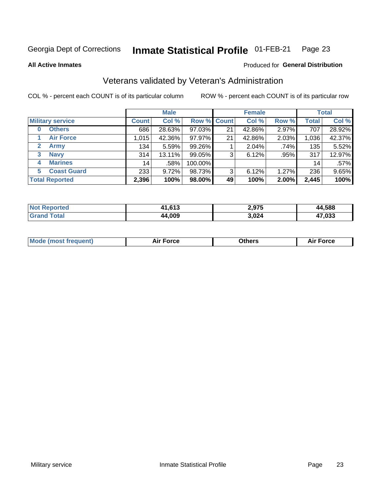#### Inmate Statistical Profile 01-FEB-21 Page 23

**All Active Inmates** 

#### Produced for General Distribution

## Veterans validated by Veteran's Administration

COL % - percent each COUNT is of its particular column

|                             |              | <b>Male</b> |         |             | <b>Female</b> |       |              | <b>Total</b> |
|-----------------------------|--------------|-------------|---------|-------------|---------------|-------|--------------|--------------|
| <b>Military service</b>     | <b>Count</b> | Col %       |         | Row % Count | Col %         | Row % | <b>Total</b> | Col %        |
| <b>Others</b><br>0          | 686          | 28.63%      | 97.03%  | 21          | 42.86%        | 2.97% | 707          | 28.92%       |
| <b>Air Force</b>            | 1,015        | 42.36%      | 97.97%  | 21          | 42.86%        | 2.03% | 1,036        | 42.37%       |
| <b>Army</b><br>$\mathbf{2}$ | 134          | 5.59%       | 99.26%  |             | 2.04%         | .74%  | 135          | 5.52%        |
| <b>Navy</b><br>3            | 314          | 13.11%      | 99.05%  | 3           | 6.12%         | .95%  | 317          | 12.97%       |
| <b>Marines</b><br>4         | 14           | .58%        | 100.00% |             |               |       | 14           | .57%         |
| <b>Coast Guard</b><br>5     | 233          | 9.72%       | 98.73%  | 3           | 6.12%         | 1.27% | 236          | 9.65%        |
| <b>Total Reported</b>       | 2,396        | 100%        | 98.00%  | 49          | 100%          | 2.00% | 2,445        | 100%         |

| orted<br><b>NOT</b> | 11,613 | 2,975 | .588<br>ад |
|---------------------|--------|-------|------------|
| $\sim$              | 44,009 | 3,024 | 17,033     |

|  |  | <b>Mode (most frequent)</b> | <b>Force</b><br>Aır | วthers | orce |
|--|--|-----------------------------|---------------------|--------|------|
|--|--|-----------------------------|---------------------|--------|------|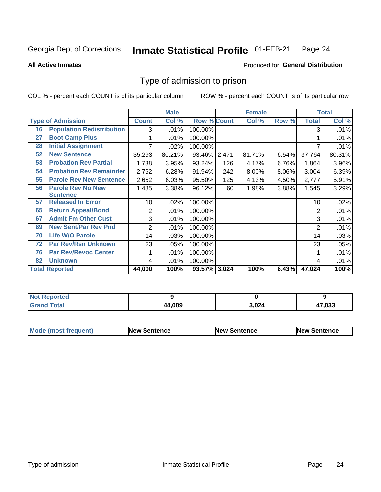#### Inmate Statistical Profile 01-FEB-21 Page 24

**All Active Inmates** 

#### Produced for General Distribution

## Type of admission to prison

COL % - percent each COUNT is of its particular column

|    |                                  |              | <b>Male</b> |                    |       | <b>Female</b> |          |              | <b>Total</b> |
|----|----------------------------------|--------------|-------------|--------------------|-------|---------------|----------|--------------|--------------|
|    | <b>Type of Admission</b>         | <b>Count</b> | Col %       | <b>Row % Count</b> |       | Col %         | Row %    | <b>Total</b> | Col %        |
| 16 | <b>Population Redistribution</b> | 3            | .01%        | 100.00%            |       |               |          | 3            | .01%         |
| 27 | <b>Boot Camp Plus</b>            |              | .01%        | 100.00%            |       |               |          |              | .01%         |
| 28 | <b>Initial Assignment</b>        |              | .02%        | 100.00%            |       |               |          |              | .01%         |
| 52 | <b>New Sentence</b>              | 35,293       | 80.21%      | 93.46%             | 2,471 | 81.71%        | 6.54%    | 37,764       | 80.31%       |
| 53 | <b>Probation Rev Partial</b>     | 1,738        | 3.95%       | 93.24%             | 126   | 4.17%         | 6.76%    | 1,864        | 3.96%        |
| 54 | <b>Probation Rev Remainder</b>   | 2,762        | 6.28%       | 91.94%             | 242   | 8.00%         | $8.06\%$ | 3,004        | 6.39%        |
| 55 | <b>Parole Rev New Sentence</b>   | 2,652        | 6.03%       | 95.50%             | 125   | 4.13%         | 4.50%    | 2,777        | 5.91%        |
| 56 | <b>Parole Rev No New</b>         | 1,485        | 3.38%       | 96.12%             | 60    | 1.98%         | 3.88%    | 1,545        | 3.29%        |
|    | <b>Sentence</b>                  |              |             |                    |       |               |          |              |              |
| 57 | <b>Released In Error</b>         | 10           | .02%        | 100.00%            |       |               |          | 10           | .02%         |
| 65 | <b>Return Appeal/Bond</b>        | 2            | .01%        | 100.00%            |       |               |          | 2            | .01%         |
| 67 | <b>Admit Fm Other Cust</b>       | 3            | .01%        | 100.00%            |       |               |          | 3            | .01%         |
| 69 | <b>New Sent/Par Rev Pnd</b>      | 2            | .01%        | 100.00%            |       |               |          | 2            | .01%         |
| 70 | <b>Life W/O Parole</b>           | 14           | .03%        | 100.00%            |       |               |          | 14           | .03%         |
| 72 | <b>Par Rev/Rsn Unknown</b>       | 23           | .05%        | 100.00%            |       |               |          | 23           | .05%         |
| 76 | <b>Par Rev/Revoc Center</b>      |              | .01%        | 100.00%            |       |               |          |              | .01%         |
| 82 | <b>Unknown</b>                   | 4            | .01%        | 100.00%            |       |               |          | 4            | .01%         |
|    | <b>Total Reported</b>            | 44,000       | 100%        | 93.57% 3,024       |       | 100%          | 6.43%    | 47,024       | 100%         |

| Not Repo<br><b>roorted</b> |        |       |        |
|----------------------------|--------|-------|--------|
| <b>Total</b><br>Cror       | 44,009 | 3,024 | 17,033 |

| <b>Mode (most frequent)</b> | <b>New Sentence</b> | <b>New Sentence</b> | <b>New Sentence</b> |
|-----------------------------|---------------------|---------------------|---------------------|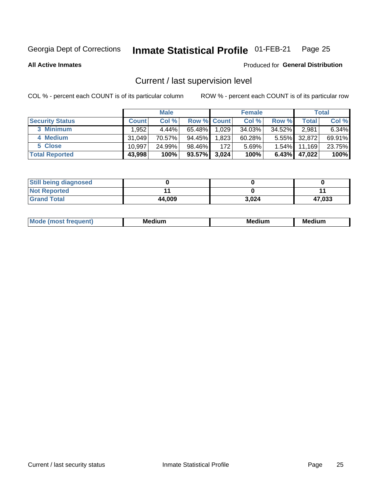#### Inmate Statistical Profile 01-FEB-21 Page 25

**All Active Inmates** 

#### Produced for General Distribution

## Current / last supervision level

COL % - percent each COUNT is of its particular column

|                        |              | <b>Male</b> |             |       | <b>Female</b> |          |        | <b>Total</b> |
|------------------------|--------------|-------------|-------------|-------|---------------|----------|--------|--------------|
| <b>Security Status</b> | <b>Count</b> | Col %       | Row % Count |       | Col %         | Row %    | Total  | Col %        |
| 3 Minimum              | .952         | $4.44\%$    | 65.48%      | 1,029 | 34.03%        | 34.52%   | 2,981  | 6.34%        |
| 4 Medium               | 31,049       | 70.57%      | 94.45%      | 1,823 | 60.28%        | $5.55\%$ | 32,872 | 69.91%       |
| 5 Close                | 10.997       | 24.99%      | 98.46%      | 172   | 5.69%         | $1.54\%$ | 11,169 | 23.75%       |
| <b>Total Reported</b>  | 43,998       | 100%        | $93.57\%$   | 3,024 | 100%          | $6.43\%$ | 47,022 | 100%         |

| <b>Still being diagnosed</b> |        |       |        |
|------------------------------|--------|-------|--------|
| <b>Not Reported</b>          |        |       |        |
| <b>Grand Total</b>           | 44,009 | 3.024 | 47,033 |

| M | M | . . |
|---|---|-----|
|   |   |     |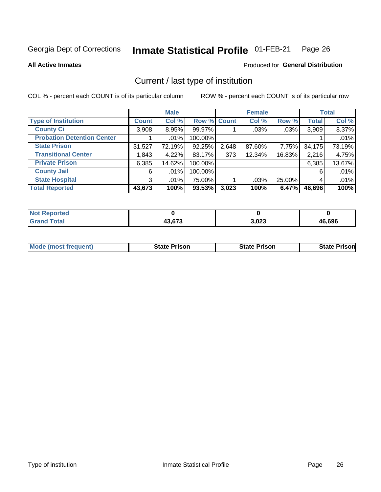#### Inmate Statistical Profile 01-FEB-21 Page 26

**All Active Inmates** 

#### Produced for General Distribution

## Current / last type of institution

COL % - percent each COUNT is of its particular column

|                                   |                | <b>Male</b> |             |       | <b>Female</b> |        |              | <b>Total</b> |
|-----------------------------------|----------------|-------------|-------------|-------|---------------|--------|--------------|--------------|
| <b>Type of Institution</b>        | <b>Count</b>   | Col %       | Row % Count |       | Col %         | Row %  | <b>Total</b> | Col %        |
| <b>County Ci</b>                  | 3,908          | 8.95%       | 99.97%      |       | .03%          | .03%   | 3,909        | 8.37%        |
| <b>Probation Detention Center</b> |                | $.01\%$     | 100.00%     |       |               |        |              | .01%         |
| <b>State Prison</b>               | 31,527         | 72.19%      | 92.25%      | 2,648 | 87.60%        | 7.75%  | 34,175       | 73.19%       |
| <b>Transitional Center</b>        | 1,843          | 4.22%       | 83.17%      | 373   | 12.34%        | 16.83% | 2,216        | 4.75%        |
| <b>Private Prison</b>             | 6,385          | 14.62%      | 100.00%     |       |               |        | 6,385        | 13.67%       |
| <b>County Jail</b>                | 6              | $.01\%$     | 100.00%     |       |               |        | 6            | .01%         |
| <b>State Hospital</b>             | 3 <sup>1</sup> | $.01\%$     | 75.00%      |       | .03%          | 25.00% | 4            | .01%         |
| <b>Total Reported</b>             | 43,673         | 100%        | 93.53%      | 3,023 | 100%          | 6.47%  | 46,696       | 100%         |

| ported<br><b>NOT</b> |        |       |        |
|----------------------|--------|-------|--------|
| <b>otal</b>          | 13 G73 | 3,023 | 46,696 |

| <b>Mode (most frequent)</b> | <b>State Prison</b> | <b>State Prison</b> | <b>State Prison</b> |
|-----------------------------|---------------------|---------------------|---------------------|
|                             |                     |                     |                     |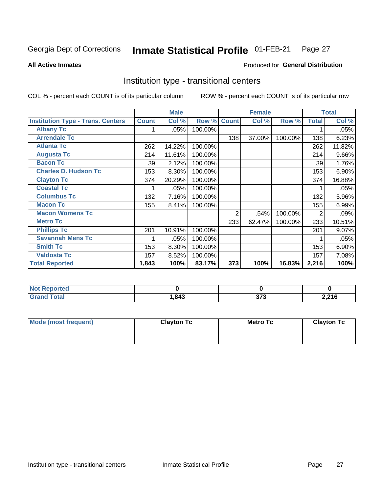#### Inmate Statistical Profile 01-FEB-21 Page 27

Produced for General Distribution

#### **All Active Inmates**

## Institution type - transitional centers

COL % - percent each COUNT is of its particular column

|                                          |              | <b>Male</b> |         |              | <b>Female</b> |         |              | <b>Total</b> |
|------------------------------------------|--------------|-------------|---------|--------------|---------------|---------|--------------|--------------|
| <b>Institution Type - Trans. Centers</b> | <b>Count</b> | Col %       | Row %   | <b>Count</b> | Col %         | Row %   | <b>Total</b> | Col %        |
| <b>Albany Tc</b>                         | 1            | .05%        | 100.00% |              |               |         |              | .05%         |
| <b>Arrendale Tc</b>                      |              |             |         | 138          | 37.00%        | 100.00% | 138          | 6.23%        |
| <b>Atlanta Tc</b>                        | 262          | 14.22%      | 100.00% |              |               |         | 262          | 11.82%       |
| <b>Augusta Tc</b>                        | 214          | 11.61%      | 100.00% |              |               |         | 214          | 9.66%        |
| <b>Bacon Tc</b>                          | 39           | 2.12%       | 100.00% |              |               |         | 39           | 1.76%        |
| <b>Charles D. Hudson Tc</b>              | 153          | 8.30%       | 100.00% |              |               |         | 153          | 6.90%        |
| <b>Clayton Tc</b>                        | 374          | 20.29%      | 100.00% |              |               |         | 374          | 16.88%       |
| <b>Coastal Tc</b>                        |              | .05%        | 100.00% |              |               |         |              | .05%         |
| <b>Columbus Tc</b>                       | 132          | 7.16%       | 100.00% |              |               |         | 132          | 5.96%        |
| <b>Macon Tc</b>                          | 155          | 8.41%       | 100.00% |              |               |         | 155          | 6.99%        |
| <b>Macon Womens Tc</b>                   |              |             |         | 2            | .54%          | 100.00% | 2            | .09%         |
| <b>Metro Tc</b>                          |              |             |         | 233          | 62.47%        | 100.00% | 233          | 10.51%       |
| <b>Phillips Tc</b>                       | 201          | 10.91%      | 100.00% |              |               |         | 201          | 9.07%        |
| <b>Savannah Mens Tc</b>                  | 1            | .05%        | 100.00% |              |               |         |              | .05%         |
| <b>Smith Tc</b>                          | 153          | 8.30%       | 100.00% |              |               |         | 153          | 6.90%        |
| <b>Valdosta Tc</b>                       | 157          | 8.52%       | 100.00% |              |               |         | 157          | 7.08%        |
| <b>Total Reported</b>                    | 1,843        | 100%        | 83.17%  | 373          | 100%          | 16.83%  | 2,216        | 100%         |

| <b>Not</b><br><b>Reported</b> |     |             |       |
|-------------------------------|-----|-------------|-------|
| <b>Total</b>                  | 843 | ^7^<br>JI J | 2,216 |

| Mode (most frequent) | <b>Clayton Tc</b> | Metro Tc | <b>Clayton Tc</b> |
|----------------------|-------------------|----------|-------------------|
|                      |                   |          |                   |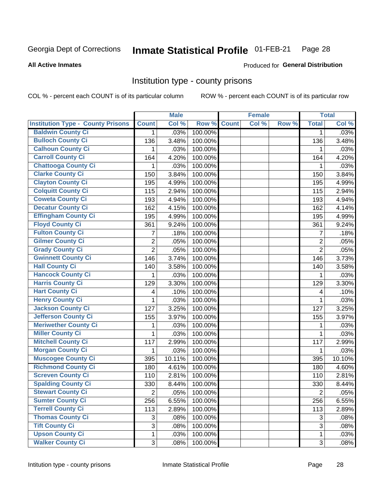#### Inmate Statistical Profile 01-FEB-21 Page 28

#### **All Active Inmates**

### Produced for General Distribution

### Institution type - county prisons

COL % - percent each COUNT is of its particular column

|                                          |                         | <b>Male</b> |         |              | <b>Female</b> |       |                | <b>Total</b> |
|------------------------------------------|-------------------------|-------------|---------|--------------|---------------|-------|----------------|--------------|
| <b>Institution Type - County Prisons</b> | <b>Count</b>            | Col %       | Row %   | <b>Count</b> | Col %         | Row % | <b>Total</b>   | Col %        |
| <b>Baldwin County Ci</b>                 | $\mathbf{1}$            | .03%        | 100.00% |              |               |       | $\mathbf 1$    | .03%         |
| <b>Bulloch County Ci</b>                 | 136                     | 3.48%       | 100.00% |              |               |       | 136            | 3.48%        |
| <b>Calhoun County Ci</b>                 | 1                       | .03%        | 100.00% |              |               |       | 1              | .03%         |
| <b>Carroll County Ci</b>                 | 164                     | 4.20%       | 100.00% |              |               |       | 164            | 4.20%        |
| <b>Chattooga County Ci</b>               | 1                       | .03%        | 100.00% |              |               |       | 1              | .03%         |
| <b>Clarke County Ci</b>                  | 150                     | 3.84%       | 100.00% |              |               |       | 150            | 3.84%        |
| <b>Clayton County Ci</b>                 | 195                     | 4.99%       | 100.00% |              |               |       | 195            | 4.99%        |
| <b>Colquitt County Ci</b>                | 115                     | 2.94%       | 100.00% |              |               |       | 115            | 2.94%        |
| <b>Coweta County Ci</b>                  | 193                     | 4.94%       | 100.00% |              |               |       | 193            | 4.94%        |
| <b>Decatur County Ci</b>                 | 162                     | 4.15%       | 100.00% |              |               |       | 162            | 4.14%        |
| <b>Effingham County Ci</b>               | 195                     | 4.99%       | 100.00% |              |               |       | 195            | 4.99%        |
| <b>Floyd County Ci</b>                   | 361                     | 9.24%       | 100.00% |              |               |       | 361            | 9.24%        |
| <b>Fulton County Ci</b>                  | $\overline{7}$          | .18%        | 100.00% |              |               |       | 7              | .18%         |
| <b>Gilmer County Ci</b>                  | $\overline{2}$          | .05%        | 100.00% |              |               |       | $\overline{2}$ | .05%         |
| <b>Grady County Ci</b>                   | $\overline{2}$          | .05%        | 100.00% |              |               |       | $\overline{2}$ | .05%         |
| <b>Gwinnett County Ci</b>                | 146                     | 3.74%       | 100.00% |              |               |       | 146            | 3.73%        |
| <b>Hall County Ci</b>                    | 140                     | 3.58%       | 100.00% |              |               |       | 140            | 3.58%        |
| <b>Hancock County Ci</b>                 | 1                       | .03%        | 100.00% |              |               |       | 1              | .03%         |
| <b>Harris County Ci</b>                  | 129                     | 3.30%       | 100.00% |              |               |       | 129            | 3.30%        |
| <b>Hart County Ci</b>                    | $\overline{\mathbf{4}}$ | .10%        | 100.00% |              |               |       | 4              | .10%         |
| <b>Henry County Ci</b>                   | 1                       | .03%        | 100.00% |              |               |       | 1              | .03%         |
| <b>Jackson County Ci</b>                 | 127                     | 3.25%       | 100.00% |              |               |       | 127            | 3.25%        |
| Jefferson County Ci                      | 155                     | 3.97%       | 100.00% |              |               |       | 155            | 3.97%        |
| <b>Meriwether County Ci</b>              | 1                       | .03%        | 100.00% |              |               |       | 1              | .03%         |
| <b>Miller County Ci</b>                  | 1                       | .03%        | 100.00% |              |               |       | $\mathbf{1}$   | .03%         |
| <b>Mitchell County Ci</b>                | 117                     | 2.99%       | 100.00% |              |               |       | 117            | 2.99%        |
| <b>Morgan County Ci</b>                  | 1                       | .03%        | 100.00% |              |               |       | 1              | .03%         |
| <b>Muscogee County Ci</b>                | 395                     | 10.11%      | 100.00% |              |               |       | 395            | 10.10%       |
| <b>Richmond County Ci</b>                | 180                     | 4.61%       | 100.00% |              |               |       | 180            | 4.60%        |
| <b>Screven County Ci</b>                 | 110                     | 2.81%       | 100.00% |              |               |       | 110            | 2.81%        |
| <b>Spalding County Ci</b>                | 330                     | 8.44%       | 100.00% |              |               |       | 330            | 8.44%        |
| <b>Stewart County Ci</b>                 | $\overline{c}$          | .05%        | 100.00% |              |               |       | $\overline{c}$ | .05%         |
| <b>Sumter County Ci</b>                  | 256                     | 6.55%       | 100.00% |              |               |       | 256            | 6.55%        |
| <b>Terrell County Ci</b>                 | 113                     | 2.89%       | 100.00% |              |               |       | 113            | 2.89%        |
| <b>Thomas County Ci</b>                  | 3                       | .08%        | 100.00% |              |               |       | 3              | .08%         |
| <b>Tift County Ci</b>                    | 3                       | .08%        | 100.00% |              |               |       | 3              | .08%         |
| <b>Upson County Ci</b>                   | $\mathbf{1}$            | .03%        | 100.00% |              |               |       | 1              | .03%         |
| <b>Walker County Ci</b>                  | 3                       | .08%        | 100.00% |              |               |       | 3              | .08%         |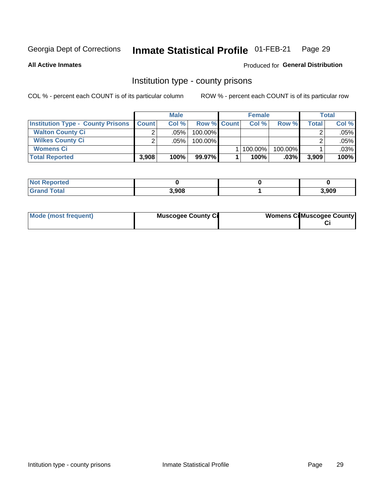#### Inmate Statistical Profile 01-FEB-21 Page 29

**All Active Inmates** 

## Produced for General Distribution

### Institution type - county prisons

COL % - percent each COUNT is of its particular column

|                                          |              | <b>Male</b> |                    | <b>Female</b> |         |       | <b>Total</b> |
|------------------------------------------|--------------|-------------|--------------------|---------------|---------|-------|--------------|
| <b>Institution Type - County Prisons</b> | <b>Count</b> | Col%        | <b>Row % Count</b> | Col%          | Row %   | Total | Col %        |
| <b>Walton County Ci</b>                  | ⌒            | .05%        | 100.00%            |               |         |       | .05%         |
| <b>Wilkes County Ci</b>                  |              | $.05\%$     | 100.00%            |               |         |       | .05%         |
| <b>Womens Ci</b>                         |              |             |                    | 100.00%       | 100.00% |       | .03%         |
| <b>Total Reported</b>                    | 3,908        | 100%        | 99.97%             | 100%          | $.03\%$ | 3,909 | 100%         |

| nπea<br><b>ITOLITE</b> |       |       |
|------------------------|-------|-------|
|                        | 3,908 | 3,909 |

| Mode (most frequent) | <b>Muscogee County Ci</b> | <b>Womens CilMuscogee County</b> |
|----------------------|---------------------------|----------------------------------|
|----------------------|---------------------------|----------------------------------|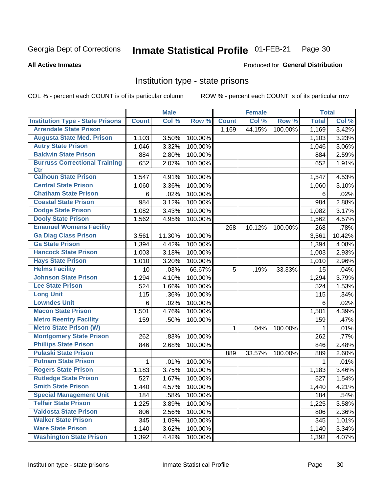#### Inmate Statistical Profile 01-FEB-21 Page 30

#### **All Active Inmates**

## Produced for General Distribution

## Institution type - state prisons

COL % - percent each COUNT is of its particular column

|                                         |              | <b>Male</b> |         |              | <b>Female</b> |         | <b>Total</b> |        |
|-----------------------------------------|--------------|-------------|---------|--------------|---------------|---------|--------------|--------|
| <b>Institution Type - State Prisons</b> | <b>Count</b> | Col %       | Row %   | <b>Count</b> | Col %         | Row %   | <b>Total</b> | Col %  |
| <b>Arrendale State Prison</b>           |              |             |         | 1,169        | 44.15%        | 100.00% | 1,169        | 3.42%  |
| <b>Augusta State Med. Prison</b>        | 1,103        | 3.50%       | 100.00% |              |               |         | 1,103        | 3.23%  |
| <b>Autry State Prison</b>               | 1,046        | 3.32%       | 100.00% |              |               |         | 1,046        | 3.06%  |
| <b>Baldwin State Prison</b>             | 884          | 2.80%       | 100.00% |              |               |         | 884          | 2.59%  |
| <b>Burruss Correctional Training</b>    | 652          | 2.07%       | 100.00% |              |               |         | 652          | 1.91%  |
| <b>Ctr</b>                              |              |             |         |              |               |         |              |        |
| <b>Calhoun State Prison</b>             | 1,547        | 4.91%       | 100.00% |              |               |         | 1,547        | 4.53%  |
| <b>Central State Prison</b>             | 1,060        | 3.36%       | 100.00% |              |               |         | 1,060        | 3.10%  |
| <b>Chatham State Prison</b>             | 6            | .02%        | 100.00% |              |               |         | 6            | .02%   |
| <b>Coastal State Prison</b>             | 984          | 3.12%       | 100.00% |              |               |         | 984          | 2.88%  |
| <b>Dodge State Prison</b>               | 1,082        | 3.43%       | 100.00% |              |               |         | 1,082        | 3.17%  |
| <b>Dooly State Prison</b>               | 1,562        | 4.95%       | 100.00% |              |               |         | 1,562        | 4.57%  |
| <b>Emanuel Womens Facility</b>          |              |             |         | 268          | 10.12%        | 100.00% | 268          | .78%   |
| <b>Ga Diag Class Prison</b>             | 3,561        | 11.30%      | 100.00% |              |               |         | 3,561        | 10.42% |
| <b>Ga State Prison</b>                  | 1,394        | 4.42%       | 100.00% |              |               |         | 1,394        | 4.08%  |
| <b>Hancock State Prison</b>             | 1,003        | 3.18%       | 100.00% |              |               |         | 1,003        | 2.93%  |
| <b>Hays State Prison</b>                | 1,010        | 3.20%       | 100.00% |              |               |         | 1,010        | 2.96%  |
| <b>Helms Facility</b>                   | 10           | .03%        | 66.67%  | 5            | .19%          | 33.33%  | 15           | .04%   |
| <b>Johnson State Prison</b>             | 1,294        | 4.10%       | 100.00% |              |               |         | 1,294        | 3.79%  |
| <b>Lee State Prison</b>                 | 524          | 1.66%       | 100.00% |              |               |         | 524          | 1.53%  |
| <b>Long Unit</b>                        | 115          | .36%        | 100.00% |              |               |         | 115          | .34%   |
| <b>Lowndes Unit</b>                     | 6            | .02%        | 100.00% |              |               |         | 6            | .02%   |
| <b>Macon State Prison</b>               | 1,501        | 4.76%       | 100.00% |              |               |         | 1,501        | 4.39%  |
| <b>Metro Reentry Facility</b>           | 159          | .50%        | 100.00% |              |               |         | 159          | .47%   |
| <b>Metro State Prison (W)</b>           |              |             |         | 1            | .04%          | 100.00% | 1            | .01%   |
| <b>Montgomery State Prison</b>          | 262          | .83%        | 100.00% |              |               |         | 262          | .77%   |
| <b>Phillips State Prison</b>            | 846          | 2.68%       | 100.00% |              |               |         | 846          | 2.48%  |
| <b>Pulaski State Prison</b>             |              |             |         | 889          | 33.57%        | 100.00% | 889          | 2.60%  |
| <b>Putnam State Prison</b>              | 1            | .01%        | 100.00% |              |               |         | 1            | .01%   |
| <b>Rogers State Prison</b>              | 1,183        | 3.75%       | 100.00% |              |               |         | 1,183        | 3.46%  |
| <b>Rutledge State Prison</b>            | 527          | 1.67%       | 100.00% |              |               |         | 527          | 1.54%  |
| <b>Smith State Prison</b>               | 1,440        | 4.57%       | 100.00% |              |               |         | 1,440        | 4.21%  |
| <b>Special Management Unit</b>          | 184          | .58%        | 100.00% |              |               |         | 184          | .54%   |
| <b>Telfair State Prison</b>             | 1,225        | 3.89%       | 100.00% |              |               |         | 1,225        | 3.58%  |
| <b>Valdosta State Prison</b>            | 806          | 2.56%       | 100.00% |              |               |         | 806          | 2.36%  |
| <b>Walker State Prison</b>              | 345          | 1.09%       | 100.00% |              |               |         | 345          | 1.01%  |
| <b>Ware State Prison</b>                | 1,140        | 3.62%       | 100.00% |              |               |         | 1,140        | 3.34%  |
| <b>Washington State Prison</b>          | 1,392        | 4.42%       | 100.00% |              |               |         | 1,392        | 4.07%  |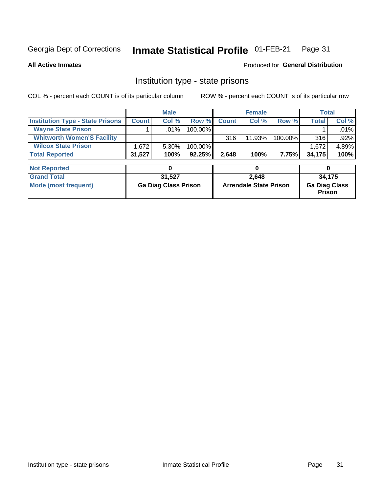#### Inmate Statistical Profile 01-FEB-21 Page 31

**All Active Inmates** 

#### Produced for General Distribution

## Institution type - state prisons

COL % - percent each COUNT is of its particular column

|                                         |              | <b>Male</b> |            |              | <b>Female</b> |         |        | Total   |
|-----------------------------------------|--------------|-------------|------------|--------------|---------------|---------|--------|---------|
| <b>Institution Type - State Prisons</b> | <b>Count</b> | Col %       | Row %      | <b>Count</b> | Col %         | Row %   | Total  | Col %   |
| <b>Wayne State Prison</b>               |              | $.01\%$     | $100.00\%$ |              |               |         |        | .01%    |
| <b>Whitworth Women'S Facility</b>       |              |             |            | 316          | 11.93%        | 100.00% | 316    | $.92\%$ |
| <b>Wilcox State Prison</b>              | .672         | $5.30\%$    | $100.00\%$ |              |               |         | 1,672  | 4.89%   |
| <b>Total Reported</b>                   | 31,527       | 100%        | 92.25%     | 2.648        | 100%          | 7.75%   | 34,175 | 100%    |

| <b>Not Reported</b>  |                             |                               |                                       |
|----------------------|-----------------------------|-------------------------------|---------------------------------------|
| <b>Grand Total</b>   | 31.527                      | 2.648                         | 34.175                                |
| Mode (most frequent) | <b>Ga Diag Class Prison</b> | <b>Arrendale State Prison</b> | <b>Ga Diag Class</b><br><b>Prison</b> |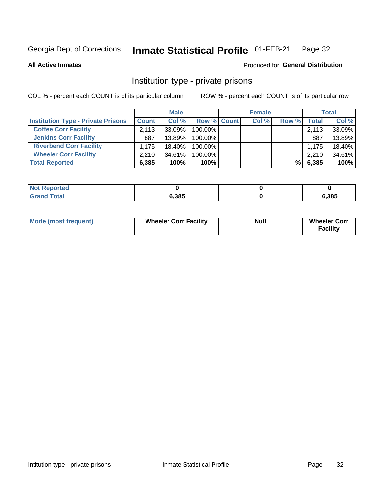#### Inmate Statistical Profile 01-FEB-21 Page 32

**All Active Inmates** 

### **Produced for General Distribution**

## Institution type - private prisons

COL % - percent each COUNT is of its particular column

|                                           |              | <b>Male</b> |                    | <b>Female</b> |       |       | <b>Total</b> |
|-------------------------------------------|--------------|-------------|--------------------|---------------|-------|-------|--------------|
| <b>Institution Type - Private Prisons</b> | <b>Count</b> | Col %       | <b>Row % Count</b> | Col %         | Row % | Total | Col %        |
| <b>Coffee Corr Facility</b>               | 2,113        | $33.09\%$   | 100.00%            |               |       | 2,113 | 33.09%       |
| <b>Jenkins Corr Facility</b>              | 887          | $13.89\%$   | 100.00%            |               |       | 887   | 13.89%       |
| <b>Riverbend Corr Facility</b>            | 1.175        | 18.40%      | 100.00%            |               |       | 1.175 | 18.40%       |
| <b>Wheeler Corr Facility</b>              | 2.210        | $34.61\%$   | 100.00%            |               |       | 2,210 | 34.61%       |
| <b>Total Reported</b>                     | 6,385        | 100%        | $100\%$            |               | %     | 6,385 | 100%         |

| <b>Not Reported</b> |       |       |
|---------------------|-------|-------|
| <b>Total</b>        | 6,385 | 6,385 |

| <b>Mode (most frequent)</b> | <b>Wheeler Corr Facility</b> | <b>Null</b> | <b>Wheeler Corr</b><br><b>Facility</b> |
|-----------------------------|------------------------------|-------------|----------------------------------------|
|-----------------------------|------------------------------|-------------|----------------------------------------|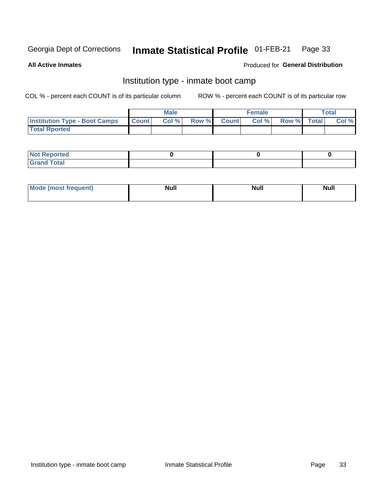#### Inmate Statistical Profile 01-FEB-21 Page 33

**All Active Inmates** 

#### Produced for General Distribution

## Institution type - inmate boot camp

COL % - percent each COUNT is of its particular column

|                                      | <b>Male</b>  |       |               | <b>Female</b> |       |             | <b>Total</b> |       |
|--------------------------------------|--------------|-------|---------------|---------------|-------|-------------|--------------|-------|
| <b>Institution Type - Boot Camps</b> | <b>Count</b> | Col % | <b>Row %I</b> | <b>Count</b>  | Col % | Row % Total |              | Col % |
| <b>Total Rported</b>                 |              |       |               |               |       |             |              |       |

| <b>Not Reported</b>            |  |  |
|--------------------------------|--|--|
| <b>Total</b><br>C <sub>r</sub> |  |  |

| Mod<br>uamo | Nul.<br>$- - - - - -$ | <b>Null</b> | . .<br>uu.<br>------ |
|-------------|-----------------------|-------------|----------------------|
|             |                       |             |                      |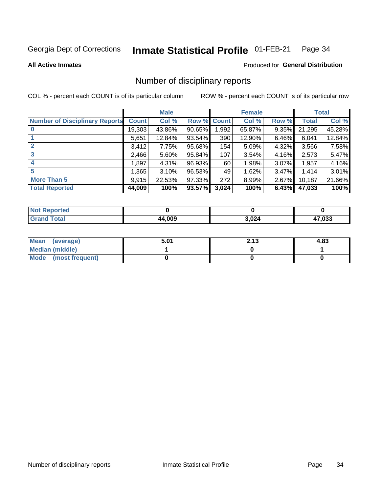#### Inmate Statistical Profile 01-FEB-21 Page 34

#### **All Active Inmates**

### **Produced for General Distribution**

## Number of disciplinary reports

COL % - percent each COUNT is of its particular column

|                                       |              | <b>Male</b> |        |              | <b>Female</b> |          |              | <b>Total</b> |
|---------------------------------------|--------------|-------------|--------|--------------|---------------|----------|--------------|--------------|
| <b>Number of Disciplinary Reports</b> | <b>Count</b> | Col %       | Row %  | <b>Count</b> | Col %         | Row %    | <b>Total</b> | Col %        |
|                                       | 19,303       | 43.86%      | 90.65% | 1,992        | 65.87%        | 9.35%    | 21,295       | 45.28%       |
|                                       | 5,651        | 12.84%      | 93.54% | 390          | 12.90%        | 6.46%    | 6,041        | 12.84%       |
|                                       | 3,412        | 7.75%       | 95.68% | 154          | 5.09%         | 4.32%    | 3,566        | 7.58%        |
| 3                                     | 2,466        | $5.60\%$    | 95.84% | 107          | 3.54%         | 4.16%    | 2,573        | 5.47%        |
|                                       | 1,897        | 4.31%       | 96.93% | 60           | 1.98%         | $3.07\%$ | 1,957        | 4.16%        |
| 5                                     | 1,365        | $3.10\%$    | 96.53% | 49           | 1.62%         | $3.47\%$ | 1,414        | 3.01%        |
| <b>More Than 5</b>                    | 9,915        | 22.53%      | 97.33% | 272          | 8.99%         | $2.67\%$ | 10,187       | 21.66%       |
| <b>Total Reported</b>                 | 44,009       | 100%        | 93.57% | 3,024        | 100%          | 6.43%    | 47,033       | 100%         |

| Reported<br>Not <b>F</b> |             |       |        |
|--------------------------|-------------|-------|--------|
| <b>Total</b>             | 4,009<br>AЛ | 3,024 | 17,033 |

| Mean (average)       | 5.01 | 2.13 | 4.83 |
|----------------------|------|------|------|
| Median (middle)      |      |      |      |
| Mode (most frequent) |      |      |      |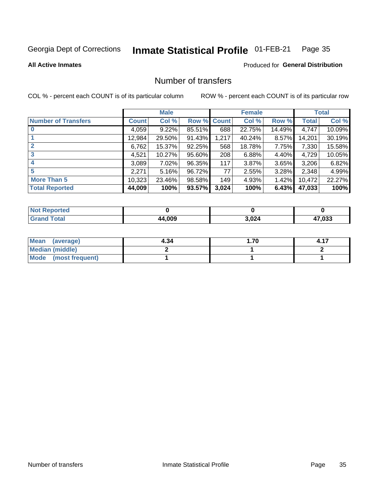#### Inmate Statistical Profile 01-FEB-21 Page 35

#### **All Active Inmates**

## Produced for General Distribution

## Number of transfers

COL % - percent each COUNT is of its particular column

|                            |              | <b>Male</b> |             |       | <b>Female</b> |        |        | <b>Total</b> |
|----------------------------|--------------|-------------|-------------|-------|---------------|--------|--------|--------------|
| <b>Number of Transfers</b> | <b>Count</b> | Col %       | Row % Count |       | Col %         | Row %  | Total  | Col %        |
|                            | 4,059        | 9.22%       | 85.51%      | 688   | 22.75%        | 14.49% | 4,747  | 10.09%       |
|                            | 12,984       | 29.50%      | 91.43%      | 1,217 | 40.24%        | 8.57%  | 14,201 | 30.19%       |
| $\mathbf{2}$               | 6,762        | 15.37%      | 92.25%      | 568   | 18.78%        | 7.75%  | 7,330  | 15.58%       |
| 3                          | 4,521        | 10.27%      | 95.60%      | 208   | 6.88%         | 4.40%  | 4,729  | 10.05%       |
| 4                          | 3,089        | 7.02%       | 96.35%      | 117   | 3.87%         | 3.65%  | 3,206  | 6.82%        |
| 5                          | 2,271        | 5.16%       | 96.72%      | 77    | 2.55%         | 3.28%  | 2,348  | 4.99%        |
| <b>More Than 5</b>         | 10,323       | 23.46%      | 98.58%      | 149   | 4.93%         | 1.42%  | 10,472 | 22.27%       |
| <b>Total Reported</b>      | 44,009       | 100%        | 93.57%      | 3,024 | 100%          | 6.43%  | 47,033 | 100%         |

| <b>Not Reported</b> |             |       |        |
|---------------------|-------------|-------|--------|
| <b>Total</b>        | 4,009<br>44 | 3,024 | 17,033 |

| Mean (average)       | 4.34 | . 70. . |  |
|----------------------|------|---------|--|
| Median (middle)      |      |         |  |
| Mode (most frequent) |      |         |  |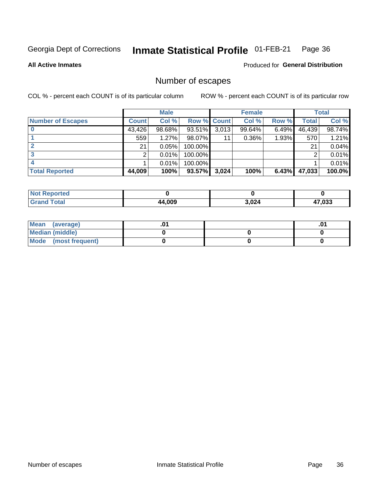#### Inmate Statistical Profile 01-FEB-21 Page 36

**All Active Inmates** 

**Produced for General Distribution** 

## Number of escapes

COL % - percent each COUNT is of its particular column

|                          |              | <b>Male</b> |             |       | <b>Female</b> |          |        | <b>Total</b> |
|--------------------------|--------------|-------------|-------------|-------|---------------|----------|--------|--------------|
| <b>Number of Escapes</b> | <b>Count</b> | Col %       | Row % Count |       | Col %         | Row %    | Total  | Col %        |
|                          | 43,426       | 98.68%      | 93.51%      | 3,013 | 99.64%        | $6.49\%$ | 46,439 | 98.74%       |
|                          | 559          | 1.27%       | 98.07%      | 11    | $0.36\%$      | 1.93%    | 570    | 1.21%        |
|                          | 21           | 0.05%       | 100.00%     |       |               |          | 21     | 0.04%        |
|                          |              | 0.01%       | $100.00\%$  |       |               |          |        | 0.01%        |
|                          |              | 0.01%       | 100.00%     |       |               |          |        | 0.01%        |
| <b>Total Reported</b>    | 44,009       | 100%        | $93.57\%$   | 3,024 | 100%          | 6.43%    | 47,033 | 100.0%       |

| <b>Not Reported</b> |        |       |        |
|---------------------|--------|-------|--------|
| <b>Grand Total</b>  | 44,009 | 3,024 | 17.033 |

| Mean (average)         |  | .0 <sup>4</sup> |
|------------------------|--|-----------------|
| <b>Median (middle)</b> |  |                 |
| Mode (most frequent)   |  |                 |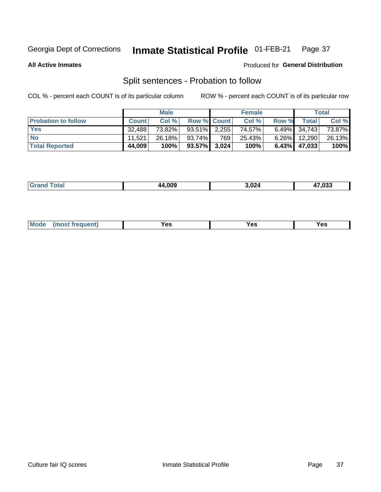#### Inmate Statistical Profile 01-FEB-21 Page 37

**All Active Inmates** 

#### Produced for General Distribution

## Split sentences - Probation to follow

COL % - percent each COUNT is of its particular column

|                            |              | <b>Male</b> |                    |     | <b>Female</b> |          |                 | <b>Total</b> |
|----------------------------|--------------|-------------|--------------------|-----|---------------|----------|-----------------|--------------|
| <b>Probation to follow</b> | <b>Count</b> | Col%        | <b>Row % Count</b> |     | Col %         | Row %    | <b>Total</b>    | Col %        |
| <b>Yes</b>                 | 32.488       | 73.82%      | $93.51\%$ 2.255    |     | 74.57%        |          | $6.49\%$ 34,743 | 73.87%       |
| <b>No</b>                  | 11.521       | $26.18\%$   | 93.74%             | 769 | 25.43%        | $6.26\%$ | 12,290          | 26.13%       |
| <b>Total Reported</b>      | 44,009       | 100%        | $93.57\%$ 3,024    |     | 100%          |          | $6.43\%$ 47,033 | 100%         |

| ________ | ם הם ו | ነ በ24<br>$\sim$ $\sim$ | $\sim$<br>ບວວ<br>. |
|----------|--------|------------------------|--------------------|
|          |        |                        |                    |

| $Moo$<br>requent<br>′es<br>Yes<br><b>YAC</b><br>. |
|---------------------------------------------------|
|---------------------------------------------------|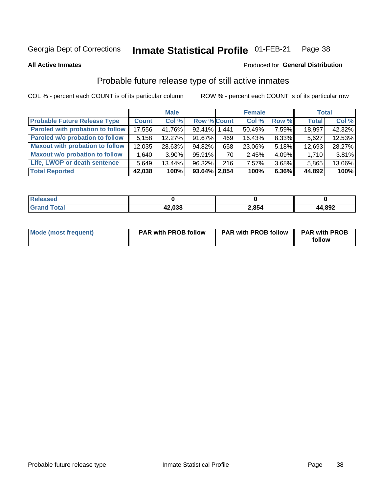#### Inmate Statistical Profile 01-FEB-21 Page 38

**All Active Inmates** 

### Produced for General Distribution

## Probable future release type of still active inmates

COL % - percent each COUNT is of its particular column

|                                         |              | <b>Male</b> |                    |      | <b>Female</b> |          | <b>Total</b> |        |
|-----------------------------------------|--------------|-------------|--------------------|------|---------------|----------|--------------|--------|
| <b>Probable Future Release Type</b>     | <b>Count</b> | Col %       | <b>Row % Count</b> |      | Col %         | Row %    | <b>Total</b> | Col %  |
| <b>Paroled with probation to follow</b> | 17,556       | 41.76%      | 92.41% 1.441       |      | 50.49%        | 7.59%    | 18,997       | 42.32% |
| Paroled w/o probation to follow         | 5,158        | 12.27%      | 91.67%             | 469  | 16.43%        | 8.33%    | 5,627        | 12.53% |
| <b>Maxout with probation to follow</b>  | 12,035       | 28.63%      | 94.82%             | 658  | 23.06%        | 5.18%    | 12,693       | 28.27% |
| <b>Maxout w/o probation to follow</b>   | 1,640        | $3.90\%$    | $95.91\%$          | 70 l | 2.45%         | $4.09\%$ | 1,710        | 3.81%  |
| Life, LWOP or death sentence            | 5,649        | 13.44%      | 96.32%             | 216  | 7.57%         | 3.68%    | 5,865        | 13.06% |
| <b>Total Reported</b>                   | 42,038       | 100%        | $93.64\%$   2,854  |      | 100%          | $6.36\%$ | 44,892       | 100%   |

| eleased     |                        |       |        |
|-------------|------------------------|-------|--------|
| <b>otal</b> | <u>ם בה הו</u><br>,usc | 2,854 | 44,892 |

| Mode (most frequent) | <b>PAR with PROB follow</b> | <b>PAR with PROB follow</b> | <b>PAR with PROB</b> |
|----------------------|-----------------------------|-----------------------------|----------------------|
|                      |                             |                             | follow               |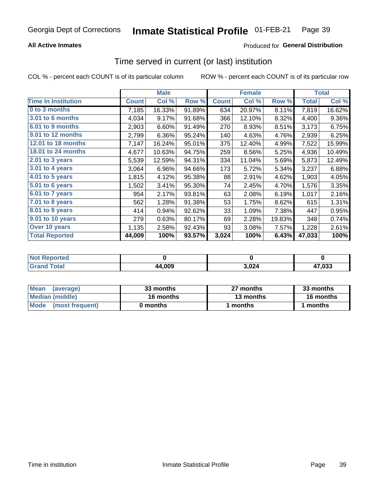## **All Active Inmates**

## **Produced for General Distribution**

## Time served in current (or last) institution

COL % - percent each COUNT is of its particular column

|                            |              | <b>Male</b> |        |              | <b>Female</b> |        |              | <b>Total</b> |  |
|----------------------------|--------------|-------------|--------|--------------|---------------|--------|--------------|--------------|--|
| <b>Time In Institution</b> | <b>Count</b> | Col %       | Row %  | <b>Count</b> | Col %         | Row %  | <b>Total</b> | Col %        |  |
| 0 to 3 months              | 7,185        | 16.33%      | 91.89% | 634          | 20.97%        | 8.11%  | 7,819        | 16.62%       |  |
| <b>3.01 to 6 months</b>    | 4,034        | 9.17%       | 91.68% | 366          | 12.10%        | 8.32%  | 4,400        | 9.36%        |  |
| 6.01 to 9 months           | 2,903        | 6.60%       | 91.49% | 270          | 8.93%         | 8.51%  | 3,173        | 6.75%        |  |
| 9.01 to 12 months          | 2,799        | 6.36%       | 95.24% | 140          | 4.63%         | 4.76%  | 2,939        | 6.25%        |  |
| 12.01 to 18 months         | 7,147        | 16.24%      | 95.01% | 375          | 12.40%        | 4.99%  | 7,522        | 15.99%       |  |
| <b>18.01 to 24 months</b>  | 4,677        | 10.63%      | 94.75% | 259          | 8.56%         | 5.25%  | 4,936        | 10.49%       |  |
| $2.01$ to 3 years          | 5,539        | 12.59%      | 94.31% | 334          | 11.04%        | 5.69%  | 5,873        | 12.49%       |  |
| $3.01$ to 4 years          | 3,064        | 6.96%       | 94.66% | 173          | 5.72%         | 5.34%  | 3,237        | 6.88%        |  |
| 4.01 to 5 years            | 1,815        | 4.12%       | 95.38% | 88           | 2.91%         | 4.62%  | 1,903        | 4.05%        |  |
| 5.01 to 6 years            | 1,502        | 3.41%       | 95.30% | 74           | 2.45%         | 4.70%  | 1,576        | 3.35%        |  |
| $6.01$ to 7 years          | 954          | 2.17%       | 93.81% | 63           | 2.08%         | 6.19%  | 1,017        | 2.16%        |  |
| 7.01 to 8 years            | 562          | 1.28%       | 91.38% | 53           | 1.75%         | 8.62%  | 615          | 1.31%        |  |
| 8.01 to 9 years            | 414          | 0.94%       | 92.62% | 33           | 1.09%         | 7.38%  | 447          | 0.95%        |  |
| 9.01 to 10 years           | 279          | 0.63%       | 80.17% | 69           | 2.28%         | 19.83% | 348          | 0.74%        |  |
| Over 10 years              | 1,135        | 2.58%       | 92.43% | 93           | 3.08%         | 7.57%  | 1,228        | 2.61%        |  |
| <b>Total Reported</b>      | 44,009       | 100%        | 93.57% | 3,024        | 100%          | 6.43%  | 47,033       | 100%         |  |

| <b>Not</b><br>Reported |        |                    |       |
|------------------------|--------|--------------------|-------|
| <b>otal</b>            | 44,009 | ,024<br>$\sim$ $-$ | 7,033 |

| <b>Mean</b><br>(average) | 33 months | 27 months | 33 months |  |
|--------------------------|-----------|-----------|-----------|--|
| Median (middle)          | 16 months | 13 months | 16 months |  |
| Mode<br>(most frequent)  | 0 months  | months    | months    |  |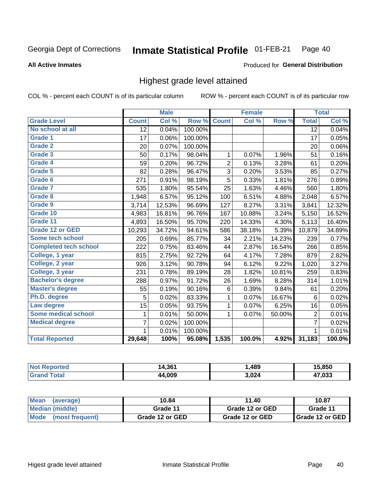### **All Active Inmates**

### Produced for General Distribution

## Highest grade level attained

COL % - percent each COUNT is of its particular column

|                              |                 | <b>Male</b> |         |                | <b>Female</b> |        |                 | <b>Total</b> |
|------------------------------|-----------------|-------------|---------|----------------|---------------|--------|-----------------|--------------|
| <b>Grade Level</b>           | <b>Count</b>    | Col %       | Row %   | <b>Count</b>   | Col %         | Row %  | <b>Total</b>    | Col %        |
| No school at all             | $\overline{12}$ | 0.04%       | 100.00% |                |               |        | $\overline{12}$ | 0.04%        |
| <b>Grade 1</b>               | 17              | 0.06%       | 100.00% |                |               |        | 17              | 0.05%        |
| <b>Grade 2</b>               | 20              | 0.07%       | 100.00% |                |               |        | 20              | 0.06%        |
| Grade 3                      | 50              | 0.17%       | 98.04%  | 1              | 0.07%         | 1.96%  | 51              | 0.16%        |
| Grade 4                      | 59              | 0.20%       | 96.72%  | $\overline{2}$ | 0.13%         | 3.28%  | 61              | 0.20%        |
| Grade 5                      | 82              | 0.28%       | 96.47%  | 3              | 0.20%         | 3.53%  | 85              | 0.27%        |
| Grade 6                      | 271             | 0.91%       | 98.19%  | $\overline{5}$ | 0.33%         | 1.81%  | 276             | 0.89%        |
| <b>Grade 7</b>               | 535             | 1.80%       | 95.54%  | 25             | 1.63%         | 4.46%  | 560             | 1.80%        |
| Grade 8                      | 1,948           | 6.57%       | 95.12%  | 100            | 6.51%         | 4.88%  | 2,048           | 6.57%        |
| Grade 9                      | 3,714           | 12.53%      | 96.69%  | 127            | 8.27%         | 3.31%  | 3,841           | 12.32%       |
| Grade 10                     | 4,983           | 16.81%      | 96.76%  | 167            | 10.88%        | 3.24%  | 5,150           | 16.52%       |
| Grade 11                     | 4,893           | 16.50%      | 95.70%  | 220            | 14.33%        | 4.30%  | 5,113           | 16.40%       |
| Grade 12 or GED              | 10,293          | 34.72%      | 94.61%  | 586            | 38.18%        | 5.39%  | 10,879          | 34.89%       |
| <b>Some tech school</b>      | 205             | 0.69%       | 85.77%  | 34             | 2.21%         | 14.23% | 239             | 0.77%        |
| <b>Completed tech school</b> | 222             | 0.75%       | 83.46%  | 44             | 2.87%         | 16.54% | 266             | 0.85%        |
| College, 1 year              | 815             | 2.75%       | 92.72%  | 64             | 4.17%         | 7.28%  | 879             | 2.82%        |
| College, 2 year              | 926             | 3.12%       | 90.78%  | 94             | 6.12%         | 9.22%  | 1,020           | 3.27%        |
| College, 3 year              | 231             | 0.78%       | 89.19%  | 28             | 1.82%         | 10.81% | 259             | 0.83%        |
| <b>Bachelor's degree</b>     | 288             | 0.97%       | 91.72%  | 26             | 1.69%         | 8.28%  | 314             | 1.01%        |
| <b>Master's degree</b>       | 55              | 0.19%       | 90.16%  | $\,6$          | 0.39%         | 9.84%  | 61              | 0.20%        |
| Ph.D. degree                 | 5               | 0.02%       | 83.33%  | 1              | 0.07%         | 16.67% | 6               | 0.02%        |
| Law degree                   | 15              | 0.05%       | 93.75%  | 1              | 0.07%         | 6.25%  | 16              | 0.05%        |
| <b>Some medical school</b>   | 1               | 0.01%       | 50.00%  | 1              | 0.07%         | 50.00% | 2               | 0.01%        |
| <b>Medical degree</b>        | 7               | 0.02%       | 100.00% |                |               |        | $\overline{7}$  | 0.02%        |
|                              | 1.              | 0.01%       | 100.00% |                |               |        | 1               | 0.01%        |
| <b>Total Reported</b>        | 29,648          | 100%        | 95.08%  | 1,535          | 100.0%        | 4.92%  | 31,183          | 100.0%       |

| τρι<br>NI. | 4,361<br>ıД | 489   | $-850$ |
|------------|-------------|-------|--------|
|            | .009<br>аа  | גכה ג | 7,033  |

| <b>Mean</b><br>(average) | 10.84           | 11.40           | 10.87           |
|--------------------------|-----------------|-----------------|-----------------|
| Median (middle)          | Grade 11        | Grade 12 or GED | Grade 11        |
| Mode<br>(most frequent)  | Grade 12 or GED | Grade 12 or GED | Grade 12 or GED |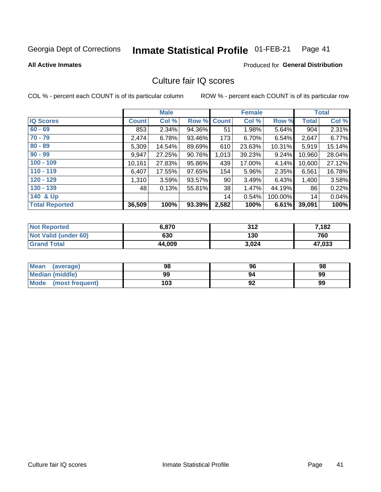#### Inmate Statistical Profile 01-FEB-21 Page 41

**All Active Inmates** 

### **Produced for General Distribution**

## Culture fair IQ scores

COL % - percent each COUNT is of its particular column

|                       |              | <b>Male</b> |        |                 | <b>Female</b> |         |              | <b>Total</b> |
|-----------------------|--------------|-------------|--------|-----------------|---------------|---------|--------------|--------------|
| <b>IQ Scores</b>      | <b>Count</b> | Col %       |        | Row % Count     | Col %         | Row %   | <b>Total</b> | Col %        |
| $60 - 69$             | 853          | 2.34%       | 94.36% | 51              | 1.98%         | 5.64%   | 904          | 2.31%        |
| $70 - 79$             | 2,474        | 6.78%       | 93.46% | 173             | 6.70%         | 6.54%   | 2,647        | 6.77%        |
| $80 - 89$             | 5,309        | 14.54%      | 89.69% | 610             | 23.63%        | 10.31%  | 5,919        | 15.14%       |
| $90 - 99$             | 9,947        | 27.25%      | 90.76% | 1,013           | 39.23%        | 9.24%   | 10,960       | 28.04%       |
| $100 - 109$           | 10,161       | 27.83%      | 95.86% | 439             | 17.00%        | 4.14%   | 10,600       | 27.12%       |
| $110 - 119$           | 6,407        | 17.55%      | 97.65% | 154             | 5.96%         | 2.35%   | 6,561        | 16.78%       |
| $120 - 129$           | 1,310        | 3.59%       | 93.57% | 90 <sub>1</sub> | 3.49%         | 6.43%   | 1,400        | 3.58%        |
| $130 - 139$           | 48           | 0.13%       | 55.81% | 38              | 1.47%         | 44.19%  | 86           | 0.22%        |
| 140 & Up              |              |             |        | 14              | 0.54%         | 100.00% | 14           | 0.04%        |
| <b>Total Reported</b> | 36,509       | 100%        | 93.39% | 2,582           | 100%          | 6.61%   | 39,091       | 100%         |

| <b>Not Reported</b>         | 6.870  | 312   | 7,182  |
|-----------------------------|--------|-------|--------|
| <b>Not Valid (under 60)</b> | 630    | 130   | 760    |
| <b>Grand Total</b>          | 44,009 | 3,024 | 47,033 |

| <b>Mean</b><br>(average) | 98  | 96 | 98 |
|--------------------------|-----|----|----|
| Median (middle)          | 99  | 94 | 99 |
| Mode<br>(most frequent)  | 103 | 92 | 99 |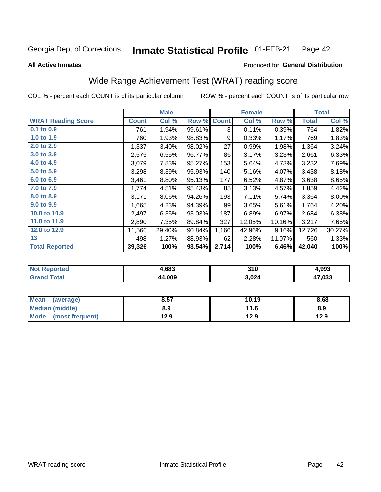#### Inmate Statistical Profile 01-FEB-21 Page 42

**All Active Inmates** 

### Produced for General Distribution

## Wide Range Achievement Test (WRAT) reading score

COL % - percent each COUNT is of its particular column

|                           |              | <b>Male</b> |        |              | <b>Female</b> |        |              | <b>Total</b> |
|---------------------------|--------------|-------------|--------|--------------|---------------|--------|--------------|--------------|
| <b>WRAT Reading Score</b> | <b>Count</b> | Col %       | Row %  | <b>Count</b> | Col %         | Row %  | <b>Total</b> | Col %        |
| $0.1$ to $0.9$            | 761          | 1.94%       | 99.61% | 3            | 0.11%         | 0.39%  | 764          | 1.82%        |
| 1.0 to 1.9                | 760          | 1.93%       | 98.83% | 9            | 0.33%         | 1.17%  | 769          | 1.83%        |
| 2.0 to 2.9                | 1,337        | 3.40%       | 98.02% | 27           | 0.99%         | 1.98%  | 1,364        | 3.24%        |
| 3.0 to 3.9                | 2,575        | 6.55%       | 96.77% | 86           | 3.17%         | 3.23%  | 2,661        | 6.33%        |
| 4.0 to 4.9                | 3,079        | 7.83%       | 95.27% | 153          | 5.64%         | 4.73%  | 3,232        | 7.69%        |
| 5.0 to 5.9                | 3,298        | 8.39%       | 95.93% | 140          | 5.16%         | 4.07%  | 3,438        | 8.18%        |
| 6.0 to 6.9                | 3,461        | 8.80%       | 95.13% | 177          | 6.52%         | 4.87%  | 3,638        | 8.65%        |
| 7.0 to 7.9                | 1,774        | 4.51%       | 95.43% | 85           | 3.13%         | 4.57%  | 1,859        | 4.42%        |
| 8.0 to 8.9                | 3,171        | 8.06%       | 94.26% | 193          | 7.11%         | 5.74%  | 3,364        | 8.00%        |
| 9.0 to 9.9                | 1,665        | 4.23%       | 94.39% | 99           | 3.65%         | 5.61%  | 1,764        | 4.20%        |
| 10.0 to 10.9              | 2,497        | 6.35%       | 93.03% | 187          | 6.89%         | 6.97%  | 2,684        | 6.38%        |
| 11.0 to 11.9              | 2,890        | 7.35%       | 89.84% | 327          | 12.05%        | 10.16% | 3,217        | 7.65%        |
| 12.0 to 12.9              | 11,560       | 29.40%      | 90.84% | 1,166        | 42.96%        | 9.16%  | 12,726       | 30.27%       |
| 13                        | 498          | 1.27%       | 88.93% | 62           | 2.28%         | 11.07% | 560          | 1.33%        |
| <b>Total Reported</b>     | 39,326       | 100%        | 93.54% | 2,714        | 100%          | 6.46%  | 42,040       | 100%         |

| Reported<br>Not I      | 4,683  | 310   | 4,993        |
|------------------------|--------|-------|--------------|
| <b>Total</b><br>'Grand | 44,009 | 3,024 | 17,033<br>4. |

| <b>Mean</b><br>(average) | 8.57 | 10.19 | 8.68 |
|--------------------------|------|-------|------|
| Median (middle)          | 8.9  | 11.6  | 8.9  |
| Mode<br>(most frequent)  | 12.9 | 12.9  | 12.9 |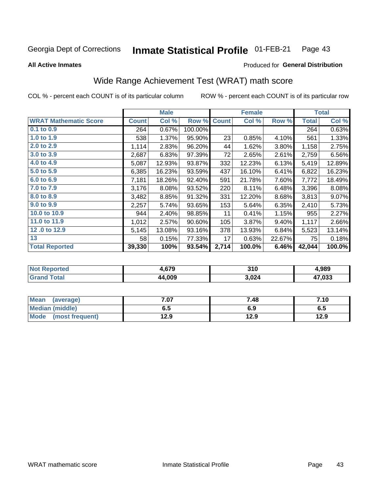#### Inmate Statistical Profile 01-FEB-21 Page 43

**All Active Inmates** 

### Produced for General Distribution

## Wide Range Achievement Test (WRAT) math score

COL % - percent each COUNT is of its particular column

|                              |              | <b>Male</b> |         |              | <b>Female</b> |        |              | <b>Total</b> |
|------------------------------|--------------|-------------|---------|--------------|---------------|--------|--------------|--------------|
| <b>WRAT Mathematic Score</b> | <b>Count</b> | Col %       | Row %   | <b>Count</b> | Col %         | Row %  | <b>Total</b> | Col %        |
| 0.1 to 0.9                   | 264          | 0.67%       | 100.00% |              |               |        | 264          | 0.63%        |
| 1.0 to 1.9                   | 538          | 1.37%       | 95.90%  | 23           | 0.85%         | 4.10%  | 561          | 1.33%        |
| 2.0 to 2.9                   | 1,114        | 2.83%       | 96.20%  | 44           | 1.62%         | 3.80%  | 1,158        | 2.75%        |
| 3.0 to 3.9                   | 2,687        | 6.83%       | 97.39%  | 72           | 2.65%         | 2.61%  | 2,759        | 6.56%        |
| 4.0 to 4.9                   | 5,087        | 12.93%      | 93.87%  | 332          | 12.23%        | 6.13%  | 5,419        | 12.89%       |
| 5.0 to 5.9                   | 6,385        | 16.23%      | 93.59%  | 437          | 16.10%        | 6.41%  | 6,822        | 16.23%       |
| 6.0 to 6.9                   | 7,181        | 18.26%      | 92.40%  | 591          | 21.78%        | 7.60%  | 7,772        | 18.49%       |
| 7.0 to 7.9                   | 3,176        | 8.08%       | 93.52%  | 220          | 8.11%         | 6.48%  | 3,396        | 8.08%        |
| 8.0 to 8.9                   | 3,482        | 8.85%       | 91.32%  | 331          | 12.20%        | 8.68%  | 3,813        | 9.07%        |
| 9.0 to 9.9                   | 2,257        | 5.74%       | 93.65%  | 153          | 5.64%         | 6.35%  | 2,410        | 5.73%        |
| 10.0 to 10.9                 | 944          | 2.40%       | 98.85%  | 11           | 0.41%         | 1.15%  | 955          | 2.27%        |
| 11.0 to 11.9                 | 1,012        | 2.57%       | 90.60%  | 105          | 3.87%         | 9.40%  | 1,117        | 2.66%        |
| 12.0 to 12.9                 | 5,145        | 13.08%      | 93.16%  | 378          | 13.93%        | 6.84%  | 5,523        | 13.14%       |
| 13                           | 58           | 0.15%       | 77.33%  | 17           | 0.63%         | 22.67% | 75           | 0.18%        |
| <b>Total Reported</b>        | 39,330       | 100%        | 93.54%  | 2,714        | 100.0%        | 6.46%  | 42,044       | 100.0%       |

| <b>ortea</b><br>NO | . 679  | 310   | Ⅰ,989  |
|--------------------|--------|-------|--------|
| int                | 44,009 | 3,024 | 17,033 |

| <b>Mean</b><br>(average) | 7.07 | 7.48 | 7.10 |
|--------------------------|------|------|------|
| Median (middle)          | 6.5  | 6.9  | c.o  |
| Mode (most frequent)     | 12.9 | 12.9 | 12.9 |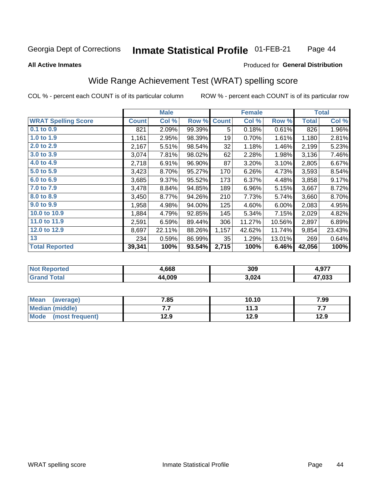#### **Inmate Statistical Profile 01-FEB-21** Page 44

### **All Active Inmates**

## **Produced for General Distribution**

## Wide Range Achievement Test (WRAT) spelling score

COL % - percent each COUNT is of its particular column

|                            |              | <b>Male</b> |        |              | <b>Female</b> |        |              | <b>Total</b> |
|----------------------------|--------------|-------------|--------|--------------|---------------|--------|--------------|--------------|
| <b>WRAT Spelling Score</b> | <b>Count</b> | Col %       | Row %  | <b>Count</b> | Col %         | Row %  | <b>Total</b> | Col %        |
| 0.1 to 0.9                 | 821          | 2.09%       | 99.39% | 5            | 0.18%         | 0.61%  | 826          | 1.96%        |
| 1.0 to 1.9                 | 1,161        | 2.95%       | 98.39% | 19           | 0.70%         | 1.61%  | 1,180        | 2.81%        |
| 2.0 to 2.9                 | 2,167        | 5.51%       | 98.54% | 32           | 1.18%         | 1.46%  | 2,199        | 5.23%        |
| 3.0 to 3.9                 | 3,074        | 7.81%       | 98.02% | 62           | 2.28%         | 1.98%  | 3,136        | 7.46%        |
| 4.0 to 4.9                 | 2,718        | 6.91%       | 96.90% | 87           | 3.20%         | 3.10%  | 2,805        | 6.67%        |
| 5.0 to 5.9                 | 3,423        | 8.70%       | 95.27% | 170          | 6.26%         | 4.73%  | 3,593        | 8.54%        |
| 6.0 to 6.9                 | 3,685        | 9.37%       | 95.52% | 173          | 6.37%         | 4.48%  | 3,858        | 9.17%        |
| 7.0 to 7.9                 | 3,478        | 8.84%       | 94.85% | 189          | 6.96%         | 5.15%  | 3,667        | 8.72%        |
| 8.0 to 8.9                 | 3,450        | 8.77%       | 94.26% | 210          | 7.73%         | 5.74%  | 3,660        | 8.70%        |
| 9.0 to 9.9                 | 1,958        | 4.98%       | 94.00% | 125          | 4.60%         | 6.00%  | 2,083        | 4.95%        |
| 10.0 to 10.9               | 1,884        | 4.79%       | 92.85% | 145          | 5.34%         | 7.15%  | 2,029        | 4.82%        |
| 11.0 to 11.9               | 2,591        | 6.59%       | 89.44% | 306          | 11.27%        | 10.56% | 2,897        | 6.89%        |
| 12.0 to 12.9               | 8,697        | 22.11%      | 88.26% | 1,157        | 42.62%        | 11.74% | 9,854        | 23.43%       |
| 13                         | 234          | 0.59%       | 86.99% | 35           | 1.29%         | 13.01% | 269          | 0.64%        |
| <b>Total Reported</b>      | 39,341       | 100%        | 93.54% | 2,715        | 100%          | 6.46%  | 42,056       | 100%         |

| ৲rted<br>NO | .,668  | 309   | +,977  |
|-------------|--------|-------|--------|
| $\sim$ 10   | 44,009 | 3,024 | 17.033 |

| <b>Mean</b><br>(average) | 7.85 | 10.10 | 7.99 |
|--------------------------|------|-------|------|
| Median (middle)          | .    | 11.3  | .    |
| Mode<br>(most frequent)  | 12.9 | 12.9  | 12.9 |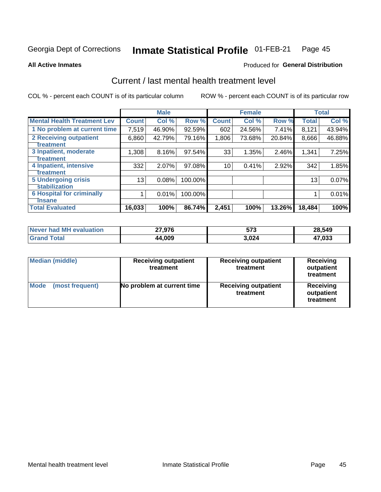#### Inmate Statistical Profile 01-FEB-21 Page 45

**All Active Inmates** 

### Produced for General Distribution

## Current / last mental health treatment level

COL % - percent each COUNT is of its particular column

|                                    |              | <b>Male</b> |         |              | <b>Female</b> |        |              | <b>Total</b> |
|------------------------------------|--------------|-------------|---------|--------------|---------------|--------|--------------|--------------|
| <b>Mental Health Treatment Lev</b> | <b>Count</b> | Col %       | Row %   | <b>Count</b> | Col %         | Row %  | <b>Total</b> | Col %        |
| 1 No problem at current time       | 7,519        | 46.90%      | 92.59%  | 602          | 24.56%        | 7.41%  | 8,121        | 43.94%       |
| 2 Receiving outpatient             | 6,860        | 42.79%      | 79.16%  | 1,806        | 73.68%        | 20.84% | 8,666        | 46.88%       |
| <b>Treatment</b>                   |              |             |         |              |               |        |              |              |
| 3 Inpatient, moderate              | 1,308        | 8.16%       | 97.54%  | 33           | 1.35%         | 2.46%  | 1,341        | 7.25%        |
| <b>Treatment</b>                   |              |             |         |              |               |        |              |              |
| 4 Inpatient, intensive             | 332          | 2.07%       | 97.08%  | 10           | 0.41%         | 2.92%  | 342          | 1.85%        |
| Treatment                          |              |             |         |              |               |        |              |              |
| <b>5 Undergoing crisis</b>         | 13           | 0.08%       | 100.00% |              |               |        | 13           | 0.07%        |
| <b>stabilization</b>               |              |             |         |              |               |        |              |              |
| <b>6 Hospital for criminally</b>   |              | 0.01%       | 100.00% |              |               |        |              | 0.01%        |
| <b>Tinsane</b>                     |              |             |         |              |               |        |              |              |
| <b>Total Evaluated</b>             | 16,033       | 100%        | 86.74%  | 2,451        | 100%          | 13.26% | 18,484       | 100%         |

| Never had MH evaluation | 7,976  | 573   | 28,549 |
|-------------------------|--------|-------|--------|
| $\tau$ otal             | 44,009 | 3,024 | 17,033 |

| <b>Median (middle)</b>         | <b>Receiving outpatient</b><br>treatment | <b>Receiving outpatient</b><br>treatment | <b>Receiving</b><br>outpatient<br>treatment |  |
|--------------------------------|------------------------------------------|------------------------------------------|---------------------------------------------|--|
| <b>Mode</b><br>(most frequent) | No problem at current time               | <b>Receiving outpatient</b><br>treatment | Receiving<br>outpatient<br>treatment        |  |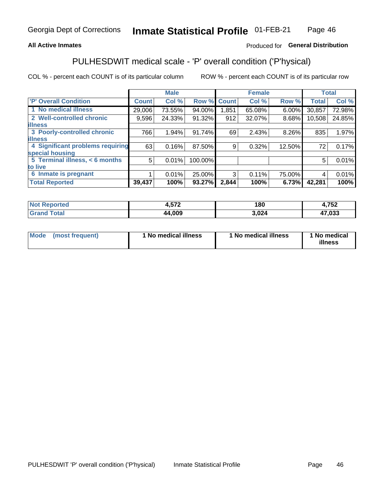## **All Active Inmates**

## Produced for General Distribution

## PULHESDWIT medical scale - 'P' overall condition ('P'hysical)

COL % - percent each COUNT is of its particular column

|                                  |                | <b>Male</b> |         |              | <b>Female</b> |          |              | <b>Total</b> |
|----------------------------------|----------------|-------------|---------|--------------|---------------|----------|--------------|--------------|
| <b>P' Overall Condition</b>      | <b>Count</b>   | Col %       | Row %   | <b>Count</b> | Col %         | Row %    | <b>Total</b> | Col %        |
| 1 No medical illness             | 29,006         | 73.55%      | 94.00%  | 1,851        | 65.08%        | $6.00\%$ | 30,857       | 72.98%       |
| 2 Well-controlled chronic        | 9,596          | 24.33%      | 91.32%  | 912          | 32.07%        | 8.68%    | 10,508       | 24.85%       |
| <b>lilness</b>                   |                |             |         |              |               |          |              |              |
| 3 Poorly-controlled chronic      | 766            | 1.94%       | 91.74%  | 69           | 2.43%         | 8.26%    | 835          | 1.97%        |
| <b>illness</b>                   |                |             |         |              |               |          |              |              |
| 4 Significant problems requiring | 63             | 0.16%       | 87.50%  | 9            | 0.32%         | 12.50%   | 72           | 0.17%        |
| special housing                  |                |             |         |              |               |          |              |              |
| 5 Terminal illness, < 6 months   | 5 <sup>1</sup> | 0.01%       | 100.00% |              |               |          | 5            | 0.01%        |
| to live                          |                |             |         |              |               |          |              |              |
| 6 Inmate is pregnant             |                | 0.01%       | 25.00%  | 3            | 0.11%         | 75.00%   | 4            | 0.01%        |
| <b>Total Reported</b>            | 39,437         | 100%        | 93.27%  | 2,844        | 100%          | 6.73%    | 42,281       | 100%         |

| тео | ドマウ           | 180            | 750<br>- I JA      |
|-----|---------------|----------------|--------------------|
|     | $\lambda$ 000 | .024<br>$\sim$ | <b>ימי</b><br>,voa |

| Mode | (most frequent) | 1 No medical illness | 1 No medical illness | 1 No medical<br>illness |
|------|-----------------|----------------------|----------------------|-------------------------|
|------|-----------------|----------------------|----------------------|-------------------------|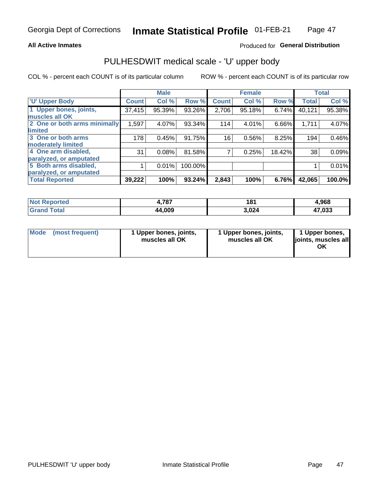### **All Active Inmates**

## Produced for General Distribution

# PULHESDWIT medical scale - 'U' upper body

COL % - percent each COUNT is of its particular column

|                              |               | <b>Male</b> |         |              | <b>Female</b> |        |              | <b>Total</b> |
|------------------------------|---------------|-------------|---------|--------------|---------------|--------|--------------|--------------|
| <b>U' Upper Body</b>         | <b>Count!</b> | Col %       | Row %   | <b>Count</b> | Col %         | Row %  | <b>Total</b> | Col %        |
| 1 Upper bones, joints,       | 37,415        | 95.39%      | 93.26%  | 2,706        | 95.18%        | 6.74%  | 40,121       | 95.38%       |
| muscles all OK               |               |             |         |              |               |        |              |              |
| 2 One or both arms minimally | 1,597         | 4.07%       | 93.34%  | 114          | 4.01%         | 6.66%  | 1,711        | 4.07%        |
| limited                      |               |             |         |              |               |        |              |              |
| 3 One or both arms           | 178           | 0.45%       | 91.75%  | 16           | 0.56%         | 8.25%  | 194          | 0.46%        |
| <b>moderately limited</b>    |               |             |         |              |               |        |              |              |
| 4 One arm disabled,          | 31            | 0.08%       | 81.58%  |              | 0.25%         | 18.42% | 38           | 0.09%        |
| paralyzed, or amputated      |               |             |         |              |               |        |              |              |
| 5 Both arms disabled,        |               | 0.01%       | 100.00% |              |               |        |              | 0.01%        |
| paralyzed, or amputated      |               |             |         |              |               |        |              |              |
| <b>Total Reported</b>        | 39,222        | 100%        | 93.24%  | 2,843        | 100%          | 6.76%  | 42,065       | 100.0%       |

| <b>Not Reported</b>          | 4,787  | 181   | 4,968  |
|------------------------------|--------|-------|--------|
| <b>Total</b><br><b>Grand</b> | 44,009 | 3,024 | 47,033 |

|  | Mode (most frequent) | 1 Upper bones, joints,<br>muscles all OK | 1 Upper bones, joints,<br>muscles all OK | 1 Upper bones,<br>joints, muscles all<br>ΟK |
|--|----------------------|------------------------------------------|------------------------------------------|---------------------------------------------|
|--|----------------------|------------------------------------------|------------------------------------------|---------------------------------------------|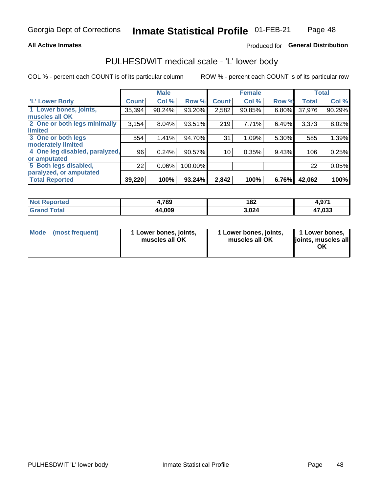### **All Active Inmates**

## Produced for General Distribution

## PULHESDWIT medical scale - 'L' lower body

COL % - percent each COUNT is of its particular column

|                                |              | <b>Male</b> |         |                 | <b>Female</b> |       |              | <b>Total</b> |
|--------------------------------|--------------|-------------|---------|-----------------|---------------|-------|--------------|--------------|
| 'L' Lower Body                 | <b>Count</b> | Col %       | Row %   | <b>Count</b>    | Col %         | Row % | <b>Total</b> | Col %        |
| 1 Lower bones, joints,         | 35,394       | 90.24%      | 93.20%  | 2,582           | 90.85%        | 6.80% | 37,976       | 90.29%       |
| muscles all OK                 |              |             |         |                 |               |       |              |              |
| 2 One or both legs minimally   | 3,154        | 8.04%       | 93.51%  | 219             | 7.71%         | 6.49% | 3,373        | 8.02%        |
| limited                        |              |             |         |                 |               |       |              |              |
| 3 One or both legs             | 554          | 1.41%       | 94.70%  | 31              | 1.09%         | 5.30% | 585          | 1.39%        |
| moderately limited             |              |             |         |                 |               |       |              |              |
| 4 One leg disabled, paralyzed, | 96           | 0.24%       | 90.57%  | 10 <sub>1</sub> | 0.35%         | 9.43% | 106          | 0.25%        |
| or amputated                   |              |             |         |                 |               |       |              |              |
| 5 Both legs disabled,          | 22           | 0.06%       | 100.00% |                 |               |       | 22           | 0.05%        |
| paralyzed, or amputated        |              |             |         |                 |               |       |              |              |
| <b>Total Reported</b>          | 39,220       | 100%        | 93.24%  | 2,842           | 100%          | 6.76% | 42,062       | 100%         |

| <b>Not Reported</b> | 4,789  | 182   | 4,971  |
|---------------------|--------|-------|--------|
| <b>Grand Total</b>  | 44,009 | 3,024 | 47,033 |

|  | Mode (most frequent) | 1 Lower bones, joints,<br>muscles all OK | 1 Lower bones, joints,<br>muscles all OK | 1 Lower bones,<br>joints, muscles all<br>ΟK |
|--|----------------------|------------------------------------------|------------------------------------------|---------------------------------------------|
|--|----------------------|------------------------------------------|------------------------------------------|---------------------------------------------|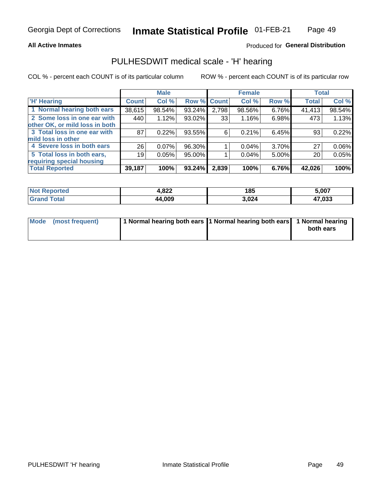### **All Active Inmates**

## Produced for General Distribution

## PULHESDWIT medical scale - 'H' hearing

COL % - percent each COUNT is of its particular column

|                                |              | <b>Male</b> |                    |       | <b>Female</b> |       | <b>Total</b> |          |
|--------------------------------|--------------|-------------|--------------------|-------|---------------|-------|--------------|----------|
| <b>'H' Hearing</b>             | <b>Count</b> | Col %       | <b>Row % Count</b> |       | Col %         | Row % | <b>Total</b> | Col %    |
| 1 Normal hearing both ears     | 38,615       | 98.54%      | 93.24%             | 2,798 | 98.56%        | 6.76% | 41,413       | 98.54%   |
| 2 Some loss in one ear with    | 440          | 1.12%       | 93.02%             | 33    | 1.16%         | 6.98% | 473          | 1.13%    |
| other OK, or mild loss in both |              |             |                    |       |               |       |              |          |
| 3 Total loss in one ear with   | 87           | 0.22%       | 93.55%             | 6     | 0.21%         | 6.45% | 93           | 0.22%    |
| mild loss in other             |              |             |                    |       |               |       |              |          |
| 4 Severe loss in both ears     | 26           | $0.07\%$    | 96.30%             |       | $0.04\%$      | 3.70% | 27           | $0.06\%$ |
| 5 Total loss in both ears,     | 19           | 0.05%       | 95.00%             |       | 0.04%         | 5.00% | 20           | 0.05%    |
| requiring special housing      |              |             |                    |       |               |       |              |          |
| <b>Total Reported</b>          | 39,187       | 100%        | 93.24%             | 2,839 | 100%          | 6.76% | 42,026       | 100%     |

| <b>Not Repo</b><br>anorted and | റാറ<br>H.OZZ | 185   | 5,007  |
|--------------------------------|--------------|-------|--------|
| Total                          | 44,009       | 3,024 | 47,033 |

| Mode (most frequent) | 1 Normal hearing both ears 11 Normal hearing both ears 1 Normal hearing | both ears |
|----------------------|-------------------------------------------------------------------------|-----------|
|                      |                                                                         |           |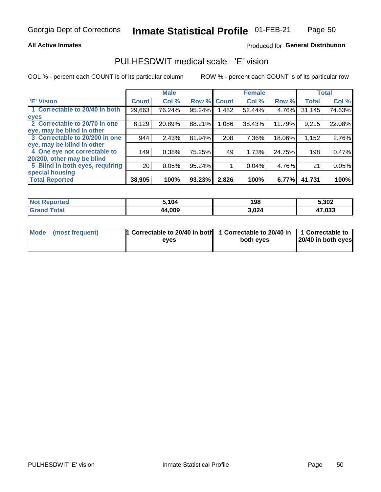### **All Active Inmates**

## Produced for General Distribution

## PULHESDWIT medical scale - 'E' vision

COL % - percent each COUNT is of its particular column

|                                 |                 | <b>Male</b> |        |              | <b>Female</b> |        |              | <b>Total</b> |
|---------------------------------|-----------------|-------------|--------|--------------|---------------|--------|--------------|--------------|
| 'E' Vision                      | <b>Count</b>    | Col %       | Row %  | <b>Count</b> | Col %         | Row %  | <b>Total</b> | Col %        |
| 1 Correctable to 20/40 in both  | 29,663          | 76.24%      | 95.24% | ,482         | 52.44%        | 4.76%  | 31,145       | 74.63%       |
| eyes                            |                 |             |        |              |               |        |              |              |
| 2 Correctable to 20/70 in one   | 8,129           | 20.89%      | 88.21% | 1,086        | 38.43%        | 11.79% | 9,215        | 22.08%       |
| eye, may be blind in other      |                 |             |        |              |               |        |              |              |
| 3 Correctable to 20/200 in one  | 944             | 2.43%       | 81.94% | 208          | 7.36%         | 18.06% | 1,152        | 2.76%        |
| eye, may be blind in other      |                 |             |        |              |               |        |              |              |
| 4 One eye not correctable to    | 149             | 0.38%       | 75.25% | 49           | 1.73%         | 24.75% | 198          | 0.47%        |
| 20/200, other may be blind      |                 |             |        |              |               |        |              |              |
| 5 Blind in both eyes, requiring | 20 <sub>1</sub> | 0.05%       | 95.24% |              | 0.04%         | 4.76%  | 21           | 0.05%        |
| special housing                 |                 |             |        |              |               |        |              |              |
| <b>Total Reported</b>           | 38,905          | 100%        | 93.23% | 2,826        | 100%          | 6.77%  | 41,731       | 100%         |

| <b>Not Reported</b> | 5,104  | 198   | 5,302  |
|---------------------|--------|-------|--------|
| <b>Total</b>        | 44,009 | 3,024 | 17,033 |

| Mode (most frequent) | 1 Correctable to 20/40 in both<br>eves | 1 Correctable to 20/40 in   1 Correctable to  <br>both eves | 20/40 in both eyes |
|----------------------|----------------------------------------|-------------------------------------------------------------|--------------------|
|                      |                                        |                                                             |                    |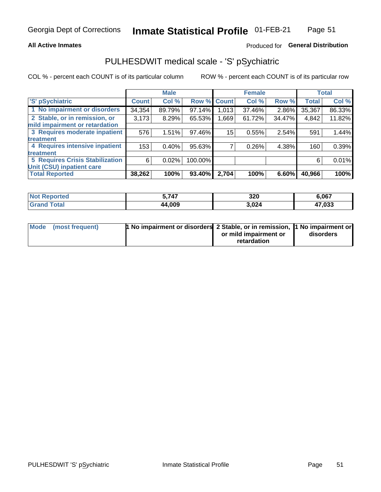### **All Active Inmates**

## Produced for General Distribution

## PULHESDWIT medical scale - 'S' pSychiatric

COL % - percent each COUNT is of its particular column

|                                        |              | <b>Male</b> |         |                 | <b>Female</b> |          |              | <b>Total</b> |
|----------------------------------------|--------------|-------------|---------|-----------------|---------------|----------|--------------|--------------|
| 'S' pSychiatric                        | <b>Count</b> | Col %       |         | Row % Count     | Col %         | Row %    | <b>Total</b> | Col %        |
| 1 No impairment or disorders           | 34,354       | 89.79%      | 97.14%  | 1,013           | 37.46%        | $2.86\%$ | 35,367       | 86.33%       |
| 2 Stable, or in remission, or          | 3,173        | 8.29%       | 65.53%  | 1,669           | 61.72%        | 34.47%   | 4,842        | 11.82%       |
| mild impairment or retardation         |              |             |         |                 |               |          |              |              |
| 3 Requires moderate inpatient          | 576          | 1.51%       | 97.46%  | 15 <sub>1</sub> | 0.55%         | 2.54%    | 591          | 1.44%        |
| treatment                              |              |             |         |                 |               |          |              |              |
| 4 Requires intensive inpatient         | 153          | 0.40%       | 95.63%  |                 | 0.26%         | 4.38%    | 160          | 0.39%        |
| treatment                              |              |             |         |                 |               |          |              |              |
| <b>5 Requires Crisis Stabilization</b> | 6            | 0.02%       | 100.00% |                 |               |          | 6            | 0.01%        |
| Unit (CSU) inpatient care              |              |             |         |                 |               |          |              |              |
| <b>Total Reported</b>                  | 38,262       | 100%        | 93.40%  | 2,704           | 100%          | 6.60%    | 40,966       | 100%         |

| <b>Not Reported</b> | 5,747  | 320   | 6,067  |
|---------------------|--------|-------|--------|
| Total<br>'Grand     | 44,009 | 3,024 | 47,033 |

| Mode (most frequent) | <b>t No impairment or disorders 2 Stable, or in remission, 1 No impairment or</b> |                       |           |
|----------------------|-----------------------------------------------------------------------------------|-----------------------|-----------|
|                      |                                                                                   | or mild impairment or | disorders |
|                      |                                                                                   | retardation           |           |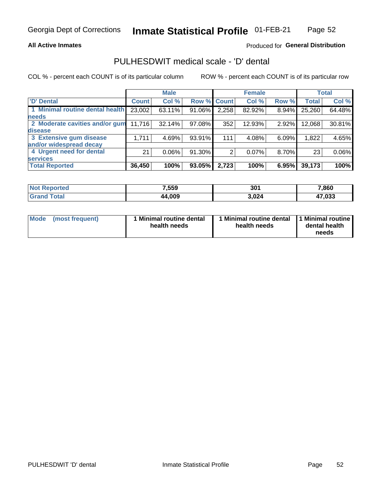### **All Active Inmates**

## Produced for General Distribution

## PULHESDWIT medical scale - 'D' dental

COL % - percent each COUNT is of its particular column

|                                 |              | <b>Male</b> |        |              | <b>Female</b> |       |              | <b>Total</b> |
|---------------------------------|--------------|-------------|--------|--------------|---------------|-------|--------------|--------------|
| <b>D'</b> Dental                | <b>Count</b> | Col %       | Row %  | <b>Count</b> | Col %         | Row % | <b>Total</b> | Col %        |
| 1 Minimal routine dental health | 23,002       | 63.11%      | 91.06% | 2,258        | 82.92%        | 8.94% | 25,260       | 64.48%       |
| <b>needs</b>                    |              |             |        |              |               |       |              |              |
| 2 Moderate cavities and/or gum  | 11,716       | 32.14%      | 97.08% | 352          | 12.93%        | 2.92% | 12,068       | 30.81%       |
| disease                         |              |             |        |              |               |       |              |              |
| 3 Extensive gum disease         | 1,711        | 4.69%       | 93.91% | 111          | 4.08%         | 6.09% | 1,822        | 4.65%        |
| and/or widespread decay         |              |             |        |              |               |       |              |              |
| 4 Urgent need for dental        | 21           | $0.06\%$    | 91.30% | 2            | 0.07%         | 8.70% | 23           | 0.06%        |
| <b>services</b>                 |              |             |        |              |               |       |              |              |
| <b>Total Reported</b>           | 36,450       | 100%        | 93.05% | 2,723        | 100%          | 6.95% | 39,173       | 100%         |

| <b>Not Reported</b> | 7,559  | 301   | 7,860              |
|---------------------|--------|-------|--------------------|
| Total               | 44,009 | 3,024 | 47,033<br><b>A</b> |

| <b>Mode</b> | (most frequent) | <b>Minimal routine dental</b><br>health needs | 1 Minimal routine dental   1 Minimal routine  <br>health needs | dental health<br>needs |
|-------------|-----------------|-----------------------------------------------|----------------------------------------------------------------|------------------------|
|-------------|-----------------|-----------------------------------------------|----------------------------------------------------------------|------------------------|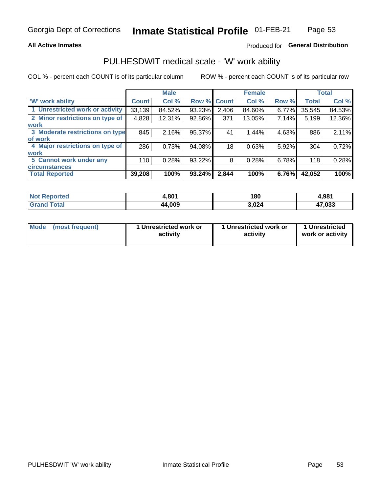### **All Active Inmates**

## Produced for General Distribution

## PULHESDWIT medical scale - 'W' work ability

COL % - percent each COUNT is of its particular column

|                                 |                    | <b>Male</b> |             |       | <b>Female</b> |       |              | <b>Total</b> |
|---------------------------------|--------------------|-------------|-------------|-------|---------------|-------|--------------|--------------|
| 'W' work ability                | Count <sup>'</sup> | Col %       | Row % Count |       | Col %         | Row % | <b>Total</b> | Col %        |
| 1 Unrestricted work or activity | 33,139             | 84.52%      | 93.23%      | 2,406 | 84.60%        | 6.77% | 35,545       | 84.53%       |
| 2 Minor restrictions on type of | 4,828              | 12.31%      | 92.86%      | 371   | 13.05%        | 7.14% | 5,199        | 12.36%       |
| <b>work</b>                     |                    |             |             |       |               |       |              |              |
| 3 Moderate restrictions on type | 845                | 2.16%       | 95.37%      | 41    | 1.44%         | 4.63% | 886          | 2.11%        |
| lof work                        |                    |             |             |       |               |       |              |              |
| 4 Major restrictions on type of | 286                | 0.73%       | 94.08%      | 18    | 0.63%         | 5.92% | 304          | 0.72%        |
| <b>work</b>                     |                    |             |             |       |               |       |              |              |
| 5 Cannot work under any         | 110                | 0.28%       | 93.22%      | 8     | 0.28%         | 6.78% | 118          | 0.28%        |
| <b>circumstances</b>            |                    |             |             |       |               |       |              |              |
| <b>Total Reported</b>           | 39,208             | 100%        | 93.24%      | 2,844 | 100%          | 6.76% | 42,052       | 100%         |

| <b>Not Reported</b>          | 1,801  | 180   | 4,981  |
|------------------------------|--------|-------|--------|
| <b>Total</b><br><b>Grand</b> | 44,009 | 3,024 | 47,033 |

| Mode (most frequent) | 1 Unrestricted work or | 1 Unrestricted work or | 1 Unrestricted   |
|----------------------|------------------------|------------------------|------------------|
|                      | activity               | activity               | work or activity |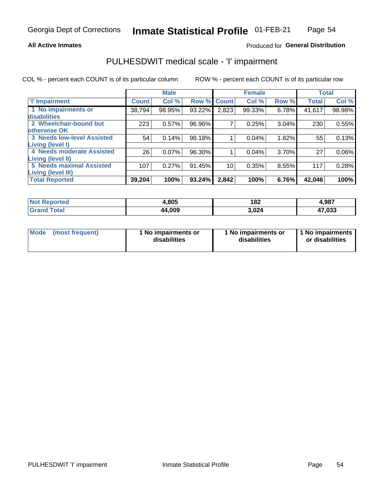### **All Active Inmates**

## Produced for General Distribution

## PULHESDWIT medical scale - 'I' impairment

COL % - percent each COUNT is of its particular column

|                                   |              | <b>Male</b> |        |             | <b>Female</b> |       |              | <b>Total</b> |
|-----------------------------------|--------------|-------------|--------|-------------|---------------|-------|--------------|--------------|
| <b>T' Impairment</b>              | <b>Count</b> | Col %       |        | Row % Count | Col %         | Row % | <b>Total</b> | Col %        |
| 1 No impairments or               | 38,794       | 98.95%      | 93.22% | 2,823       | 99.33%        | 6.78% | 41,617       | 98.98%       |
| disabilities                      |              |             |        |             |               |       |              |              |
| 2 Wheelchair-bound but            | 223          | 0.57%       | 96.96% | 7           | 0.25%         | 3.04% | 230          | 0.55%        |
| otherwise OK                      |              |             |        |             |               |       |              |              |
| <b>3 Needs low-level Assisted</b> | 54           | 0.14%       | 98.18% |             | 0.04%         | 1.82% | 55           | 0.13%        |
| Living (level I)                  |              |             |        |             |               |       |              |              |
| 4 Needs moderate Assisted         | 26           | 0.07%       | 96.30% |             | 0.04%         | 3.70% | 27           | $0.06\%$     |
| Living (level II)                 |              |             |        |             |               |       |              |              |
| <b>5 Needs maximal Assisted</b>   | 107          | 0.27%       | 91.45% | 10          | 0.35%         | 8.55% | 117          | 0.28%        |
| <b>Living (level III)</b>         |              |             |        |             |               |       |              |              |
| <b>Total Reported</b>             | 39,204       | 100%        | 93.24% | 2,842       | 100%          | 6.76% | 42,046       | 100%         |

| <b>Not</b><br>Reported | l,805  | 182<br>$ -$ | 4,987        |
|------------------------|--------|-------------|--------------|
| Total                  | 44,009 | 3,024       | 47,033<br>47 |

| Mode | (most frequent) | 1 No impairments or<br>disabilities | 1 No impairments or<br>disabilities | 1 No impairments<br>or disabilities |
|------|-----------------|-------------------------------------|-------------------------------------|-------------------------------------|
|------|-----------------|-------------------------------------|-------------------------------------|-------------------------------------|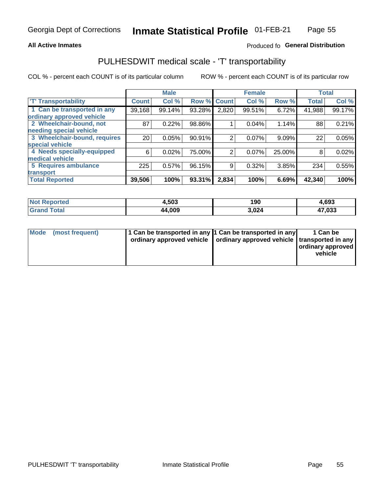### **All Active Inmates**

## Produced fo General Distribution

## PULHESDWIT medical scale - 'T' transportability

COL % - percent each COUNT is of its particular column

|                              |                    | <b>Male</b> |        |                | <b>Female</b> |          |              | <b>Total</b> |
|------------------------------|--------------------|-------------|--------|----------------|---------------|----------|--------------|--------------|
| <b>T' Transportability</b>   | Count <sup>'</sup> | Col %       | Row %  | <b>Count</b>   | Col %         | Row %    | <b>Total</b> | Col %        |
| 1 Can be transported in any  | 39,168             | 99.14%      | 93.28% | 2,820          | 99.51%        | 6.72%    | 41,988       | 99.17%       |
| ordinary approved vehicle    |                    |             |        |                |               |          |              |              |
| 2 Wheelchair-bound, not      | 87                 | 0.22%       | 98.86% |                | 0.04%         | 1.14%    | 88           | 0.21%        |
| needing special vehicle      |                    |             |        |                |               |          |              |              |
| 3 Wheelchair-bound, requires | 20                 | 0.05%       | 90.91% | $\overline{2}$ | 0.07%         | $9.09\%$ | 22           | 0.05%        |
| special vehicle              |                    |             |        |                |               |          |              |              |
| 4 Needs specially-equipped   | 6                  | 0.02%       | 75.00% | 2              | 0.07%         | 25.00%   | 8            | 0.02%        |
| medical vehicle              |                    |             |        |                |               |          |              |              |
| 5 Requires ambulance         | 225                | 0.57%       | 96.15% | 9              | 0.32%         | 3.85%    | 234          | 0.55%        |
| transport                    |                    |             |        |                |               |          |              |              |
| <b>Total Reported</b>        | 39,506             | 100%        | 93.31% | 2,834          | 100%          | 6.69%    | 42,340       | 100%         |

| <b>Not</b><br>Reported | 4,503  | 190   | 4,693        |
|------------------------|--------|-------|--------------|
| `otal                  | 44,009 | 3.024 | 17,033<br>47 |

|  | Mode (most frequent) | 1 Can be transported in any 1 Can be transported in any<br>ordinary approved vehicle   ordinary approved vehicle   transported in any |  | 1 Can be<br>  ordinary approved  <br>vehicle |
|--|----------------------|---------------------------------------------------------------------------------------------------------------------------------------|--|----------------------------------------------|
|--|----------------------|---------------------------------------------------------------------------------------------------------------------------------------|--|----------------------------------------------|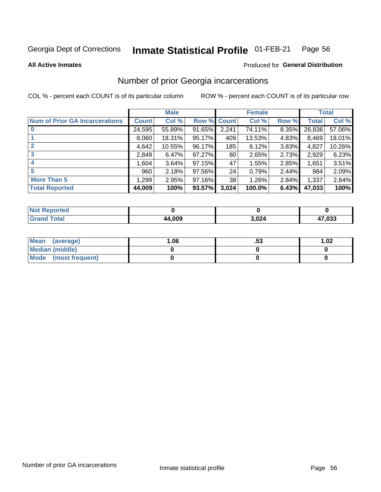#### Inmate Statistical Profile 01-FEB-21 Page 56

**All Active Inmates** 

### **Produced for General Distribution**

## Number of prior Georgia incarcerations

COL % - percent each COUNT is of its particular column

|                                       |              | <b>Male</b> |             |                 | <b>Female</b> |       |        | <b>Total</b> |
|---------------------------------------|--------------|-------------|-------------|-----------------|---------------|-------|--------|--------------|
| <b>Num of Prior GA Incarcerations</b> | <b>Count</b> | Col %       | Row % Count |                 | Col %         | Row % | Total  | Col %        |
|                                       | 24,595       | 55.89%      | 91.65%      | 2,241           | 74.11%        | 8.35% | 26,836 | 57.06%       |
|                                       | 8,060        | 18.31%      | 95.17%      | 409             | 13.53%        | 4.83% | 8,469  | 18.01%       |
| $\overline{2}$                        | 4,642        | 10.55%      | 96.17%      | 185             | 6.12%         | 3.83% | 4,827  | 10.26%       |
| 3                                     | 2,849        | 6.47%       | $97.27\%$   | 80 <sub>1</sub> | 2.65%         | 2.73% | 2,929  | 6.23%        |
| $\boldsymbol{4}$                      | 1.604        | 3.64%       | 97.15%      | 47              | 1.55%         | 2.85% | 1,651  | 3.51%        |
| 5                                     | 960          | 2.18%       | 97.56%      | 24              | 0.79%         | 2.44% | 984    | 2.09%        |
| <b>More Than 5</b>                    | 1,299        | 2.95%       | 97.16%      | 38 <sup>1</sup> | 1.26%         | 2.84% | 1,337  | 2.84%        |
| <b>Total Reported</b>                 | 44,009       | 100%        | 93.57%      | 3,024           | 100.0%        | 6.43% | 47,033 | 100%         |

| <b>Not</b><br>Reported |        |       |        |
|------------------------|--------|-------|--------|
| <b>Total</b><br>Grand  | 44,009 | 3,024 | 17,033 |

| Mean (average)         | 1.06 | . აა | 1.02 |
|------------------------|------|------|------|
| <b>Median (middle)</b> |      |      |      |
| Mode (most frequent)   |      |      |      |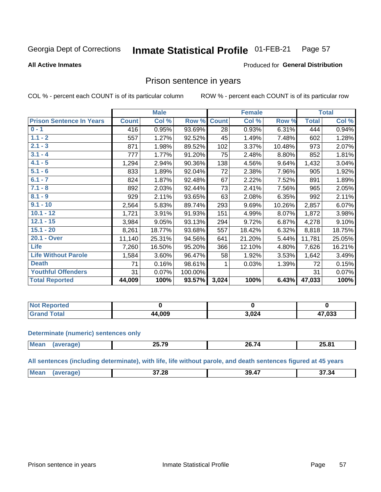#### **Inmate Statistical Profile 01-FEB-21** Page 57

### **All Active Inmates**

## **Produced for General Distribution**

## Prison sentence in years

COL % - percent each COUNT is of its particular column

ROW % - percent each COUNT is of its particular row

|                                 |              | <b>Male</b> |         |              | <b>Female</b> |        |              | <b>Total</b> |
|---------------------------------|--------------|-------------|---------|--------------|---------------|--------|--------------|--------------|
| <b>Prison Sentence In Years</b> | <b>Count</b> | Col %       | Row %   | <b>Count</b> | Col %         | Row %  | <b>Total</b> | Col %        |
| $0 - 1$                         | 416          | 0.95%       | 93.69%  | 28           | 0.93%         | 6.31%  | 444          | 0.94%        |
| $1.1 - 2$                       | 557          | 1.27%       | 92.52%  | 45           | 1.49%         | 7.48%  | 602          | 1.28%        |
| $2.1 - 3$                       | 871          | 1.98%       | 89.52%  | 102          | 3.37%         | 10.48% | 973          | 2.07%        |
| $3.1 - 4$                       | 777          | 1.77%       | 91.20%  | 75           | 2.48%         | 8.80%  | 852          | 1.81%        |
| $4.1 - 5$                       | 1,294        | 2.94%       | 90.36%  | 138          | 4.56%         | 9.64%  | 1,432        | 3.04%        |
| $5.1 - 6$                       | 833          | 1.89%       | 92.04%  | 72           | 2.38%         | 7.96%  | 905          | 1.92%        |
| $6.1 - 7$                       | 824          | 1.87%       | 92.48%  | 67           | 2.22%         | 7.52%  | 891          | 1.89%        |
| $7.1 - 8$                       | 892          | 2.03%       | 92.44%  | 73           | 2.41%         | 7.56%  | 965          | 2.05%        |
| $8.1 - 9$                       | 929          | 2.11%       | 93.65%  | 63           | 2.08%         | 6.35%  | 992          | 2.11%        |
| $9.1 - 10$                      | 2,564        | 5.83%       | 89.74%  | 293          | 9.69%         | 10.26% | 2,857        | 6.07%        |
| $10.1 - 12$                     | 1,721        | 3.91%       | 91.93%  | 151          | 4.99%         | 8.07%  | 1,872        | 3.98%        |
| $12.1 - 15$                     | 3,984        | 9.05%       | 93.13%  | 294          | 9.72%         | 6.87%  | 4,278        | 9.10%        |
| $15.1 - 20$                     | 8,261        | 18.77%      | 93.68%  | 557          | 18.42%        | 6.32%  | 8,818        | 18.75%       |
| 20.1 - Over                     | 11,140       | 25.31%      | 94.56%  | 641          | 21.20%        | 5.44%  | 11,781       | 25.05%       |
| <b>Life</b>                     | 7,260        | 16.50%      | 95.20%  | 366          | 12.10%        | 4.80%  | 7,626        | 16.21%       |
| <b>Life Without Parole</b>      | 1,584        | 3.60%       | 96.47%  | 58           | 1.92%         | 3.53%  | 1,642        | 3.49%        |
| <b>Death</b>                    | 71           | 0.16%       | 98.61%  |              | 0.03%         | 1.39%  | 72           | 0.15%        |
| <b>Youthful Offenders</b>       | 31           | 0.07%       | 100.00% |              |               |        | 31           | 0.07%        |
| <b>Total Reported</b>           | 44,009       | 100%        | 93.57%  | 3,024        | 100%          | 6.43%  | 47,033       | 100%         |

| <b>Not Reported</b> |       |     |                        |
|---------------------|-------|-----|------------------------|
| <b>Total</b>        | 1,009 | በ24 | 17,033<br>$\mathbf{r}$ |

### **Determinate (numeric) sentences only**

| <b>Mean</b> | $P - R$<br>1 U<br>---- | <br>/n<br>$    -$ | 25.81 |
|-------------|------------------------|-------------------|-------|
|             |                        |                   |       |

All sentences (including determinate), with life, life without parole, and death sentences figured at 45 years

| Me:<br>$\overline{a}$<br>37.28<br>39<br>37.34<br>$\mathbf{a}$<br>.<br>,,,,,<br>$ -$<br>____ |  |  |  |
|---------------------------------------------------------------------------------------------|--|--|--|
|                                                                                             |  |  |  |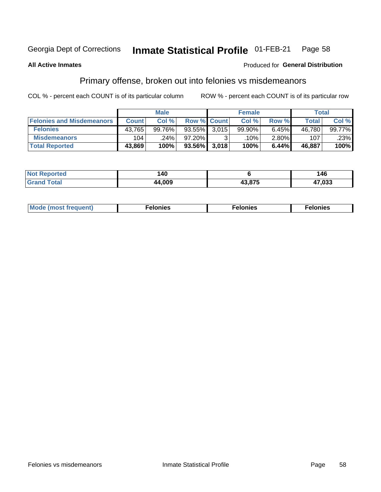#### Inmate Statistical Profile 01-FEB-21 Page 58

### **All Active Inmates**

### Produced for General Distribution

## Primary offense, broken out into felonies vs misdemeanors

COL % - percent each COUNT is of its particular column

|                                  |              | <b>Male</b> |                    |       | <b>Female</b> |          | Total        |        |
|----------------------------------|--------------|-------------|--------------------|-------|---------------|----------|--------------|--------|
| <b>Felonies and Misdemeanors</b> | <b>Count</b> | Col %       | <b>Row % Count</b> |       | Col %         | Row %    | <b>Total</b> | Col %  |
| <b>Felonies</b>                  | 43,765       | 99.76%      | 93.55%             | 3.015 | 99.90%        | 6.45%    | 46,780       | 99.77% |
| <b>Misdemeanors</b>              | 104          | 24%         | 97.20%             | 2     | .10%          | $2.80\%$ | 107          | .23%   |
| <b>Total Reported</b>            | 43,869       | 100%        | 93.56% 3,018       |       | 100%          | 6.44%    | 46,887       | 100%   |

| <b>Not</b><br>rted. | 40   |        | 46             |
|---------------------|------|--------|----------------|
| ™otaï<br>Grar       | .009 | 10.075 | ึกวว<br>ככט, ׳ |

| <b>Mo</b><br>requent)<br>$\sim$ | nıes | າເes | elonies |
|---------------------------------|------|------|---------|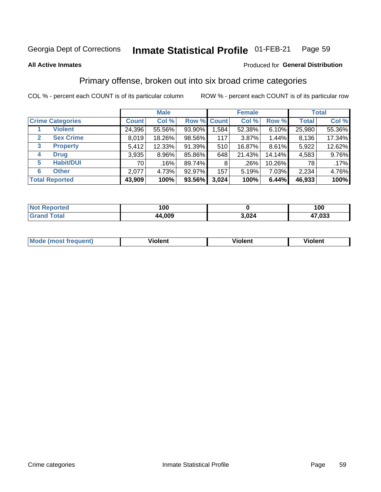#### Inmate Statistical Profile 01-FEB-21 Page 59

**All Active Inmates** 

## **Produced for General Distribution**

## Primary offense, broken out into six broad crime categories

COL % - percent each COUNT is of its particular column

|                                 |              | <b>Male</b> |             |       | <b>Female</b> |          |              | <b>Total</b> |
|---------------------------------|--------------|-------------|-------------|-------|---------------|----------|--------------|--------------|
| <b>Crime Categories</b>         | <b>Count</b> | Col %       | Row % Count |       | Col %         | Row %    | <b>Total</b> | Col %        |
| <b>Violent</b>                  | 24,396       | 55.56%      | 93.90%      | 1,584 | 52.38%        | $6.10\%$ | 25,980       | 55.36%       |
| <b>Sex Crime</b><br>2           | 8,019        | 18.26%      | 98.56%      | 117   | 3.87%         | 1.44%    | 8,136        | 17.34%       |
| $\mathbf{3}$<br><b>Property</b> | 5,412        | 12.33%      | 91.39%      | 510   | 16.87%        | 8.61%    | 5,922        | 12.62%       |
| <b>Drug</b><br>4                | 3,935        | 8.96%       | 85.86%      | 648   | 21.43%        | 14.14%   | 4,583        | 9.76%        |
| <b>Habit/DUI</b><br>5           | 70 l         | .16%        | 89.74%      | 8     | $.26\%$       | 10.26%   | 78 I         | .17%         |
| <b>Other</b><br>6               | 2,077        | 4.73%       | 92.97%      | 157   | 5.19%         | 7.03%    | 2,234        | 4.76%        |
| <b>Total Reported</b>           | 43,909       | 100%        | 93.56%      | 3,024 | 100%          | 6.44%    | 46,933       | 100%         |

| <b>Not Reported</b>    | 100    |       | 100    |
|------------------------|--------|-------|--------|
| <b>Total</b><br>'Grano | 44,009 | 3,024 | 47,033 |

| Mc | .<br>$\cdots$ | VIOIEM |
|----|---------------|--------|
|    |               |        |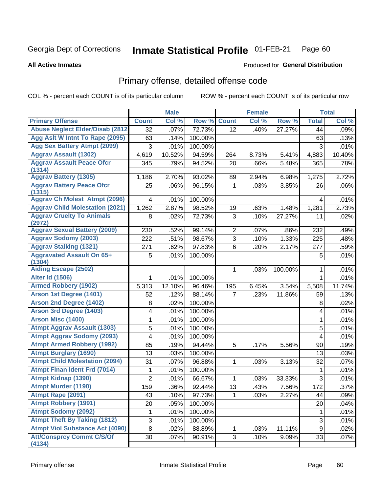#### Inmate Statistical Profile 01-FEB-21 Page 60

**All Active Inmates** 

### **Produced for General Distribution**

## Primary offense, detailed offense code

COL % - percent each COUNT is of its particular column

|                                            |                | <b>Male</b> |         |                | <b>Female</b> |         |                  | <b>Total</b> |
|--------------------------------------------|----------------|-------------|---------|----------------|---------------|---------|------------------|--------------|
| <b>Primary Offense</b>                     | <b>Count</b>   | Col %       | Row %   | <b>Count</b>   | Col %         | Row %   | <b>Total</b>     | Col %        |
| <b>Abuse Neglect Elder/Disab (2812)</b>    | 32             | .07%        | 72.73%  | 12             | .40%          | 27.27%  | 44               | .09%         |
| Agg Aslt W Intnt To Rape (2095)            | 63             | .14%        | 100.00% |                |               |         | 63               | .13%         |
| <b>Agg Sex Battery Atmpt (2099)</b>        | 3              | .01%        | 100.00% |                |               |         | 3                | .01%         |
| <b>Aggrav Assault (1302)</b>               | 4,619          | 10.52%      | 94.59%  | 264            | 8.73%         | 5.41%   | 4,883            | 10.40%       |
| <b>Aggrav Assault Peace Ofcr</b>           | 345            | .79%        | 94.52%  | 20             | .66%          | 5.48%   | 365              | .78%         |
| (1314)                                     |                |             |         |                |               |         |                  |              |
| <b>Aggrav Battery (1305)</b>               | 1,186          | 2.70%       | 93.02%  | 89             | 2.94%         | 6.98%   | 1,275            | 2.72%        |
| <b>Aggrav Battery Peace Ofcr</b><br>(1315) | 25             | .06%        | 96.15%  | 1              | .03%          | 3.85%   | 26               | .06%         |
| <b>Aggrav Ch Molest Atmpt (2096)</b>       | 4              | .01%        | 100.00% |                |               |         | 4                | .01%         |
| <b>Aggrav Child Molestation (2021)</b>     | 1,262          | 2.87%       | 98.52%  | 19             | .63%          | 1.48%   | 1,281            | 2.73%        |
| <b>Aggrav Cruelty To Animals</b>           | 8              | .02%        | 72.73%  | 3              | .10%          | 27.27%  | 11               | .02%         |
| (2972)                                     |                |             |         |                |               |         |                  |              |
| <b>Aggrav Sexual Battery (2009)</b>        | 230            | .52%        | 99.14%  | $\overline{2}$ | .07%          | .86%    | 232              | .49%         |
| <b>Aggrav Sodomy (2003)</b>                | 222            | .51%        | 98.67%  | 3              | .10%          | 1.33%   | 225              | .48%         |
| <b>Aggrav Stalking (1321)</b>              | 271            | .62%        | 97.83%  | 6              | .20%          | 2.17%   | 277              | .59%         |
| <b>Aggravated Assault On 65+</b><br>(1304) | 5              | .01%        | 100.00% |                |               |         | 5                | .01%         |
| <b>Aiding Escape (2502)</b>                |                |             |         | 1              | .03%          | 100.00% | 1                | .01%         |
| <b>Alter Id (1506)</b>                     | 1              | .01%        | 100.00% |                |               |         | $\mathbf{1}$     | .01%         |
| <b>Armed Robbery (1902)</b>                | 5,313          | 12.10%      | 96.46%  | 195            | 6.45%         | 3.54%   | 5,508            | 11.74%       |
| Arson 1st Degree (1401)                    | 52             | .12%        | 88.14%  | 7              | .23%          | 11.86%  | 59               | .13%         |
| <b>Arson 2nd Degree (1402)</b>             | 8              | .02%        | 100.00% |                |               |         | 8                | .02%         |
| <b>Arson 3rd Degree (1403)</b>             | 4              | .01%        | 100.00% |                |               |         | 4                | .01%         |
| <b>Arson Misc (1400)</b>                   | 1              | .01%        | 100.00% |                |               |         | $\mathbf{1}$     | .01%         |
| <b>Atmpt Aggrav Assault (1303)</b>         | 5              | .01%        | 100.00% |                |               |         | 5                | .01%         |
| <b>Atmpt Aggrav Sodomy (2093)</b>          | 4              | .01%        | 100.00% |                |               |         | 4                | .01%         |
| <b>Atmpt Armed Robbery (1992)</b>          | 85             | .19%        | 94.44%  | 5              | .17%          | 5.56%   | 90               | .19%         |
| <b>Atmpt Burglary (1690)</b>               | 13             | .03%        | 100.00% |                |               |         | 13               | .03%         |
| <b>Atmpt Child Molestation (2094)</b>      | 31             | .07%        | 96.88%  | 1              | .03%          | 3.13%   | 32               | .07%         |
| <b>Atmpt Finan Ident Frd (7014)</b>        | 1              | .01%        | 100.00% |                |               |         | 1                | .01%         |
| <b>Atmpt Kidnap (1390)</b>                 | $\overline{2}$ | .01%        | 66.67%  | 1              | .03%          | 33.33%  | 3                | .01%         |
| <b>Atmpt Murder (1190)</b>                 | 159            | .36%        | 92.44%  | 13             | .43%          | 7.56%   | $\frac{1}{172}$  | .37%         |
| Atmpt Rape (2091)                          | 43             | .10%        | 97.73%  | 1              | .03%          | 2.27%   | 44               | .09%         |
| <b>Atmpt Robbery (1991)</b>                | 20             | .05%        | 100.00% |                |               |         | 20               | .04%         |
| <b>Atmpt Sodomy (2092)</b>                 | 1              | .01%        | 100.00% |                |               |         | 1                | .01%         |
| <b>Atmpt Theft By Taking (1812)</b>        | $\overline{3}$ | .01%        | 100.00% |                |               |         | 3                | .01%         |
| <b>Atmpt Viol Substance Act (4090)</b>     | 8              | .02%        | 88.89%  | 1              | .03%          | 11.11%  | $\boldsymbol{9}$ | .02%         |
| <b>Att/Consprcy Commt C/S/Of</b>           | 30             | .07%        | 90.91%  | 3 <sup>1</sup> | .10%          | 9.09%   | 33               | .07%         |
| (4134)                                     |                |             |         |                |               |         |                  |              |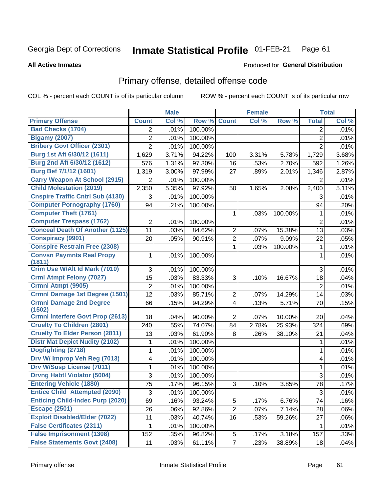#### Inmate Statistical Profile 01-FEB-21 Page 61

### **All Active Inmates**

# **Produced for General Distribution**

## Primary offense, detailed offense code

COL % - percent each COUNT is of its particular column

|                                            |                | <b>Male</b> |         |                | <b>Female</b> |         |                | <b>Total</b> |
|--------------------------------------------|----------------|-------------|---------|----------------|---------------|---------|----------------|--------------|
| <b>Primary Offense</b>                     | <b>Count</b>   | Col %       | Row %   | <b>Count</b>   | Col %         | Row %   | <b>Total</b>   | Col %        |
| <b>Bad Checks (1704)</b>                   | $\overline{2}$ | .01%        | 100.00% |                |               |         | 2              | .01%         |
| <b>Bigamy (2007)</b>                       | $\overline{2}$ | .01%        | 100.00% |                |               |         | $\overline{2}$ | .01%         |
| <b>Bribery Govt Officer (2301)</b>         | $\overline{2}$ | .01%        | 100.00% |                |               |         | $\overline{2}$ | .01%         |
| Burg 1st Aft 6/30/12 (1611)                | 1,629          | 3.71%       | 94.22%  | 100            | 3.31%         | 5.78%   | 1,729          | 3.68%        |
| Burg 2nd Aft 6/30/12 (1612)                | 576            | 1.31%       | 97.30%  | 16             | .53%          | 2.70%   | 592            | 1.26%        |
| <b>Burg Bef 7/1/12 (1601)</b>              | 1,319          | 3.00%       | 97.99%  | 27             | .89%          | 2.01%   | 1,346          | 2.87%        |
| <b>Carry Weapon At School (2915)</b>       | 2              | .01%        | 100.00% |                |               |         | 2              | .01%         |
| <b>Child Molestation (2019)</b>            | 2,350          | 5.35%       | 97.92%  | 50             | 1.65%         | 2.08%   | 2,400          | 5.11%        |
| <b>Cnspire Traffic Cntrl Sub (4130)</b>    | 3              | .01%        | 100.00% |                |               |         | 3              | .01%         |
| <b>Computer Pornography (1760)</b>         | 94             | .21%        | 100.00% |                |               |         | 94             | .20%         |
| <b>Computer Theft (1761)</b>               |                |             |         | 1              | .03%          | 100.00% | 1              | .01%         |
| <b>Computer Trespass (1762)</b>            | $\overline{2}$ | .01%        | 100.00% |                |               |         | $\overline{2}$ | .01%         |
| <b>Conceal Death Of Another (1125)</b>     | 11             | .03%        | 84.62%  | $\overline{2}$ | .07%          | 15.38%  | 13             | .03%         |
| <b>Conspiracy (9901)</b>                   | 20             | .05%        | 90.91%  | $\overline{2}$ | .07%          | 9.09%   | 22             | .05%         |
| <b>Conspire Restrain Free (2308)</b>       |                |             |         | 1              | .03%          | 100.00% | 1              | .01%         |
| <b>Convsn Paymnts Real Propy</b><br>(1811) | 1              | .01%        | 100.00% |                |               |         | 1              | .01%         |
| Crim Use W/Alt Id Mark (7010)              | 3              | .01%        | 100.00% |                |               |         | 3              | .01%         |
| <b>Crml Atmpt Felony (7027)</b>            | 15             | .03%        | 83.33%  | 3              | .10%          | 16.67%  | 18             | .04%         |
| Crmnl Atmpt (9905)                         | $\overline{2}$ | .01%        | 100.00% |                |               |         | $\overline{2}$ | .01%         |
| <b>Crmnl Damage 1st Degree (1501)</b>      | 12             | .03%        | 85.71%  | $\overline{2}$ | .07%          | 14.29%  | 14             | .03%         |
| <b>Crmnl Damage 2nd Degree</b><br>(1502)   | 66             | .15%        | 94.29%  | $\overline{4}$ | .13%          | 5.71%   | 70             | .15%         |
| <b>Crmnl Interfere Govt Prop (2613)</b>    | 18             | .04%        | 90.00%  | $\overline{2}$ | .07%          | 10.00%  | 20             | .04%         |
| <b>Cruelty To Children (2801)</b>          | 240            | .55%        | 74.07%  | 84             | 2.78%         | 25.93%  | 324            | .69%         |
| <b>Cruelty To Elder Person (2811)</b>      | 13             | .03%        | 61.90%  | 8              | .26%          | 38.10%  | 21             | .04%         |
| <b>Distr Mat Depict Nudity (2102)</b>      | 1              | .01%        | 100.00% |                |               |         | 1              | .01%         |
| Dogfighting (2718)                         | 1              | .01%        | 100.00% |                |               |         | 1              | .01%         |
| Drv W/ Improp Veh Reg (7013)               | 4              | .01%        | 100.00% |                |               |         | 4              | .01%         |
| <b>Drv W/Susp License (7011)</b>           | 1              | .01%        | 100.00% |                |               |         | 1              | .01%         |
| <b>Drvng Habtl Violator (5004)</b>         | 3              | .01%        | 100.00% |                |               |         | 3              | .01%         |
| <b>Entering Vehicle (1880)</b>             | 75             | .17%        | 96.15%  | 3              | .10%          | 3.85%   | 78             | .17%         |
| <b>Entice Child Attempted (2090)</b>       | 3              | .01%        | 100.00% |                |               |         | 3              | .01%         |
| <b>Enticing Child-Indec Purp (2020)</b>    | 69             | .16%        | 93.24%  | 5              | .17%          | 6.76%   | 74             | .16%         |
| <b>Escape (2501)</b>                       | 26             | .06%        | 92.86%  | $\overline{2}$ | .07%          | 7.14%   | 28             | .06%         |
| <b>Exploit Disabled/Elder (7022)</b>       | 11             | .03%        | 40.74%  | 16             | .53%          | 59.26%  | 27             | .06%         |
| <b>False Certificates (2311)</b>           | 1              | .01%        | 100.00% |                |               |         | 1              | .01%         |
| <b>False Imprisonment (1308)</b>           | 152            | .35%        | 96.82%  | 5              | .17%          | 3.18%   | 157            | .33%         |
| <b>False Statements Govt (2408)</b>        | 11             | .03%        | 61.11%  | $\overline{7}$ | .23%          | 38.89%  | 18             | .04%         |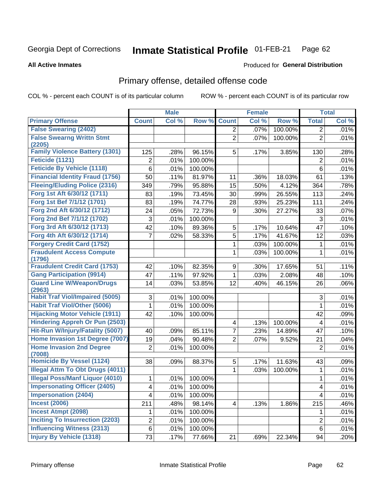#### Inmate Statistical Profile 01-FEB-21 Page 62

### **All Active Inmates**

## Produced for General Distribution

## Primary offense, detailed offense code

COL % - percent each COUNT is of its particular column

| Col %<br>Col %<br><b>Primary Offense</b><br>Row %<br><b>Count</b><br>Row %<br><b>Total</b><br><b>Count</b><br><b>False Swearing (2402)</b><br>100.00%<br>.07%<br>$\overline{2}$<br>$\overline{2}$<br><b>False Swearng Writtn Stmt</b><br>$\overline{2}$<br>100.00%<br>$\overline{2}$<br>.07% | Col %<br>.01%<br>.01% |
|----------------------------------------------------------------------------------------------------------------------------------------------------------------------------------------------------------------------------------------------------------------------------------------------|-----------------------|
|                                                                                                                                                                                                                                                                                              |                       |
|                                                                                                                                                                                                                                                                                              |                       |
|                                                                                                                                                                                                                                                                                              |                       |
| (2205)                                                                                                                                                                                                                                                                                       |                       |
| <b>Family Violence Battery (1301)</b><br>96.15%<br>125<br>.28%<br>5<br>.17%<br>3.85%<br>130                                                                                                                                                                                                  | .28%                  |
| Feticide (1121)<br>100.00%<br>2<br>.01%<br>2                                                                                                                                                                                                                                                 | .01%                  |
| <b>Feticide By Vehicle (1118)</b><br>6<br>.01%<br>100.00%<br>6                                                                                                                                                                                                                               | .01%                  |
| <b>Financial Identity Fraud (1756)</b><br>50<br>.11%<br>81.97%<br>11<br>.36%<br>18.03%<br>61                                                                                                                                                                                                 | .13%                  |
| <b>Fleeing/Eluding Police (2316)</b><br>349<br>.79%<br>95.88%<br>15<br>4.12%<br>.50%<br>364                                                                                                                                                                                                  | .78%                  |
| Forg 1st Aft 6/30/12 (1711)<br>.19%<br>73.45%<br>30<br>113<br>.99%<br>26.55%<br>83                                                                                                                                                                                                           | .24%                  |
| Forg 1st Bef 7/1/12 (1701)<br>83<br>.19%<br>74.77%<br>28<br>.93%<br>25.23%<br>111                                                                                                                                                                                                            | .24%                  |
| Forg 2nd Aft 6/30/12 (1712)<br>.05%<br>72.73%<br>.30%<br>27.27%<br>24<br>9<br>33                                                                                                                                                                                                             | .07%                  |
| Forg 2nd Bef 7/1/12 (1702)<br>3<br>.01%<br>100.00%<br>3                                                                                                                                                                                                                                      | .01%                  |
| Forg 3rd Aft 6/30/12 (1713)<br>42<br>89.36%<br>5<br>10.64%<br>47<br>.10%<br>.17%                                                                                                                                                                                                             | .10%                  |
| Forg 4th Aft 6/30/12 (1714)<br>5<br>41.67%<br>7<br>.02%<br>58.33%<br>.17%<br>12                                                                                                                                                                                                              | .03%                  |
| <b>Forgery Credit Card (1752)</b><br>.03%<br>100.00%<br>1<br>1                                                                                                                                                                                                                               | .01%                  |
| <b>Fraudulent Access Compute</b><br>100.00%<br>1<br>1<br>.03%                                                                                                                                                                                                                                | .01%                  |
| (1796)                                                                                                                                                                                                                                                                                       |                       |
| <b>Fraudulent Credit Card (1753)</b><br>42<br>.10%<br>82.35%<br>9<br>.30%<br>17.65%<br>51                                                                                                                                                                                                    | .11%                  |
| <b>Gang Participation (9914)</b><br>47<br>.11%<br>97.92%<br>1<br>.03%<br>2.08%<br>48                                                                                                                                                                                                         | .10%                  |
| <b>Guard Line W/Weapon/Drugs</b><br>14<br>.03%<br>53.85%<br>12<br>.40%<br>46.15%<br>26<br>(2963)                                                                                                                                                                                             | .06%                  |
| <b>Habit Traf Viol/Impaired (5005)</b><br>3<br>100.00%<br>3<br>.01%                                                                                                                                                                                                                          | .01%                  |
| <b>Habit Traf Viol/Other (5006)</b><br>1<br>.01%<br>100.00%<br>1                                                                                                                                                                                                                             | .01%                  |
| <b>Hijacking Motor Vehicle (1911)</b><br>42<br>.10%<br>100.00%<br>42                                                                                                                                                                                                                         | .09%                  |
| <b>Hindering Appreh Or Pun (2503)</b><br>100.00%<br>4<br>.13%<br>$\overline{4}$                                                                                                                                                                                                              | .01%                  |
| Hit-Run W/Injury/Fatality (5007)<br>7<br>.09%<br>85.11%<br>.23%<br>14.89%<br>47<br>40                                                                                                                                                                                                        | .10%                  |
| Home Invasion 1st Degree (7007)<br>$\overline{2}$<br>90.48%<br>19<br>.04%<br>.07%<br>9.52%<br>21                                                                                                                                                                                             | .04%                  |
| <b>Home Invasion 2nd Degree</b><br>$\overline{2}$<br>.01%<br>100.00%<br>$\overline{2}$                                                                                                                                                                                                       | .01%                  |
| (7008)<br><b>Homicide By Vessel (1124)</b><br>88.37%<br>5<br>11.63%<br>.17%<br>38<br>.09%<br>43                                                                                                                                                                                              | .09%                  |
| <b>Illegal Attm To Obt Drugs (4011)</b><br>1<br>.03%<br>100.00%<br>1                                                                                                                                                                                                                         | .01%                  |
| <b>Illegal Poss/Manf Liquor (4010)</b><br>.01%<br>100.00%<br>1<br>1                                                                                                                                                                                                                          | .01%                  |
| <b>Impersonating Officer (2405)</b><br>.01%<br>100.00%<br>$\overline{\mathbf{4}}$<br>$\overline{\mathbf{4}}$                                                                                                                                                                                 | .01%                  |
| <b>Impersonation (2404)</b><br>4<br>4<br>.01%<br>100.00%                                                                                                                                                                                                                                     | .01%                  |
| <b>Incest (2006)</b><br>211<br>.48%<br>1.86%<br>215<br>98.14%<br>.13%<br>4                                                                                                                                                                                                                   | .46%                  |
| <b>Incest Atmpt (2098)</b><br>.01%<br>1<br>100.00%<br>1                                                                                                                                                                                                                                      | .01%                  |
| <b>Inciting To Insurrection (2203)</b><br>$\overline{2}$<br>.01%<br>$\overline{2}$<br>100.00%                                                                                                                                                                                                | .01%                  |
| <b>Influencing Witness (2313)</b><br>6<br>6<br>.01%<br>100.00%                                                                                                                                                                                                                               | .01%                  |
| <b>Injury By Vehicle (1318)</b><br>73<br>.17%<br>77.66%<br>21<br>.69%<br>22.34%<br>94                                                                                                                                                                                                        | .20%                  |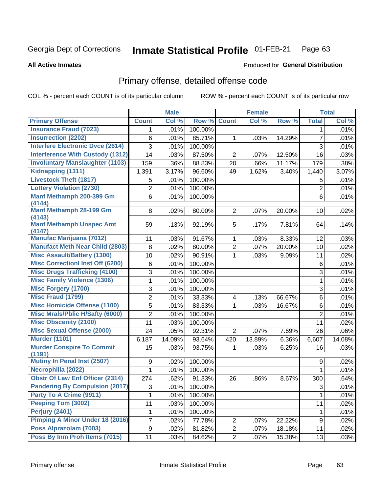#### Inmate Statistical Profile 01-FEB-21 Page 63

**All Active Inmates** 

### Produced for General Distribution

## Primary offense, detailed offense code

COL % - percent each COUNT is of its particular column

|                                            |                | <b>Male</b> |         |                | <b>Female</b> |        |                | <b>Total</b> |
|--------------------------------------------|----------------|-------------|---------|----------------|---------------|--------|----------------|--------------|
| <b>Primary Offense</b>                     | <b>Count</b>   | Col %       | Row %   | <b>Count</b>   | Col %         | Row %  | <b>Total</b>   | Col %        |
| <b>Insurance Fraud (7023)</b>              | 1              | .01%        | 100.00% |                |               |        | $\mathbf 1$    | .01%         |
| <b>Insurrection (2202)</b>                 | 6              | .01%        | 85.71%  | $\mathbf{1}$   | .03%          | 14.29% | $\overline{7}$ | .01%         |
| <b>Interfere Electronic Dvce (2614)</b>    | 3              | .01%        | 100.00% |                |               |        | 3              | .01%         |
| <b>Interference With Custody (1312)</b>    | 14             | .03%        | 87.50%  | $\overline{2}$ | $.07\%$       | 12.50% | 16             | .03%         |
| <b>Involuntary Manslaughter (1103)</b>     | 159            | .36%        | 88.83%  | 20             | .66%          | 11.17% | 179            | .38%         |
| <b>Kidnapping (1311)</b>                   | 1,391          | 3.17%       | 96.60%  | 49             | 1.62%         | 3.40%  | 1,440          | 3.07%        |
| <b>Livestock Theft (1817)</b>              | 5              | .01%        | 100.00% |                |               |        | 5              | .01%         |
| <b>Lottery Violation (2730)</b>            | 2              | .01%        | 100.00% |                |               |        | $\overline{2}$ | .01%         |
| Manf Methamph 200-399 Gm                   | 6              | .01%        | 100.00% |                |               |        | 6              | .01%         |
| (4144)                                     |                |             |         |                |               |        |                |              |
| Manf Methamph 28-199 Gm<br>(4143)          | 8              | .02%        | 80.00%  | $\overline{2}$ | $.07\%$       | 20.00% | 10             | .02%         |
| <b>Manf Methamph Unspec Amt</b>            | 59             | .13%        | 92.19%  | 5              | .17%          | 7.81%  | 64             | .14%         |
| (4147)                                     |                |             |         |                |               |        |                |              |
| <b>Manufac Marijuana (7012)</b>            | 11             | .03%        | 91.67%  | $\mathbf{1}$   | .03%          | 8.33%  | 12             | .03%         |
| <b>Manufact Meth Near Child (2803)</b>     | $\,8\,$        | .02%        | 80.00%  | $\overline{2}$ | .07%          | 20.00% | 10             | .02%         |
| <b>Misc Assault/Battery (1300)</b>         | 10             | .02%        | 90.91%  | $\mathbf{1}$   | .03%          | 9.09%  | 11             | .02%         |
| <b>Misc Correctionl Inst Off (6200)</b>    | 6              | .01%        | 100.00% |                |               |        | 6              | .01%         |
| <b>Misc Drugs Trafficking (4100)</b>       | 3              | .01%        | 100.00% |                |               |        | 3              | .01%         |
| <b>Misc Family Violence (1306)</b>         | 1              | .01%        | 100.00% |                |               |        | 1              | .01%         |
| <b>Misc Forgery (1700)</b>                 | 3              | .01%        | 100.00% |                |               |        | 3              | .01%         |
| <b>Misc Fraud (1799)</b>                   | $\overline{2}$ | .01%        | 33.33%  | $\overline{4}$ | .13%          | 66.67% | 6              | .01%         |
| <b>Misc Homicide Offense (1100)</b>        | 5              | .01%        | 83.33%  | $\mathbf{1}$   | .03%          | 16.67% | 6              | .01%         |
| <b>Misc Mrals/Pblic H/Safty (6000)</b>     | $\overline{2}$ | .01%        | 100.00% |                |               |        | $\overline{2}$ | .01%         |
| <b>Misc Obscenity (2100)</b>               | 11             | .03%        | 100.00% |                |               |        | 11             | .02%         |
| <b>Misc Sexual Offense (2000)</b>          | 24             | .05%        | 92.31%  | $\overline{2}$ | .07%          | 7.69%  | 26             | .06%         |
| <b>Murder (1101)</b>                       | 6,187          | 14.09%      | 93.64%  | 420            | 13.89%        | 6.36%  | 6,607          | 14.08%       |
| <b>Murder Conspire To Commit</b><br>(1191) | 15             | .03%        | 93.75%  | $\mathbf 1$    | .03%          | 6.25%  | 16             | .03%         |
| <b>Mutiny In Penal Inst (2507)</b>         | 9              | .02%        | 100.00% |                |               |        | 9              | .02%         |
| Necrophilia (2022)                         | 1              | .01%        | 100.00% |                |               |        | 1              | .01%         |
| <b>Obstr Of Law Enf Officer (2314)</b>     | 274            | .62%        | 91.33%  | 26             | .86%          | 8.67%  | 300            | .64%         |
| <b>Pandering By Compulsion (2017)</b>      | $\overline{3}$ | .01%        | 100.00% |                |               |        | $\overline{3}$ | .01%         |
| Party To A Crime (9911)                    | 1              | .01%        | 100.00% |                |               |        | 1              | .01%         |
| Peeping Tom (3002)                         | 11             | .03%        | 100.00% |                |               |        | 11             | .02%         |
| <b>Perjury (2401)</b>                      | 1              | .01%        | 100.00% |                |               |        | $\mathbf{1}$   | .01%         |
| <b>Pimping A Minor Under 18 (2016)</b>     | 7              | .02%        | 77.78%  | $2\vert$       | .07%          | 22.22% | 9              | .02%         |
| Poss Alprazolam (7003)                     | 9              | .02%        | 81.82%  | $\overline{2}$ | .07%          | 18.18% | 11             | .02%         |
| Poss By Inm Proh Items (7015)              | 11             | .03%        | 84.62%  | $2\vert$       | .07%          | 15.38% | 13             | .03%         |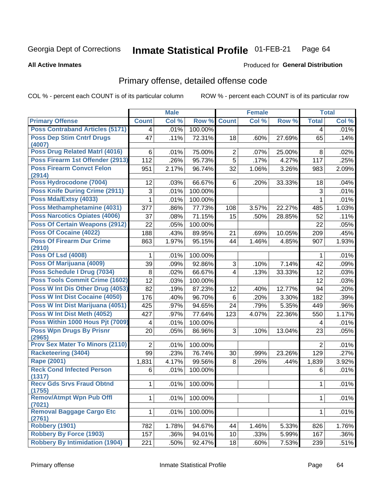#### Inmate Statistical Profile 01-FEB-21 Page 64

### **All Active Inmates**

## Produced for General Distribution

## Primary offense, detailed offense code

COL % - percent each COUNT is of its particular column

|                                            |                | <b>Male</b> |         |                | <b>Female</b> |                     |                | <b>Total</b> |
|--------------------------------------------|----------------|-------------|---------|----------------|---------------|---------------------|----------------|--------------|
| <b>Primary Offense</b>                     | <b>Count</b>   | Col %       | Row %   | <b>Count</b>   | Col %         | Row %               | <b>Total</b>   | Col %        |
| <b>Poss Contraband Articles (5171)</b>     | 4              | .01%        | 100.00% |                |               |                     | 4              | .01%         |
| <b>Poss Dep Stim Cntrf Drugs</b><br>(4007) | 47             | .11%        | 72.31%  | 18             | .60%          | 27.69%              | 65             | .14%         |
| Poss Drug Related Matrl (4016)             | 6              | .01%        | 75.00%  | $\overline{2}$ | .07%          | 25.00%              | 8              | .02%         |
| Poss Firearm 1st Offender (2913)           | 112            | .26%        | 95.73%  | $\overline{5}$ | .17%          | 4.27%               | 117            | .25%         |
| <b>Poss Firearm Convct Felon</b><br>(2914) | 951            | 2.17%       | 96.74%  | 32             | 1.06%         | 3.26%               | 983            | 2.09%        |
| Poss Hydrocodone (7004)                    | 12             | .03%        | 66.67%  | 6              | .20%          | 33.33%              | 18             | .04%         |
| <b>Poss Knife During Crime (2911)</b>      | 3              | .01%        | 100.00% |                |               |                     | 3              | .01%         |
| Poss Mda/Extsy (4033)                      | 1              | .01%        | 100.00% |                |               |                     | 1              | .01%         |
| Poss Methamphetamine (4031)                | 377            | .86%        | 77.73%  | 108            | 3.57%         | 22.27%              | 485            | 1.03%        |
| <b>Poss Narcotics Opiates (4006)</b>       | 37             | .08%        | 71.15%  | 15             | .50%          | 28.85%              | 52             | .11%         |
| <b>Poss Of Certain Weapons (2912)</b>      | 22             | .05%        | 100.00% |                |               |                     | 22             | .05%         |
| <b>Poss Of Cocaine (4022)</b>              | 188            | .43%        | 89.95%  | 21             | .69%          | 10.05%              | 209            | .45%         |
| <b>Poss Of Firearm Dur Crime</b><br>(2910) | 863            | 1.97%       | 95.15%  | 44             | 1.46%         | 4.85%               | 907            | 1.93%        |
| <b>Poss Of Lsd (4008)</b>                  | 1              | .01%        | 100.00% |                |               |                     | 1              | .01%         |
| Poss Of Marijuana (4009)                   | 39             | .09%        | 92.86%  | 3              | .10%          | $\overline{7.14\%}$ | 42             | .09%         |
| Poss Schedule I Drug (7034)                | 8              | .02%        | 66.67%  | $\overline{4}$ | .13%          | 33.33%              | 12             | .03%         |
| Poss Tools Commit Crime (1602)             | 12             | .03%        | 100.00% |                |               |                     | 12             | .03%         |
| Poss W Int Dis Other Drug (4053)           | 82             | .19%        | 87.23%  | 12             | .40%          | 12.77%              | 94             | .20%         |
| Poss W Int Dist Cocaine (4050)             | 176            | .40%        | 96.70%  | $6\phantom{a}$ | .20%          | 3.30%               | 182            | .39%         |
| Poss W Int Dist Marijuana (4051)           | 425            | .97%        | 94.65%  | 24             | .79%          | 5.35%               | 449            | .96%         |
| Poss W Int Dist Meth (4052)                | 427            | .97%        | 77.64%  | 123            | 4.07%         | 22.36%              | 550            | 1.17%        |
| Poss Within 1000 Hous Pjt (7009)           | $\overline{4}$ | .01%        | 100.00% |                |               |                     | 4              | .01%         |
| <b>Poss Wpn Drugs By Prisnr</b><br>(2965)  | 20             | .05%        | 86.96%  | 3              | .10%          | 13.04%              | 23             | .05%         |
| <b>Prov Sex Mater To Minors (2110)</b>     | $\overline{2}$ | .01%        | 100.00% |                |               |                     | $\overline{2}$ | .01%         |
| <b>Racketeering (3404)</b>                 | 99             | .23%        | 76.74%  | 30             | .99%          | 23.26%              | 129            | .27%         |
| <b>Rape (2001)</b>                         | 1,831          | 4.17%       | 99.56%  | 8              | .26%          | .44%                | 1,839          | 3.92%        |
| <b>Reck Cond Infected Person</b>           | 6              | .01%        | 100.00% |                |               |                     | 6              | .01%         |
| (1317)                                     |                |             |         |                |               |                     |                |              |
| <b>Recy Gds Srvs Fraud Obtnd</b><br>(1755) | 1              | .01%        | 100.00% |                |               |                     | $\mathbf{1}$   | .01%         |
| <b>Remov/Atmpt Wpn Pub Offl</b><br>(7021)  | $\mathbf{1}$   | .01%        | 100.00% |                |               |                     | $\mathbf 1$    | .01%         |
| <b>Removal Baggage Cargo Etc</b><br>(2761) | $\mathbf{1}$   | .01%        | 100.00% |                |               |                     | 1              | .01%         |
| <b>Robbery (1901)</b>                      | 782            | 1.78%       | 94.67%  | 44             | 1.46%         | 5.33%               | 826            | 1.76%        |
| <b>Robbery By Force (1903)</b>             | 157            | .36%        | 94.01%  | 10             | .33%          | 5.99%               | 167            | .36%         |
| <b>Robbery By Intimidation (1904)</b>      | 221            | .50%        | 92.47%  | 18             | .60%          | 7.53%               | 239            | .51%         |
|                                            |                |             |         |                |               |                     |                |              |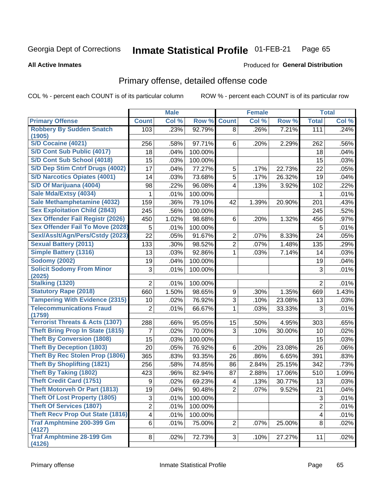#### Inmate Statistical Profile 01-FEB-21 Page 65

**All Active Inmates** 

## **Produced for General Distribution**

## Primary offense, detailed offense code

COL % - percent each COUNT is of its particular column

|                                                  |                 | <b>Male</b> |         |                         | <b>Female</b> |        |                         | <b>Total</b> |
|--------------------------------------------------|-----------------|-------------|---------|-------------------------|---------------|--------|-------------------------|--------------|
| <b>Primary Offense</b>                           | <b>Count</b>    | Col %       | Row %   | <b>Count</b>            | Col %         | Row %  | <b>Total</b>            | Col %        |
| <b>Robbery By Sudden Snatch</b>                  | 103             | .23%        | 92.79%  | 8                       | .26%          | 7.21%  | 111                     | .24%         |
| (1905)                                           |                 |             |         |                         |               |        |                         |              |
| S/D Cocaine (4021)<br>S/D Cont Sub Public (4017) | 256             | .58%        | 97.71%  | 6                       | .20%          | 2.29%  | 262                     | .56%         |
|                                                  | 18              | .04%        | 100.00% |                         |               |        | 18                      | .04%         |
| S/D Cont Sub School (4018)                       | 15              | .03%        | 100.00% |                         |               |        | 15                      | .03%         |
| S/D Dep Stim Cntrf Drugs (4002)                  | 17              | .04%        | 77.27%  | 5                       | .17%          | 22.73% | 22                      | .05%         |
| <b>S/D Narcotics Opiates (4001)</b>              | 14              | .03%        | 73.68%  | $\overline{5}$          | .17%          | 26.32% | 19                      | .04%         |
| S/D Of Marijuana (4004)                          | 98              | .22%        | 96.08%  | $\overline{4}$          | .13%          | 3.92%  | 102                     | .22%         |
| Sale Mda/Extsy (4034)                            | 1               | .01%        | 100.00% |                         |               |        | 1                       | .01%         |
| Sale Methamphetamine (4032)                      | 159             | .36%        | 79.10%  | 42                      | 1.39%         | 20.90% | 201                     | .43%         |
| <b>Sex Exploitation Child (2843)</b>             | 245             | .56%        | 100.00% |                         |               |        | 245                     | .52%         |
| Sex Offender Fail Registr (2026)                 | 450             | 1.02%       | 98.68%  | 6                       | .20%          | 1.32%  | 456                     | .97%         |
| <b>Sex Offender Fail To Move (2028)</b>          | 5               | .01%        | 100.00% |                         |               |        | 5                       | .01%         |
| Sexl/Asslt/Agn/Pers/Cstdy (2023)                 | $\overline{22}$ | .05%        | 91.67%  | $\overline{c}$          | .07%          | 8.33%  | 24                      | .05%         |
| <b>Sexual Battery (2011)</b>                     | 133             | .30%        | 98.52%  | $\overline{2}$          | .07%          | 1.48%  | 135                     | .29%         |
| <b>Simple Battery (1316)</b>                     | 13              | .03%        | 92.86%  | 1                       | .03%          | 7.14%  | 14                      | .03%         |
| <b>Sodomy (2002)</b>                             | 19              | .04%        | 100.00% |                         |               |        | 19                      | .04%         |
| <b>Solicit Sodomy From Minor</b><br>(2025)       | 3               | .01%        | 100.00% |                         |               |        | 3                       | .01%         |
| <b>Stalking (1320)</b>                           | $\overline{2}$  | .01%        | 100.00% |                         |               |        | $\overline{2}$          | .01%         |
| <b>Statutory Rape (2018)</b>                     | 660             | 1.50%       | 98.65%  | 9                       | .30%          | 1.35%  | 669                     | 1.43%        |
| <b>Tampering With Evidence (2315)</b>            | 10              | .02%        | 76.92%  | 3                       | .10%          | 23.08% | 13                      | .03%         |
| <b>Telecommunications Fraud</b><br>(1759)        | $\overline{2}$  | .01%        | 66.67%  | 1                       | .03%          | 33.33% | 3                       | .01%         |
| <b>Terrorist Threats &amp; Acts (1307)</b>       | 288             | .66%        | 95.05%  | 15                      | .50%          | 4.95%  | 303                     | .65%         |
| <b>Theft Bring Prop In State (1815)</b>          | 7               | .02%        | 70.00%  | 3                       | .10%          | 30.00% | 10                      | .02%         |
| <b>Theft By Conversion (1808)</b>                | 15              | .03%        | 100.00% |                         |               |        | 15                      | .03%         |
| <b>Theft By Deception (1803)</b>                 | 20              | .05%        | 76.92%  | 6                       | .20%          | 23.08% | 26                      | .06%         |
| <b>Theft By Rec Stolen Prop (1806)</b>           | 365             | .83%        | 93.35%  | 26                      | .86%          | 6.65%  | 391                     | .83%         |
| <b>Theft By Shoplifting (1821)</b>               | 256             | .58%        | 74.85%  | 86                      | 2.84%         | 25.15% | 342                     | .73%         |
| <b>Theft By Taking (1802)</b>                    | 423             | .96%        | 82.94%  | 87                      | 2.88%         | 17.06% | 510                     | 1.09%        |
| <b>Theft Credit Card (1751)</b>                  | 9               | .02%        | 69.23%  | $\overline{\mathbf{4}}$ | .13%          | 30.77% | 13                      | .03%         |
| Theft Motorveh Or Part (1813)                    | 19              | .04%        | 90.48%  | $\overline{2}$          | .07%          | 9.52%  | 21                      | .04%         |
| <b>Theft Of Lost Property (1805)</b>             | 3               | .01%        | 100.00% |                         |               |        | 3                       | .01%         |
| <b>Theft Of Services (1807)</b>                  | $\overline{2}$  | .01%        | 100.00% |                         |               |        | $\overline{2}$          | .01%         |
| <b>Theft Recv Prop Out State (1816)</b>          | 4               | .01%        | 100.00% |                         |               |        | $\overline{\mathbf{4}}$ | .01%         |
| <b>Traf Amphtmine 200-399 Gm</b><br>(4127)       | 6               | .01%        | 75.00%  | 2                       | $.07\%$       | 25.00% | 8                       | .02%         |
| <b>Traf Amphtmine 28-199 Gm</b><br>(4126)        | 8               | .02%        | 72.73%  | 3                       | .10%          | 27.27% | 11                      | .02%         |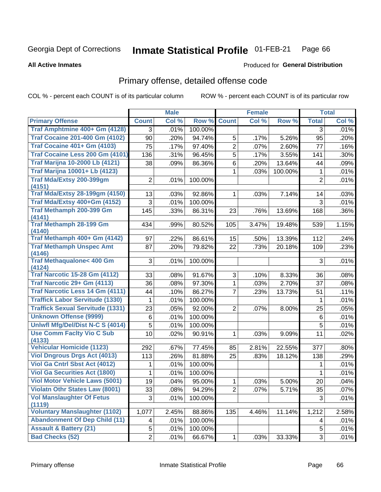#### Inmate Statistical Profile 01-FEB-21 Page 66

### **All Active Inmates**

## Produced for General Distribution

## Primary offense, detailed offense code

COL % - percent each COUNT is of its particular column

|                                               |                | <b>Male</b> |         |                | <b>Female</b> |         |                | <b>Total</b> |
|-----------------------------------------------|----------------|-------------|---------|----------------|---------------|---------|----------------|--------------|
| <b>Primary Offense</b>                        | <b>Count</b>   | Col %       | Row %   | <b>Count</b>   | Col %         | Row %   | <b>Total</b>   | Col %        |
| Traf Amphtmine 400+ Gm (4128)                 | $\overline{3}$ | .01%        | 100.00% |                |               |         | 3              | .01%         |
| <b>Traf Cocaine 201-400 Gm (4102)</b>         | 90             | .20%        | 94.74%  | 5              | .17%          | 5.26%   | 95             | .20%         |
| <b>Traf Cocaine 401+ Gm (4103)</b>            | 75             | .17%        | 97.40%  | $\overline{2}$ | .07%          | 2.60%   | 77             | .16%         |
| Traf Cocaine Less 200 Gm (4101)               | 136            | .31%        | 96.45%  | $\overline{5}$ | .17%          | 3.55%   | 141            | .30%         |
| <b>Traf Marijna 10-2000 Lb (4121)</b>         | 38             | .09%        | 86.36%  | 6              | .20%          | 13.64%  | 44             | .09%         |
| <b>Traf Marijna 10001+ Lb (4123)</b>          |                |             |         | 1              | .03%          | 100.00% | 1              | .01%         |
| Traf Mda/Extsy 200-399gm<br>(4151)            | $\overline{2}$ | .01%        | 100.00% |                |               |         | $\overline{2}$ | .01%         |
| <b>Traf Mda/Extsy 28-199gm (4150)</b>         | 13             | .03%        | 92.86%  | 1              | .03%          | 7.14%   | 14             | .03%         |
| Traf Mda/Extsy 400+Gm (4152)                  | 3              | .01%        | 100.00% |                |               |         | 3              | .01%         |
| Traf Methamph 200-399 Gm<br>(4141)            | 145            | .33%        | 86.31%  | 23             | .76%          | 13.69%  | 168            | .36%         |
| <b>Traf Methamph 28-199 Gm</b><br>(4140)      | 434            | .99%        | 80.52%  | 105            | 3.47%         | 19.48%  | 539            | 1.15%        |
| Traf Methamph 400+ Gm (4142)                  | 97             | .22%        | 86.61%  | 15             | .50%          | 13.39%  | 112            | .24%         |
| <b>Traf Methamph Unspec Amt</b>               | 87             | .20%        | 79.82%  | 22             | .73%          | 20.18%  | 109            | .23%         |
| (4146)                                        |                |             |         |                |               |         |                |              |
| <b>Traf Methaqualone&lt; 400 Gm</b><br>(4124) | 3              | .01%        | 100.00% |                |               |         | 3              | .01%         |
| <b>Traf Narcotic 15-28 Gm (4112)</b>          | 33             | .08%        | 91.67%  | 3              | .10%          | 8.33%   | 36             | .08%         |
| Traf Narcotic 29+ Gm (4113)                   | 36             | .08%        | 97.30%  | $\mathbf{1}$   | .03%          | 2.70%   | 37             | .08%         |
| Traf Narcotic Less 14 Gm (4111)               | 44             | .10%        | 86.27%  | $\overline{7}$ | .23%          | 13.73%  | 51             | .11%         |
| <b>Traffick Labor Servitude (1330)</b>        | 1              | .01%        | 100.00% |                |               |         | $\mathbf 1$    | .01%         |
| <b>Traffick Sexual Servitude (1331)</b>       | 23             | .05%        | 92.00%  | $\overline{2}$ | .07%          | 8.00%   | 25             | .05%         |
| <b>Unknown Offense (9999)</b>                 | $\,6$          | .01%        | 100.00% |                |               |         | $\,6$          | .01%         |
| Uniwfl Mfg/Del/Dist N-C S (4014)              | 5              | .01%        | 100.00% |                |               |         | 5              | .01%         |
| <b>Use Comm Facity Vio C Sub</b><br>(4133)    | 10             | .02%        | 90.91%  | 1              | .03%          | 9.09%   | 11             | .02%         |
| <b>Vehicular Homicide (1123)</b>              | 292            | .67%        | 77.45%  | 85             | 2.81%         | 22.55%  | 377            | .80%         |
| <b>Viol Dngrous Drgs Act (4013)</b>           | 113            | .26%        | 81.88%  | 25             | .83%          | 18.12%  | 138            | .29%         |
| Viol Ga Cntrl Sbst Act (4012)                 | 1              | .01%        | 100.00% |                |               |         | 1              | .01%         |
| <b>Viol Ga Securities Act (1800)</b>          | 1              | .01%        | 100.00% |                |               |         | 1              | .01%         |
| <b>Viol Motor Vehicle Laws (5001)</b>         | 19             | .04%        | 95.00%  | 1              | .03%          | 5.00%   | 20             | .04%         |
| <b>Violatn Othr States Law (8001)</b>         | 33             | .08%        | 94.29%  | 2              | $.07\%$       | 5.71%   | 35             | .07%         |
| <b>Vol Manslaughter Of Fetus</b><br>(1119)    | 3              | .01%        | 100.00% |                |               |         | 3              | .01%         |
| <b>Voluntary Manslaughter (1102)</b>          | 1,077          | 2.45%       | 88.86%  | 135            | 4.46%         | 11.14%  | 1,212          | 2.58%        |
| <b>Abandonment Of Dep Child (11)</b>          | 4              | .01%        | 100.00% |                |               |         | 4              | .01%         |
| <b>Assault &amp; Battery (21)</b>             | 5              | .01%        | 100.00% |                |               |         | 5              | .01%         |
| <b>Bad Checks (52)</b>                        | $\overline{2}$ | .01%        | 66.67%  | $\mathbf{1}$   | .03%          | 33.33%  | 3              | .01%         |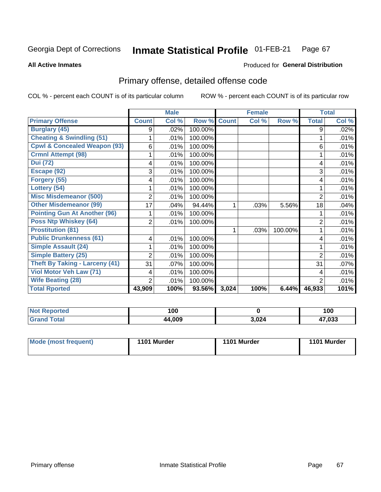#### Inmate Statistical Profile 01-FEB-21 Page 67

**All Active Inmates** 

## **Produced for General Distribution**

## Primary offense, detailed offense code

COL % - percent each COUNT is of its particular column

|                                         |                         | <b>Male</b> |         |              | <b>Female</b> |         |                | <b>Total</b> |
|-----------------------------------------|-------------------------|-------------|---------|--------------|---------------|---------|----------------|--------------|
| <b>Primary Offense</b>                  | <b>Count</b>            | Col %       | Row %   | <b>Count</b> | Col %         | Row %   | <b>Total</b>   | Col %        |
| <b>Burglary (45)</b>                    | 9                       | .02%        | 100.00% |              |               |         | 9              | .02%         |
| <b>Cheating &amp; Swindling (51)</b>    |                         | .01%        | 100.00% |              |               |         |                | .01%         |
| <b>Cpwl &amp; Concealed Weapon (93)</b> | 6                       | .01%        | 100.00% |              |               |         | 6              | .01%         |
| <b>Crmnl Attempt (98)</b>               |                         | .01%        | 100.00% |              |               |         |                | .01%         |
| <b>Dui</b> (72)                         | 4                       | .01%        | 100.00% |              |               |         | 4              | .01%         |
| Escape (92)                             | 3                       | .01%        | 100.00% |              |               |         | 3              | .01%         |
| Forgery (55)                            | 4                       | .01%        | 100.00% |              |               |         | 4              | .01%         |
| Lottery (54)                            |                         | .01%        | 100.00% |              |               |         |                | .01%         |
| <b>Misc Misdemeanor (500)</b>           | 2                       | .01%        | 100.00% |              |               |         | 2              | .01%         |
| <b>Other Misdemeanor (99)</b>           | 17                      | .04%        | 94.44%  | 1            | .03%          | 5.56%   | 18             | .04%         |
| <b>Pointing Gun At Another (96)</b>     |                         | .01%        | 100.00% |              |               |         |                | .01%         |
| <b>Poss Ntp Whiskey (64)</b>            | $\overline{2}$          | .01%        | 100.00% |              |               |         | 2              | .01%         |
| <b>Prostitution (81)</b>                |                         |             |         | 1            | .03%          | 100.00% |                | .01%         |
| <b>Public Drunkenness (61)</b>          | $\overline{\mathbf{4}}$ | .01%        | 100.00% |              |               |         | 4              | .01%         |
| <b>Simple Assault (24)</b>              |                         | .01%        | 100.00% |              |               |         |                | .01%         |
| <b>Simple Battery (25)</b>              | 2                       | .01%        | 100.00% |              |               |         | $\overline{2}$ | .01%         |
| <b>Theft By Taking - Larceny (41)</b>   | 31                      | .07%        | 100.00% |              |               |         | 31             | .07%         |
| Viol Motor Veh Law (71)                 | 4                       | .01%        | 100.00% |              |               |         | 4              | .01%         |
| <b>Wife Beating (28)</b>                | $\overline{2}$          | .01%        | 100.00% |              |               |         | $\overline{2}$ | .01%         |
| <b>Total Rported</b>                    | 43,909                  | 100%        | 93.56%  | 3,024        | 100%          | 6.44%   | 46,933         | 101%         |

| rted<br><b>NOT</b> | 100         |       | 100    |
|--------------------|-------------|-------|--------|
|                    | 4,009<br>44 | 3,024 | 47,033 |

| Mode (most frequent) | 1101 Murder | 1101 Murder | 1101 Murder |
|----------------------|-------------|-------------|-------------|
|                      |             |             |             |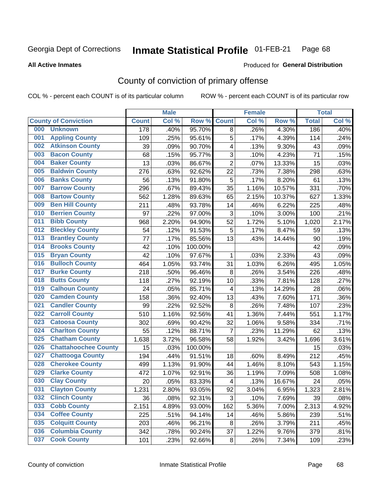#### Inmate Statistical Profile 01-FEB-21 Page 68

**All Active Inmates** 

### Produced for General Distribution

## County of conviction of primary offense

COL % - percent each COUNT is of its particular column

|     |                             |              | <b>Male</b> |         |                         | <b>Female</b> |        |              | <b>Total</b> |
|-----|-----------------------------|--------------|-------------|---------|-------------------------|---------------|--------|--------------|--------------|
|     | <b>County of Conviction</b> | <b>Count</b> | Col %       | Row %   | <b>Count</b>            | Col %         | Row %  | <b>Total</b> | Col %        |
| 000 | <b>Unknown</b>              | 178          | .40%        | 95.70%  | 8                       | .26%          | 4.30%  | 186          | .40%         |
| 001 | <b>Appling County</b>       | 109          | .25%        | 95.61%  | 5                       | .17%          | 4.39%  | 114          | .24%         |
| 002 | <b>Atkinson County</b>      | 39           | .09%        | 90.70%  | 4                       | .13%          | 9.30%  | 43           | .09%         |
| 003 | <b>Bacon County</b>         | 68           | .15%        | 95.77%  | 3                       | .10%          | 4.23%  | 71           | .15%         |
| 004 | <b>Baker County</b>         | 13           | .03%        | 86.67%  | $\overline{2}$          | .07%          | 13.33% | 15           | .03%         |
| 005 | <b>Baldwin County</b>       | 276          | .63%        | 92.62%  | 22                      | .73%          | 7.38%  | 298          | .63%         |
| 006 | <b>Banks County</b>         | 56           | .13%        | 91.80%  | 5                       | .17%          | 8.20%  | 61           | .13%         |
| 007 | <b>Barrow County</b>        | 296          | .67%        | 89.43%  | 35                      | 1.16%         | 10.57% | 331          | .70%         |
| 008 | <b>Bartow County</b>        | 562          | 1.28%       | 89.63%  | 65                      | 2.15%         | 10.37% | 627          | 1.33%        |
| 009 | <b>Ben Hill County</b>      | 211          | .48%        | 93.78%  | 14                      | .46%          | 6.22%  | 225          | .48%         |
| 010 | <b>Berrien County</b>       | 97           | .22%        | 97.00%  | 3                       | .10%          | 3.00%  | 100          | .21%         |
| 011 | <b>Bibb County</b>          | 968          | 2.20%       | 94.90%  | 52                      | 1.72%         | 5.10%  | 1,020        | 2.17%        |
| 012 | <b>Bleckley County</b>      | 54           | .12%        | 91.53%  | 5                       | .17%          | 8.47%  | 59           | .13%         |
| 013 | <b>Brantley County</b>      | 77           | .17%        | 85.56%  | 13                      | .43%          | 14.44% | 90           | .19%         |
| 014 | <b>Brooks County</b>        | 42           | .10%        | 100.00% |                         |               |        | 42           | .09%         |
| 015 | <b>Bryan County</b>         | 42           | .10%        | 97.67%  | 1                       | .03%          | 2.33%  | 43           | .09%         |
| 016 | <b>Bulloch County</b>       | 464          | 1.05%       | 93.74%  | 31                      | 1.03%         | 6.26%  | 495          | 1.05%        |
| 017 | <b>Burke County</b>         | 218          | .50%        | 96.46%  | 8                       | .26%          | 3.54%  | 226          | .48%         |
| 018 | <b>Butts County</b>         | 118          | .27%        | 92.19%  | 10                      | .33%          | 7.81%  | 128          | .27%         |
| 019 | <b>Calhoun County</b>       | 24           | .05%        | 85.71%  | $\overline{\mathbf{4}}$ | .13%          | 14.29% | 28           | .06%         |
| 020 | <b>Camden County</b>        | 158          | .36%        | 92.40%  | 13                      | .43%          | 7.60%  | 171          | .36%         |
| 021 | <b>Candler County</b>       | 99           | .22%        | 92.52%  | $\,8\,$                 | .26%          | 7.48%  | 107          | .23%         |
| 022 | <b>Carroll County</b>       | 510          | 1.16%       | 92.56%  | 41                      | 1.36%         | 7.44%  | 551          | 1.17%        |
| 023 | <b>Catoosa County</b>       | 302          | .69%        | 90.42%  | 32                      | 1.06%         | 9.58%  | 334          | .71%         |
| 024 | <b>Charlton County</b>      | 55           | .12%        | 88.71%  | $\overline{7}$          | .23%          | 11.29% | 62           | .13%         |
| 025 | <b>Chatham County</b>       | 1,638        | 3.72%       | 96.58%  | 58                      | 1.92%         | 3.42%  | 1,696        | 3.61%        |
| 026 | <b>Chattahoochee County</b> | 15           | .03%        | 100.00% |                         |               |        | 15           | .03%         |
| 027 | <b>Chattooga County</b>     | 194          | .44%        | 91.51%  | 18                      | .60%          | 8.49%  | 212          | .45%         |
| 028 | <b>Cherokee County</b>      | 499          | 1.13%       | 91.90%  | 44                      | 1.46%         | 8.10%  | 543          | 1.15%        |
| 029 | <b>Clarke County</b>        | 472          | 1.07%       | 92.91%  | 36                      | 1.19%         | 7.09%  | 508          | 1.08%        |
| 030 | <b>Clay County</b>          | 20           | .05%        | 83.33%  | $\overline{\mathbf{4}}$ | .13%          | 16.67% | 24           | .05%         |
| 031 | <b>Clayton County</b>       | 1,231        | 2.80%       | 93.05%  | 92                      | 3.04%         | 6.95%  | 1,323        | 2.81%        |
| 032 | <b>Clinch County</b>        | 36           | .08%        | 92.31%  | 3                       | .10%          | 7.69%  | 39           | .08%         |
| 033 | <b>Cobb County</b>          | 2,151        | 4.89%       | 93.00%  | 162                     | 5.36%         | 7.00%  | 2,313        | 4.92%        |
| 034 | <b>Coffee County</b>        | 225          | .51%        | 94.14%  | 14                      | .46%          | 5.86%  | 239          | .51%         |
| 035 | <b>Colquitt County</b>      | 203          | .46%        | 96.21%  | 8                       | .26%          | 3.79%  | 211          | .45%         |
| 036 | <b>Columbia County</b>      | 342          | .78%        | 90.24%  | 37                      | 1.22%         | 9.76%  | 379          | .81%         |
| 037 | <b>Cook County</b>          | 101          | .23%        | 92.66%  | 8                       | .26%          | 7.34%  | 109          | .23%         |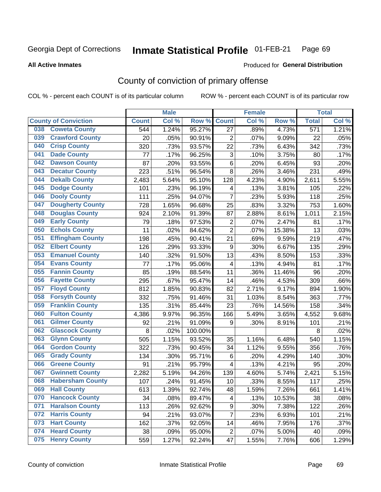#### Inmate Statistical Profile 01-FEB-21 Page 69

**All Active Inmates** 

### Produced for General Distribution

## County of conviction of primary offense

COL % - percent each COUNT is of its particular column

|                                |              | <b>Male</b> |         |                           | <b>Female</b> |        |                  | <b>Total</b> |
|--------------------------------|--------------|-------------|---------|---------------------------|---------------|--------|------------------|--------------|
| <b>County of Conviction</b>    | <b>Count</b> | Col %       | Row %   | <b>Count</b>              | Col %         | Row %  | <b>Total</b>     | Col %        |
| <b>Coweta County</b><br>038    | 544          | 1.24%       | 95.27%  | 27                        | .89%          | 4.73%  | $\overline{571}$ | 1.21%        |
| <b>Crawford County</b><br>039  | 20           | .05%        | 90.91%  | $\overline{2}$            | .07%          | 9.09%  | 22               | .05%         |
| <b>Crisp County</b><br>040     | 320          | .73%        | 93.57%  | 22                        | .73%          | 6.43%  | 342              | .73%         |
| <b>Dade County</b><br>041      | 77           | .17%        | 96.25%  | $\ensuremath{\mathsf{3}}$ | .10%          | 3.75%  | 80               | .17%         |
| 042<br><b>Dawson County</b>    | 87           | .20%        | 93.55%  | 6                         | .20%          | 6.45%  | 93               | .20%         |
| <b>Decatur County</b><br>043   | 223          | .51%        | 96.54%  | 8                         | .26%          | 3.46%  | 231              | .49%         |
| <b>Dekalb County</b><br>044    | 2,483        | 5.64%       | 95.10%  | 128                       | 4.23%         | 4.90%  | 2,611            | 5.55%        |
| <b>Dodge County</b><br>045     | 101          | .23%        | 96.19%  | $\overline{\mathbf{4}}$   | .13%          | 3.81%  | 105              | .22%         |
| 046<br><b>Dooly County</b>     | 111          | .25%        | 94.07%  | $\overline{7}$            | .23%          | 5.93%  | 118              | .25%         |
| 047<br><b>Dougherty County</b> | 728          | 1.65%       | 96.68%  | 25                        | .83%          | 3.32%  | 753              | 1.60%        |
| <b>Douglas County</b><br>048   | 924          | 2.10%       | 91.39%  | 87                        | 2.88%         | 8.61%  | 1,011            | 2.15%        |
| <b>Early County</b><br>049     | 79           | .18%        | 97.53%  | $\mathbf 2$               | .07%          | 2.47%  | 81               | .17%         |
| <b>Echols County</b><br>050    | 11           | .02%        | 84.62%  | $\overline{2}$            | .07%          | 15.38% | 13               | .03%         |
| 051<br><b>Effingham County</b> | 198          | .45%        | 90.41%  | 21                        | .69%          | 9.59%  | 219              | .47%         |
| 052<br><b>Elbert County</b>    | 126          | .29%        | 93.33%  | $\boldsymbol{9}$          | .30%          | 6.67%  | 135              | .29%         |
| <b>Emanuel County</b><br>053   | 140          | .32%        | 91.50%  | 13                        | .43%          | 8.50%  | 153              | .33%         |
| <b>Evans County</b><br>054     | 77           | .17%        | 95.06%  | 4                         | .13%          | 4.94%  | 81               | .17%         |
| <b>Fannin County</b><br>055    | 85           | .19%        | 88.54%  | 11                        | .36%          | 11.46% | 96               | .20%         |
| <b>Fayette County</b><br>056   | 295          | .67%        | 95.47%  | 14                        | .46%          | 4.53%  | 309              | .66%         |
| <b>Floyd County</b><br>057     | 812          | 1.85%       | 90.83%  | 82                        | 2.71%         | 9.17%  | 894              | 1.90%        |
| <b>Forsyth County</b><br>058   | 332          | .75%        | 91.46%  | 31                        | 1.03%         | 8.54%  | 363              | .77%         |
| <b>Franklin County</b><br>059  | 135          | .31%        | 85.44%  | 23                        | .76%          | 14.56% | 158              | .34%         |
| <b>Fulton County</b><br>060    | 4,386        | 9.97%       | 96.35%  | 166                       | 5.49%         | 3.65%  | 4,552            | 9.68%        |
| <b>Gilmer County</b><br>061    | 92           | .21%        | 91.09%  | 9                         | .30%          | 8.91%  | 101              | .21%         |
| 062<br><b>Glascock County</b>  | 8            | .02%        | 100.00% |                           |               |        | 8                | .02%         |
| <b>Glynn County</b><br>063     | 505          | 1.15%       | 93.52%  | 35                        | 1.16%         | 6.48%  | 540              | 1.15%        |
| <b>Gordon County</b><br>064    | 322          | .73%        | 90.45%  | 34                        | 1.12%         | 9.55%  | 356              | .76%         |
| <b>Grady County</b><br>065     | 134          | .30%        | 95.71%  | 6                         | .20%          | 4.29%  | 140              | .30%         |
| <b>Greene County</b><br>066    | 91           | .21%        | 95.79%  | 4                         | .13%          | 4.21%  | 95               | .20%         |
| <b>Gwinnett County</b><br>067  | 2,282        | 5.19%       | 94.26%  | 139                       | 4.60%         | 5.74%  | 2,421            | 5.15%        |
| <b>Habersham County</b><br>068 | 107          | .24%        | 91.45%  | 10                        | .33%          | 8.55%  | 117              | .25%         |
| 069<br><b>Hall County</b>      | 613          | 1.39%       | 92.74%  | 48                        | 1.59%         | 7.26%  | 661              | 1.41%        |
| <b>Hancock County</b><br>070   | 34           | .08%        | 89.47%  | 4                         | .13%          | 10.53% | 38               | .08%         |
| <b>Haralson County</b><br>071  | 113          | .26%        | 92.62%  | 9                         | .30%          | 7.38%  | 122              | .26%         |
| 072<br><b>Harris County</b>    | 94           | .21%        | 93.07%  | $\overline{7}$            | .23%          | 6.93%  | 101              | .21%         |
| <b>Hart County</b><br>073      | 162          | .37%        | 92.05%  | 14                        | .46%          | 7.95%  | 176              | .37%         |
| <b>Heard County</b><br>074     | 38           | .09%        | 95.00%  | $\overline{c}$            | .07%          | 5.00%  | 40               | .09%         |
| <b>Henry County</b><br>075     | 559          | 1.27%       | 92.24%  | 47                        | 1.55%         | 7.76%  | 606              | 1.29%        |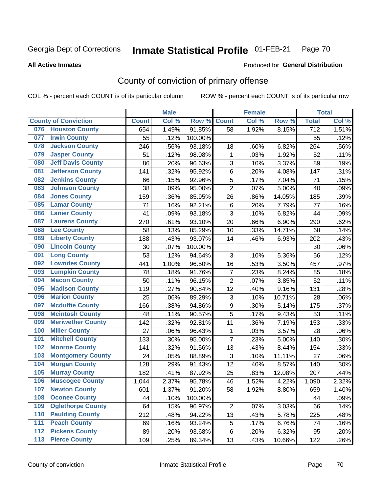#### Inmate Statistical Profile 01-FEB-21 Page 70

**All Active Inmates** 

### Produced for General Distribution

## County of conviction of primary offense

COL % - percent each COUNT is of its particular column

|     |                             |              | <b>Male</b> |         |                | <b>Female</b> |        |                  | <b>Total</b> |
|-----|-----------------------------|--------------|-------------|---------|----------------|---------------|--------|------------------|--------------|
|     | <b>County of Conviction</b> | <b>Count</b> | Col %       | Row %   | <b>Count</b>   | Col %         | Row %  | <b>Total</b>     | Col %        |
| 076 | <b>Houston County</b>       | 654          | 1.49%       | 91.85%  | 58             | 1.92%         | 8.15%  | $\overline{712}$ | 1.51%        |
| 077 | <b>Irwin County</b>         | 55           | .12%        | 100.00% |                |               |        | 55               | .12%         |
| 078 | <b>Jackson County</b>       | 246          | .56%        | 93.18%  | 18             | .60%          | 6.82%  | 264              | .56%         |
| 079 | <b>Jasper County</b>        | 51           | .12%        | 98.08%  | 1              | .03%          | 1.92%  | 52               | .11%         |
| 080 | <b>Jeff Davis County</b>    | 86           | .20%        | 96.63%  | 3              | .10%          | 3.37%  | 89               | .19%         |
| 081 | <b>Jefferson County</b>     | 141          | .32%        | 95.92%  | 6              | .20%          | 4.08%  | 147              | .31%         |
| 082 | <b>Jenkins County</b>       | 66           | .15%        | 92.96%  | 5              | .17%          | 7.04%  | 71               | .15%         |
| 083 | <b>Johnson County</b>       | 38           | .09%        | 95.00%  | $\overline{2}$ | .07%          | 5.00%  | 40               | .09%         |
| 084 | <b>Jones County</b>         | 159          | .36%        | 85.95%  | 26             | .86%          | 14.05% | 185              | .39%         |
| 085 | <b>Lamar County</b>         | 71           | .16%        | 92.21%  | $\,6$          | .20%          | 7.79%  | 77               | .16%         |
| 086 | <b>Lanier County</b>        | 41           | .09%        | 93.18%  | 3              | .10%          | 6.82%  | 44               | .09%         |
| 087 | <b>Laurens County</b>       | 270          | .61%        | 93.10%  | 20             | .66%          | 6.90%  | 290              | .62%         |
| 088 | <b>Lee County</b>           | 58           | .13%        | 85.29%  | 10             | .33%          | 14.71% | 68               | .14%         |
| 089 | <b>Liberty County</b>       | 188          | .43%        | 93.07%  | 14             | .46%          | 6.93%  | 202              | .43%         |
| 090 | <b>Lincoln County</b>       | 30           | .07%        | 100.00% |                |               |        | 30               | .06%         |
| 091 | <b>Long County</b>          | 53           | .12%        | 94.64%  | 3              | .10%          | 5.36%  | 56               | .12%         |
| 092 | <b>Lowndes County</b>       | 441          | 1.00%       | 96.50%  | 16             | .53%          | 3.50%  | 457              | .97%         |
| 093 | <b>Lumpkin County</b>       | 78           | .18%        | 91.76%  | $\overline{7}$ | .23%          | 8.24%  | 85               | .18%         |
| 094 | <b>Macon County</b>         | 50           | .11%        | 96.15%  | $\overline{2}$ | .07%          | 3.85%  | 52               | .11%         |
| 095 | <b>Madison County</b>       | 119          | .27%        | 90.84%  | 12             | .40%          | 9.16%  | 131              | .28%         |
| 096 | <b>Marion County</b>        | 25           | .06%        | 89.29%  | 3              | .10%          | 10.71% | 28               | .06%         |
| 097 | <b>Mcduffie County</b>      | 166          | .38%        | 94.86%  | 9              | .30%          | 5.14%  | 175              | .37%         |
| 098 | <b>Mcintosh County</b>      | 48           | .11%        | 90.57%  | 5              | .17%          | 9.43%  | 53               | .11%         |
| 099 | <b>Meriwether County</b>    | 142          | .32%        | 92.81%  | 11             | .36%          | 7.19%  | 153              | .33%         |
| 100 | <b>Miller County</b>        | 27           | .06%        | 96.43%  | 1              | .03%          | 3.57%  | 28               | .06%         |
| 101 | <b>Mitchell County</b>      | 133          | .30%        | 95.00%  | $\overline{7}$ | .23%          | 5.00%  | 140              | .30%         |
| 102 | <b>Monroe County</b>        | 141          | .32%        | 91.56%  | 13             | .43%          | 8.44%  | 154              | .33%         |
| 103 | <b>Montgomery County</b>    | 24           | .05%        | 88.89%  | 3              | .10%          | 11.11% | 27               | .06%         |
| 104 | <b>Morgan County</b>        | 128          | .29%        | 91.43%  | 12             | .40%          | 8.57%  | 140              | .30%         |
| 105 | <b>Murray County</b>        | 182          | .41%        | 87.92%  | 25             | .83%          | 12.08% | 207              | .44%         |
| 106 | <b>Muscogee County</b>      | 1,044        | 2.37%       | 95.78%  | 46             | 1.52%         | 4.22%  | 1,090            | 2.32%        |
| 107 | <b>Newton County</b>        | 601          | 1.37%       | 91.20%  | 58             | 1.92%         | 8.80%  | 659              | 1.40%        |
| 108 | <b>Oconee County</b>        | 44           | .10%        | 100.00% |                |               |        | 44               | .09%         |
| 109 | <b>Oglethorpe County</b>    | 64           | .15%        | 96.97%  | $\overline{2}$ | .07%          | 3.03%  | 66               | .14%         |
| 110 | <b>Paulding County</b>      | 212          | .48%        | 94.22%  | 13             | .43%          | 5.78%  | 225              | .48%         |
| 111 | <b>Peach County</b>         | 69           | .16%        | 93.24%  | 5              | .17%          | 6.76%  | 74               | .16%         |
| 112 | <b>Pickens County</b>       | 89           | .20%        | 93.68%  | 6              | .20%          | 6.32%  | 95               | .20%         |
| 113 | <b>Pierce County</b>        | 109          | .25%        | 89.34%  | 13             | .43%          | 10.66% | 122              | .26%         |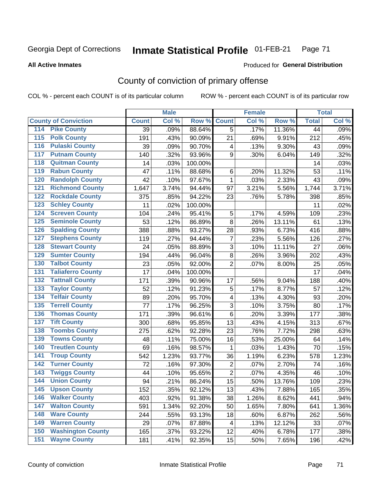#### **Inmate Statistical Profile 01-FEB-21** Page 71

**All Active Inmates** 

### Produced for General Distribution

## County of conviction of primary offense

COL % - percent each COUNT is of its particular column

|                                          |                 | <b>Male</b> |         |                         | <b>Female</b> |        |                 | <b>Total</b> |
|------------------------------------------|-----------------|-------------|---------|-------------------------|---------------|--------|-----------------|--------------|
| <b>County of Conviction</b>              | <b>Count</b>    | Col %       | Row %   | <b>Count</b>            | Col %         | Row %  | <b>Total</b>    | Col %        |
| <b>Pike County</b><br>114                | $\overline{39}$ | .09%        | 88.64%  | 5                       | .17%          | 11.36% | $\overline{44}$ | .09%         |
| <b>Polk County</b><br>$\overline{115}$   | 191             | .43%        | 90.09%  | 21                      | .69%          | 9.91%  | 212             | .45%         |
| <b>Pulaski County</b><br>116             | 39              | .09%        | 90.70%  | 4                       | .13%          | 9.30%  | 43              | .09%         |
| 117<br><b>Putnam County</b>              | 140             | .32%        | 93.96%  | 9                       | .30%          | 6.04%  | 149             | .32%         |
| <b>Quitman County</b><br>118             | 14              | .03%        | 100.00% |                         |               |        | 14              | .03%         |
| <b>Rabun County</b><br>119               | 47              | .11%        | 88.68%  | 6                       | .20%          | 11.32% | 53              | .11%         |
| <b>Randolph County</b><br>120            | 42              | .10%        | 97.67%  | $\mathbf{1}$            | .03%          | 2.33%  | 43              | .09%         |
| <b>Richmond County</b><br>$121$          | 1,647           | 3.74%       | 94.44%  | 97                      | 3.21%         | 5.56%  | 1,744           | 3.71%        |
| <b>Rockdale County</b><br>122            | 375             | .85%        | 94.22%  | 23                      | .76%          | 5.78%  | 398             | .85%         |
| <b>Schley County</b><br>123              | 11              | .02%        | 100.00% |                         |               |        | 11              | .02%         |
| <b>Screven County</b><br>124             | 104             | .24%        | 95.41%  | 5                       | .17%          | 4.59%  | 109             | .23%         |
| <b>Seminole County</b><br>125            | 53              | .12%        | 86.89%  | 8                       | .26%          | 13.11% | 61              | .13%         |
| <b>Spalding County</b><br>126            | 388             | .88%        | 93.27%  | 28                      | .93%          | 6.73%  | 416             | .88%         |
| <b>Stephens County</b><br>127            | 119             | .27%        | 94.44%  | $\overline{7}$          | .23%          | 5.56%  | 126             | .27%         |
| <b>Stewart County</b><br>128             | 24              | .05%        | 88.89%  | 3                       | .10%          | 11.11% | 27              | .06%         |
| <b>Sumter County</b><br>129              | 194             | .44%        | 96.04%  | 8                       | .26%          | 3.96%  | 202             | .43%         |
| <b>Talbot County</b><br>130              | 23              | .05%        | 92.00%  | $\overline{2}$          | .07%          | 8.00%  | 25              | .05%         |
| <b>Taliaferro County</b><br>131          | 17              | .04%        | 100.00% |                         |               |        | 17              | .04%         |
| <b>Tattnall County</b><br>132            | 171             | .39%        | 90.96%  | 17                      | .56%          | 9.04%  | 188             | .40%         |
| <b>Taylor County</b><br>133              | 52              | .12%        | 91.23%  | 5                       | .17%          | 8.77%  | 57              | .12%         |
| <b>Telfair County</b><br>134             | 89              | .20%        | 95.70%  | $\overline{\mathbf{4}}$ | .13%          | 4.30%  | 93              | .20%         |
| <b>Terrell County</b><br>135             | 77              | .17%        | 96.25%  | 3                       | .10%          | 3.75%  | 80              | .17%         |
| <b>Thomas County</b><br>136              | 171             | .39%        | 96.61%  | 6                       | .20%          | 3.39%  | 177             | .38%         |
| <b>Tift County</b><br>137                | 300             | .68%        | 95.85%  | 13                      | .43%          | 4.15%  | 313             | .67%         |
| <b>Toombs County</b><br>138              | 275             | .62%        | 92.28%  | 23                      | .76%          | 7.72%  | 298             | .63%         |
| <b>Towns County</b><br>139               | 48              | .11%        | 75.00%  | 16                      | .53%          | 25.00% | 64              | .14%         |
| <b>Treutlen County</b><br>140            | 69              | .16%        | 98.57%  | 1                       | .03%          | 1.43%  | 70              | .15%         |
| <b>Troup County</b><br>141               | 542             | 1.23%       | 93.77%  | 36                      | 1.19%         | 6.23%  | 578             | 1.23%        |
| <b>Turner County</b><br>$\overline{142}$ | 72              | .16%        | 97.30%  | $\overline{2}$          | .07%          | 2.70%  | 74              | .16%         |
| <b>Twiggs County</b><br>$\overline{143}$ | 44              | .10%        | 95.65%  | $\overline{2}$          | .07%          | 4.35%  | 46              | .10%         |
| <b>Union County</b><br>144               | 94              | .21%        | 86.24%  | 15                      | .50%          | 13.76% | 109             | .23%         |
| 145<br><b>Upson County</b>               | 152             | .35%        | 92.12%  | 13                      | .43%          | 7.88%  | 165             | .35%         |
| <b>Walker County</b><br>146              | 403             | .92%        | 91.38%  | 38                      | 1.26%         | 8.62%  | 441             | .94%         |
| $\overline{147}$<br><b>Walton County</b> | 591             | 1.34%       | 92.20%  | 50                      | 1.65%         | 7.80%  | 641             | 1.36%        |
| <b>Ware County</b><br>148                | 244             | .55%        | 93.13%  | 18                      | .60%          | 6.87%  | 262             | .56%         |
| <b>Warren County</b><br>149              | 29              | .07%        | 87.88%  | 4                       | .13%          | 12.12% | 33              | .07%         |
| <b>Washington County</b><br>150          | 165             | .37%        | 93.22%  | 12                      | .40%          | 6.78%  | 177             | .38%         |
| <b>Wayne County</b><br>151               | 181             | .41%        | 92.35%  | 15                      | .50%          | 7.65%  | 196             | .42%         |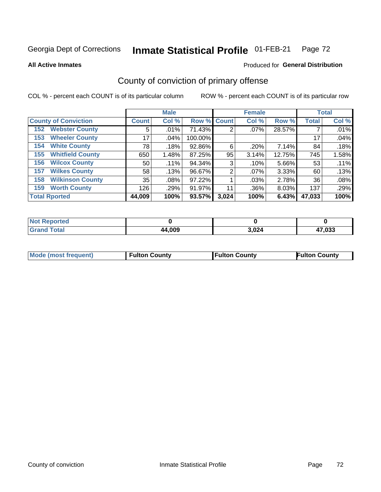#### Inmate Statistical Profile 01-FEB-21 Page 72

**All Active Inmates** 

### Produced for General Distribution

## County of conviction of primary offense

COL % - percent each COUNT is of its particular column

|                                |                    | <b>Male</b> |             |       | <b>Female</b> |        |              | <b>Total</b> |
|--------------------------------|--------------------|-------------|-------------|-------|---------------|--------|--------------|--------------|
| <b>County of Conviction</b>    | Count <sup>!</sup> | Col %       | Row % Count |       | Col %         | Row %  | <b>Total</b> | Col %        |
| <b>Webster County</b><br>152   | 5                  | .01%        | 71.43%      | 2     | $.07\%$       | 28.57% |              | .01%         |
| <b>Wheeler County</b><br>153   | 17                 | .04%        | 100.00%     |       |               |        | 17           | .04%         |
| <b>White County</b><br>154     | 78                 | .18%        | 92.86%      | 6     | .20%          | 7.14%  | 84           | .18%         |
| <b>Whitfield County</b><br>155 | 650                | 1.48%       | 87.25%      | 95    | 3.14%         | 12.75% | 745          | 1.58%        |
| <b>Wilcox County</b><br>156    | 50                 | .11%        | 94.34%      | 3     | .10%          | 5.66%  | 53           | .11%         |
| <b>Wilkes County</b><br>157    | 58                 | .13%        | 96.67%      | 2     | $.07\%$       | 3.33%  | 60           | .13%         |
| <b>Wilkinson County</b><br>158 | 35                 | .08%        | 97.22%      |       | $.03\%$       | 2.78%  | 36           | .08%         |
| <b>Worth County</b><br>159     | 126                | .29%        | 91.97%      | 11    | .36%          | 8.03%  | 137          | .29%         |
| <b>Total Rported</b>           | 44,009             | 100%        | 93.57%      | 3,024 | 100%          | 6.43%  | 47,033       | 100%         |

| <b>Not Reported</b> |        |       |        |
|---------------------|--------|-------|--------|
| Total               | 44,009 | 3,024 | 47,033 |

| <b>Mode (most frequent)</b> | <b>Fulton County</b> | <b>Fulton County</b> | <b>Fulton County</b> |
|-----------------------------|----------------------|----------------------|----------------------|
|                             |                      |                      |                      |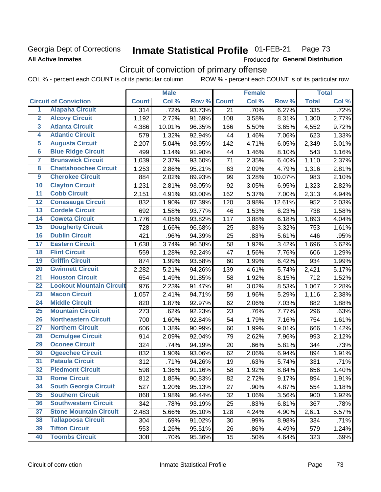## **Georgia Dept of Corrections All Active Inmates**

#### Inmate Statistical Profile 01-FEB-21 Page 73

Produced for General Distribution

# Circuit of conviction of primary offense

COL % - percent each COUNT is of its particular column ROW % - percent each COUNT is of its particular row

|                         |                                 | <b>Male</b>      |        |        | <b>Female</b> |       |        | <b>Total</b> |       |
|-------------------------|---------------------------------|------------------|--------|--------|---------------|-------|--------|--------------|-------|
|                         | <b>Circuit of Conviction</b>    | <b>Count</b>     | Col %  | Row %  | <b>Count</b>  | Col % | Row %  | <b>Total</b> | Col % |
| 1                       | <b>Alapaha Circuit</b>          | $\overline{314}$ | .72%   | 93.73% | 21            | .70%  | 6.27%  | 335          | .72%  |
| $\overline{2}$          | <b>Alcovy Circuit</b>           | 1,192            | 2.72%  | 91.69% | 108           | 3.58% | 8.31%  | 1,300        | 2.77% |
| $\overline{\mathbf{3}}$ | <b>Atlanta Circuit</b>          | 4,386            | 10.01% | 96.35% | 166           | 5.50% | 3.65%  | 4,552        | 9.72% |
| 4                       | <b>Atlantic Circuit</b>         | 579              | 1.32%  | 92.94% | 44            | 1.46% | 7.06%  | 623          | 1.33% |
| 5                       | <b>Augusta Circuit</b>          | 2,207            | 5.04%  | 93.95% | 142           | 4.71% | 6.05%  | 2,349        | 5.01% |
| $\overline{6}$          | <b>Blue Ridge Circuit</b>       | 499              | 1.14%  | 91.90% | 44            | 1.46% | 8.10%  | 543          | 1.16% |
| 7                       | <b>Brunswick Circuit</b>        | 1,039            | 2.37%  | 93.60% | 71            | 2.35% | 6.40%  | 1,110        | 2.37% |
| 8                       | <b>Chattahoochee Circuit</b>    | 1,253            | 2.86%  | 95.21% | 63            | 2.09% | 4.79%  | 1,316        | 2.81% |
| 9                       | <b>Cherokee Circuit</b>         | 884              | 2.02%  | 89.93% | 99            | 3.28% | 10.07% | 983          | 2.10% |
| 10                      | <b>Clayton Circuit</b>          | 1,231            | 2.81%  | 93.05% | 92            | 3.05% | 6.95%  | 1,323        | 2.82% |
| $\overline{11}$         | <b>Cobb Circuit</b>             | 2,151            | 4.91%  | 93.00% | 162           | 5.37% | 7.00%  | 2,313        | 4.94% |
| 12                      | <b>Conasauga Circuit</b>        | 832              | 1.90%  | 87.39% | 120           | 3.98% | 12.61% | 952          | 2.03% |
| 13                      | <b>Cordele Circuit</b>          | 692              | 1.58%  | 93.77% | 46            | 1.53% | 6.23%  | 738          | 1.58% |
| $\overline{14}$         | <b>Coweta Circuit</b>           | 1,776            | 4.05%  | 93.82% | 117           | 3.88% | 6.18%  | 1,893        | 4.04% |
| 15                      | <b>Dougherty Circuit</b>        | 728              | 1.66%  | 96.68% | 25            | .83%  | 3.32%  | 753          | 1.61% |
| 16                      | <b>Dublin Circuit</b>           | 421              | .96%   | 94.39% | 25            | .83%  | 5.61%  | 446          | .95%  |
| 17                      | <b>Eastern Circuit</b>          | 1,638            | 3.74%  | 96.58% | 58            | 1.92% | 3.42%  | 1,696        | 3.62% |
| 18                      | <b>Flint Circuit</b>            | 559              | 1.28%  | 92.24% | 47            | 1.56% | 7.76%  | 606          | 1.29% |
| 19                      | <b>Griffin Circuit</b>          | 874              | 1.99%  | 93.58% | 60            | 1.99% | 6.42%  | 934          | 1.99% |
| 20                      | <b>Gwinnett Circuit</b>         | 2,282            | 5.21%  | 94.26% | 139           | 4.61% | 5.74%  | 2,421        | 5.17% |
| $\overline{21}$         | <b>Houston Circuit</b>          | 654              | 1.49%  | 91.85% | 58            | 1.92% | 8.15%  | 712          | 1.52% |
| $\overline{22}$         | <b>Lookout Mountain Circuit</b> | 976              | 2.23%  | 91.47% | 91            | 3.02% | 8.53%  | 1,067        | 2.28% |
| 23                      | <b>Macon Circuit</b>            | 1,057            | 2.41%  | 94.71% | 59            | 1.96% | 5.29%  | 1,116        | 2.38% |
| 24                      | <b>Middle Circuit</b>           | 820              | 1.87%  | 92.97% | 62            | 2.06% | 7.03%  | 882          | 1.88% |
| $\overline{25}$         | <b>Mountain Circuit</b>         | 273              | .62%   | 92.23% | 23            | .76%  | 7.77%  | 296          | .63%  |
| 26                      | <b>Northeastern Circuit</b>     | 700              | 1.60%  | 92.84% | 54            | 1.79% | 7.16%  | 754          | 1.61% |
| $\overline{27}$         | <b>Northern Circuit</b>         | 606              | 1.38%  | 90.99% | 60            | 1.99% | 9.01%  | 666          | 1.42% |
| 28                      | <b>Ocmulgee Circuit</b>         | 914              | 2.09%  | 92.04% | 79            | 2.62% | 7.96%  | 993          | 2.12% |
| 29                      | <b>Oconee Circuit</b>           | 324              | .74%   | 94.19% | 20            | .66%  | 5.81%  | 344          | .73%  |
| 30                      | <b>Ogeechee Circuit</b>         | 832              | 1.90%  | 93.06% | 62            | 2.06% | 6.94%  | 894          | 1.91% |
| $\overline{31}$         | <b>Pataula Circuit</b>          | 312              | .71%   | 94.26% | 19            | .63%  | 5.74%  | 331          | .71%  |
| 32                      | <b>Piedmont Circuit</b>         | 598              | 1.36%  | 91.16% | 58            | 1.92% | 8.84%  | 656          | 1.40% |
| 33                      | <b>Rome Circuit</b>             | 812              | 1.85%  | 90.83% | 82            | 2.72% | 9.17%  | 894          | 1.91% |
| 34                      | <b>South Georgia Circuit</b>    | 527              | 1.20%  | 95.13% | 27            | .90%  | 4.87%  | 554          | 1.18% |
| 35                      | <b>Southern Circuit</b>         | 868              | 1.98%  | 96.44% | 32            | 1.06% | 3.56%  | 900          | 1.92% |
| 36                      | <b>Southwestern Circuit</b>     | 342              | .78%   | 93.19% | 25            | .83%  | 6.81%  | 367          | .78%  |
| 37                      | <b>Stone Mountain Circuit</b>   | 2,483            | 5.66%  | 95.10% | 128           | 4.24% | 4.90%  | 2,611        | 5.57% |
| 38                      | <b>Tallapoosa Circuit</b>       | 304              | .69%   | 91.02% | 30            | .99%  | 8.98%  | 334          | .71%  |
| 39                      | <b>Tifton Circuit</b>           | 553              | 1.26%  | 95.51% | 26            | .86%  | 4.49%  | 579          | 1.24% |
| 40                      | <b>Toombs Circuit</b>           | 308              | .70%   | 95.36% | 15            | .50%  | 4.64%  | 323          | .69%  |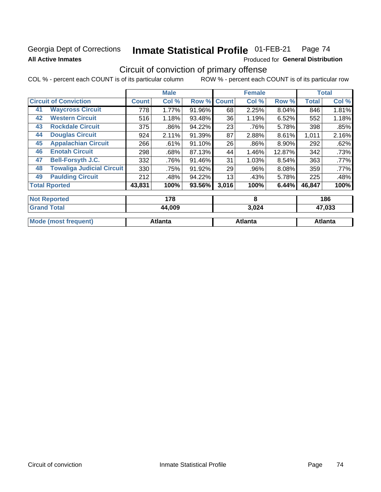## **Georgia Dept of Corrections All Active Inmates**

#### Inmate Statistical Profile 01-FEB-21 Page 74

Produced for General Distribution

## Circuit of conviction of primary offense

|                                        |              | <b>Male</b>   |        |              | <b>Female</b> |        |              | <b>Total</b> |
|----------------------------------------|--------------|---------------|--------|--------------|---------------|--------|--------------|--------------|
| <b>Circuit of Conviction</b>           | <b>Count</b> | Col %         | Row %  | <b>Count</b> | Col %         | Row %  | <b>Total</b> | Col %        |
| <b>Waycross Circuit</b><br>41          | 778          | 1.77%         | 91.96% | 68           | 2.25%         | 8.04%  | 846          | 1.81%        |
| <b>Western Circuit</b><br>42           | 516          | 1.18%         | 93.48% | 36           | 1.19%         | 6.52%  | 552          | 1.18%        |
| <b>Rockdale Circuit</b><br>43          | 375          | .86%          | 94.22% | 23           | .76%          | 5.78%  | 398          | .85%         |
| <b>Douglas Circuit</b><br>44           | 924          | 2.11%         | 91.39% | 87           | 2.88%         | 8.61%  | 1,011        | 2.16%        |
| <b>Appalachian Circuit</b><br>45       | 266          | .61%          | 91.10% | 26           | $.86\%$       | 8.90%  | 292          | .62%         |
| <b>Enotah Circuit</b><br>46            | 298          | .68%          | 87.13% | 44           | 1.46%         | 12.87% | 342          | .73%         |
| <b>Bell-Forsyth J.C.</b><br>47         | 332          | .76%          | 91.46% | 31           | 1.03%         | 8.54%  | 363          | .77%         |
| <b>Towaliga Judicial Circuit</b><br>48 | 330          | .75%          | 91.92% | 29           | .96%          | 8.08%  | 359          | .77%         |
| <b>Paulding Circuit</b><br>49          | 212          | .48%          | 94.22% | 13           | .43%          | 5.78%  | 225          | .48%         |
| <b>Total Rported</b>                   | 43,831       | 100%          | 93.56% | 3,016        | 100%          | 6.44%  | 46,847       | 100%         |
| <b>Not Reported</b>                    |              | 178           |        |              | 8             |        |              | 186          |
| <b>Grand Total</b>                     |              | <b>AA NOQ</b> |        |              | 3.024         |        |              | 17 N33       |

| TURIN TULAH                 | 44,VVJ  | J.UZ4   | 41,000  |
|-----------------------------|---------|---------|---------|
|                             |         |         |         |
| <b>Mode (most frequent)</b> | Atlanta | Atlanta | Atlanta |
|                             |         |         |         |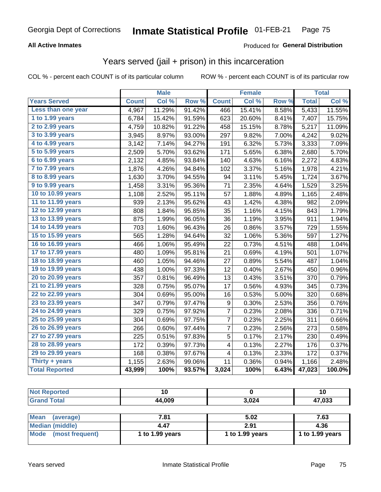#### **All Active Inmates**

### Produced for **General Distribution**

## Years served (jail + prison) in this incarceration

|                                           |              | <b>Male</b> |                  |                          | <b>Female</b> |                  |              | <b>Total</b> |
|-------------------------------------------|--------------|-------------|------------------|--------------------------|---------------|------------------|--------------|--------------|
| <b>Years Served</b>                       | <b>Count</b> | Col %       | Row <sup>%</sup> | <b>Count</b>             | Col %         | Row <sub>%</sub> | <b>Total</b> | Col%         |
| Less than one year                        | 4,967        | 11.29%      | 91.42%           | 466                      | 15.41%        | 8.58%            | 5,433        | 11.55%       |
| 1 to 1.99 years                           | 6,784        | 15.42%      | 91.59%           | 623                      | 20.60%        | 8.41%            | 7,407        | 15.75%       |
| 2 to 2.99 years                           | 4,759        | 10.82%      | 91.22%           | 458                      | 15.15%        | 8.78%            | 5,217        | 11.09%       |
| 3 to 3.99 years                           | 3,945        | 8.97%       | 93.00%           | 297                      | 9.82%         | 7.00%            | 4,242        | 9.02%        |
| 4 to 4.99 years                           | 3,142        | 7.14%       | 94.27%           | 191                      | 6.32%         | 5.73%            | 3,333        | 7.09%        |
| $\overline{5}$ to 5.99 years              | 2,509        | 5.70%       | 93.62%           | 171                      | 5.65%         | 6.38%            | 2,680        | 5.70%        |
| 6 to 6.99 years                           | 2,132        | 4.85%       | 93.84%           | 140                      | 4.63%         | 6.16%            | 2,272        | 4.83%        |
| $\overline{7}$ to $\overline{7.9}9$ years | 1,876        | 4.26%       | 94.84%           | 102                      | 3.37%         | 5.16%            | 1,978        | 4.21%        |
| 8 to 8.99 years                           | 1,630        | 3.70%       | 94.55%           | 94                       | 3.11%         | 5.45%            | 1,724        | 3.67%        |
| 9 to 9.99 years                           | 1,458        | 3.31%       | 95.36%           | 71                       | 2.35%         | 4.64%            | 1,529        | 3.25%        |
| 10 to 10.99 years                         | 1,108        | 2.52%       | 95.11%           | 57                       | 1.88%         | 4.89%            | 1,165        | 2.48%        |
| 11 to 11.99 years                         | 939          | 2.13%       | 95.62%           | 43                       | 1.42%         | 4.38%            | 982          | 2.09%        |
| 12 to 12.99 years                         | 808          | 1.84%       | 95.85%           | 35                       | 1.16%         | 4.15%            | 843          | 1.79%        |
| 13 to 13.99 years                         | 875          | 1.99%       | 96.05%           | 36                       | 1.19%         | 3.95%            | 911          | 1.94%        |
| 14 to 14.99 years                         | 703          | 1.60%       | 96.43%           | 26                       | 0.86%         | 3.57%            | 729          | 1.55%        |
| 15 to 15.99 years                         | 565          | 1.28%       | 94.64%           | 32                       | 1.06%         | 5.36%            | 597          | 1.27%        |
| 16 to 16.99 years                         | 466          | 1.06%       | 95.49%           | 22                       | 0.73%         | 4.51%            | 488          | 1.04%        |
| 17 to 17.99 years                         | 480          | 1.09%       | 95.81%           | 21                       | 0.69%         | 4.19%            | 501          | 1.07%        |
| 18 to 18.99 years                         | 460          | 1.05%       | 94.46%           | 27                       | 0.89%         | 5.54%            | 487          | 1.04%        |
| 19 to 19.99 years                         | 438          | 1.00%       | 97.33%           | 12                       | 0.40%         | 2.67%            | 450          | 0.96%        |
| 20 to 20.99 years                         | 357          | 0.81%       | 96.49%           | 13                       | 0.43%         | 3.51%            | 370          | 0.79%        |
| 21 to 21.99 years                         | 328          | 0.75%       | 95.07%           | 17                       | 0.56%         | 4.93%            | 345          | 0.73%        |
| 22 to 22.99 years                         | 304          | 0.69%       | 95.00%           | 16                       | 0.53%         | 5.00%            | 320          | 0.68%        |
| 23 to 23.99 years                         | 347          | 0.79%       | 97.47%           | 9                        | 0.30%         | 2.53%            | 356          | 0.76%        |
| 24 to 24.99 years                         | 329          | 0.75%       | 97.92%           | 7                        | 0.23%         | 2.08%            | 336          | 0.71%        |
| 25 to 25.99 years                         | 304          | 0.69%       | 97.75%           | 7                        | 0.23%         | 2.25%            | 311          | 0.66%        |
| 26 to 26.99 years                         | 266          | 0.60%       | 97.44%           | $\overline{7}$           | 0.23%         | 2.56%            | 273          | 0.58%        |
| 27 to 27.99 years                         | 225          | 0.51%       | 97.83%           | 5                        | 0.17%         | 2.17%            | 230          | 0.49%        |
| 28 to 28.99 years                         | 172          | 0.39%       | 97.73%           | 4                        | 0.13%         | 2.27%            | 176          | 0.37%        |
| 29 to 29.99 years                         | 168          | 0.38%       | 97.67%           | $\overline{\mathcal{A}}$ | 0.13%         | 2.33%            | 172          | 0.37%        |
| Thirty + years                            | 1,155        | 2.63%       | 99.06%           | 11                       | 0.36%         | 0.94%            | 1,166        | 2.48%        |
| <b>Total Reported</b>                     | 43,999       | 100%        | 93.57%           | 3,024                    | 100%          | 6.43%            | 47,023       | 100.0%       |

| <b>Not Reported</b>      | 10              |                 | 10              |
|--------------------------|-----------------|-----------------|-----------------|
| <b>Grand Total</b>       | 44,009          | 3,024           | 47,033          |
|                          |                 |                 |                 |
| <b>Mean</b><br>(average) | 7.81            | 5.02            | 7.63            |
| <b>Median (middle)</b>   | 4.47            | 2.91            | 4.36            |
| Mode (most frequent)     | 1 to 1.99 years | 1 to 1.99 years | 1 to 1.99 years |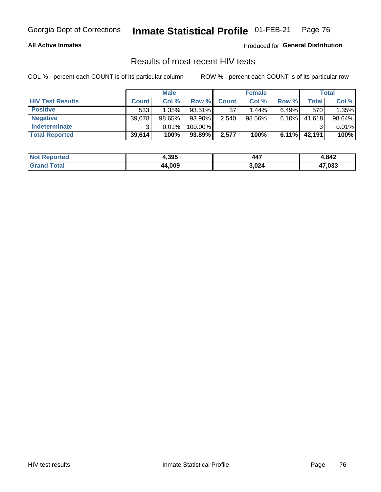#### **All Active Inmates**

Produced for **General Distribution**

### Results of most recent HIV tests

|                         |              | <b>Male</b> |         |              | <b>Female</b> |          |        | Total  |
|-------------------------|--------------|-------------|---------|--------------|---------------|----------|--------|--------|
| <b>HIV Test Results</b> | <b>Count</b> | Col %       | Row %I  | <b>Count</b> | Col %         | Row %    | Total  | Col %  |
| <b>Positive</b>         | 533          | 1.35%       | 93.51%  | 37           | 1.44%         | $6.49\%$ | 570    | 1.35%  |
| <b>Negative</b>         | 39,078       | $98.65\%$   | 93.90%  | 2,540        | $98.56\%$     | 6.10%    | 41,618 | 98.64% |
| Indeterminate           | ົ            | 0.01%       | 100.00% |              |               |          |        | 0.01%  |
| <b>Total Reported</b>   | 39,614       | 100%        | 93.89%  | 2,577        | 100%          | $6.11\%$ | 42,191 | 100%   |

| <b>Not Reported</b> | 4,395  | 447   | 1,842        |
|---------------------|--------|-------|--------------|
| Total<br>'Grand     | 44,009 | 3,024 | 17.033<br>41 |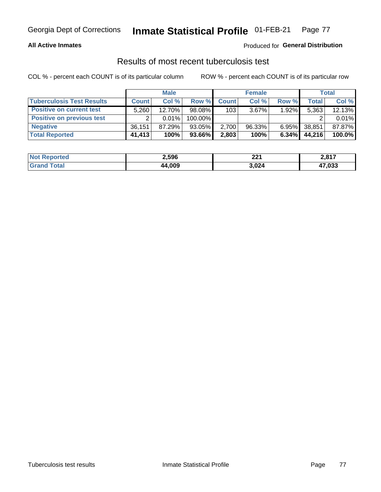#### **All Active Inmates**

#### Produced for **General Distribution**

### Results of most recent tuberculosis test

|                                  |              | <b>Male</b> |           |              | <b>Female</b> |          |              | Total  |
|----------------------------------|--------------|-------------|-----------|--------------|---------------|----------|--------------|--------|
| <b>Tuberculosis Test Results</b> | <b>Count</b> | Col %       | Row %     | <b>Count</b> | Col %         | Row %    | <b>Total</b> | Col %  |
| <b>Positive on current test</b>  | 5,260        | 12.70%      | 98.08%    | 103          | 3.67%         | $1.92\%$ | 5,363        | 12.13% |
| <b>Positive on previous test</b> |              | 0.01%       | 100.00%   |              |               |          |              | 0.01%  |
| <b>Negative</b>                  | 36.151       | 87.29%      | $93.05\%$ | 2,700        | $96.33\%$     | $6.95\%$ | 38,851       | 87.87% |
| <b>Total Reported</b>            | 41,413       | 100%        | 93.66%    | 2,803        | 100%          | 6.34%    | 44,216       | 100.0% |

| <b>Not Reported</b>    | 2,596  | つつ 1<br>ZZ I | 2,817        |
|------------------------|--------|--------------|--------------|
| <b>Total</b><br>'Grand | 44,009 | 3,024        | 47,033<br>47 |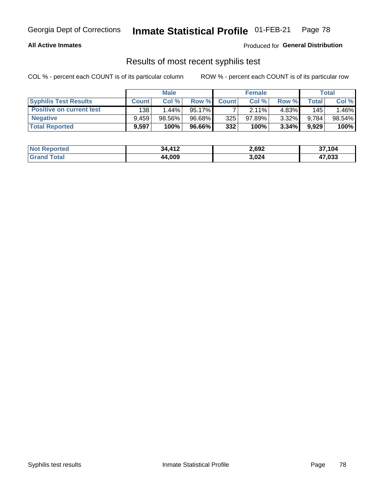#### **All Active Inmates**

Produced for **General Distribution**

### Results of most recent syphilis test

|                                 |              | <b>Male</b> |        |              | <b>Female</b> |          |       | Total  |
|---------------------------------|--------------|-------------|--------|--------------|---------------|----------|-------|--------|
| <b>Syphilis Test Results</b>    | <b>Count</b> | Col%        | Row %I | <b>Count</b> | Col %         | Row %I   | Total | Col %  |
| <b>Positive on current test</b> | 138          | $1.44\%$    | 95.17% |              | 2.11%         | 4.83%    | 145   | .46%   |
| <b>Negative</b>                 | 9.459        | 98.56%      | 96.68% | 325          | $97.89\%$     | $3.32\%$ | 9,784 | 98.54% |
| <b>Total Reported</b>           | 9,597        | 100%        | 96.66% | 332          | 100%          | $3.34\%$ | 9,929 | 100%   |

| <b>Not Reported</b> | 34,412 | 2,692 | 37,104 |
|---------------------|--------|-------|--------|
| <b>Grand Total</b>  | 44,009 | 3,024 | 47,033 |